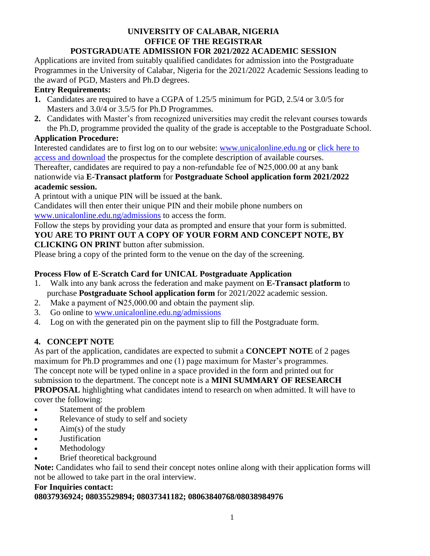#### **UNIVERSITY OF CALABAR, NIGERIA OFFICE OF THE REGISTRAR POSTGRADUATE ADMISSION FOR 2021/2022 ACADEMIC SESSION**

Applications are invited from suitably qualified candidates for admission into the Postgraduate Programmes in the University of Calabar, Nigeria for the 2021/2022 Academic Sessions leading to the award of PGD, Masters and Ph.D degrees.

### **Entry Requirements:**

- **1.** Candidates are required to have a CGPA of 1.25/5 minimum for PGD, 2.5/4 or 3.0/5 for Masters and 3.0/4 or 3.5/5 for Ph.D Programmes.
- **2.** Candidates with Master's from recognized universities may credit the relevant courses towards the Ph.D, programme provided the quality of the grade is acceptable to the Postgraduate School.

### **Application Procedure:**

Interested candidates are to first log on to our website: [www.unicalonline.edu.ng](http://www.unicalonline.edu.ng/) or [click here to](https://unicalonline.edu.ng/programmes-and-degrees)  [access and download](https://unicalonline.edu.ng/programmes-and-degrees) the prospectus for the complete description of available courses.

Thereafter, candidates are required to pay a non-refundable fee of  $\text{H25,000.00}$  at any bank nationwide via **E-Transact platform** for **Postgraduate School application form 2021/2022 academic session.** 

A printout with a unique PIN will be issued at the bank.

Candidates will then enter their unique PIN and their mobile phone numbers on [www.unicalonline.edu.ng/admissions](http://www.unicalonline.edu.ng/admissions) to access the form.

Follow the steps by providing your data as prompted and ensure that your form is submitted. **YOU ARE TO PRINT OUT A COPY OF YOUR FORM AND CONCEPT NOTE, BY CLICKING ON PRINT** button after submission.

Please bring a copy of the printed form to the venue on the day of the screening.

### **Process Flow of E-Scratch Card for UNICAL Postgraduate Application**

- 1. Walk into any bank across the federation and make payment on **E-Transact platform** to purchase **Postgraduate School application form** for 2021/2022 academic session.
- 2. Make a payment of  $\mathbb{N}25,000.00$  and obtain the payment slip.
- 3. Go online to www.unicalonline.edu.ng/admissions
- 4. Log on with the generated pin on the payment slip to fill the Postgraduate form.

## **4. CONCEPT NOTE**

As part of the application, candidates are expected to submit a **CONCEPT NOTE** of 2 pages maximum for Ph.D programmes and one (1) page maximum for Master's programmes. The concept note will be typed online in a space provided in the form and printed out for submission to the department. The concept note is a **MINI SUMMARY OF RESEARCH** 

**PROPOSAL** highlighting what candidates intend to research on when admitted. It will have to cover the following:

- Statement of the problem
- Relevance of study to self and society
- Aim(s) of the study
- **Justification**
- Methodology
- Brief theoretical background

**Note:** Candidates who fail to send their concept notes online along with their application forms will not be allowed to take part in the oral interview.

### **For Inquiries contact: 08037936924; 08035529894; 08037341182; 08063840768/08038984976**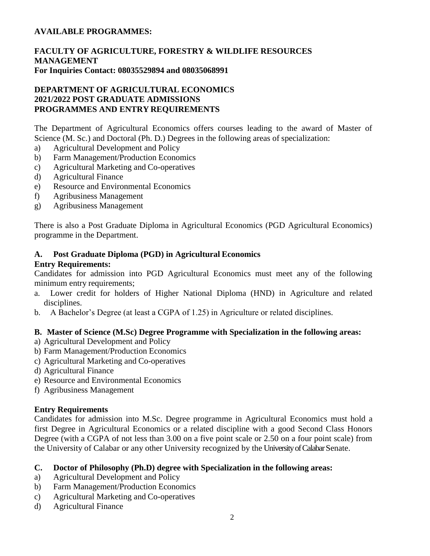#### **AVAILABLE PROGRAMMES:**

#### **FACULTY OF AGRICULTURE, FORESTRY & WILDLIFE RESOURCES MANAGEMENT For Inquiries Contact: 08035529894 and 08035068991**

### **DEPARTMENT OF AGRICULTURAL ECONOMICS 2021/2022 POST GRADUATE ADMISSIONS PROGRAMMES AND ENTRY REQUIREMENTS**

The Department of Agricultural Economics offers courses leading to the award of Master of Science (M. Sc.) and Doctoral (Ph. D.) Degrees in the following areas of specialization:

- a) Agricultural Development and Policy
- b) Farm Management/Production Economics
- c) Agricultural Marketing and Co-operatives
- d) Agricultural Finance
- e) Resource and Environmental Economics
- f) Agribusiness Management
- g) Agribusiness Management

There is also a Post Graduate Diploma in Agricultural Economics (PGD Agricultural Economics) programme in the Department.

### **A. Post Graduate Diploma (PGD) in Agricultural Economics**

#### **Entry Requirements:**

Candidates for admission into PGD Agricultural Economics must meet any of the following minimum entry requirements;

- a. Lower credit for holders of Higher National Diploma (HND) in Agriculture and related disciplines.
- b. A Bachelor's Degree (at least a CGPA of 1.25) in Agriculture or related disciplines.

#### **B. Master of Science (M.Sc) Degree Programme with Specialization in the following areas:**

- a) Agricultural Development and Policy
- b) Farm Management/Production Economics
- c) Agricultural Marketing and Co-operatives
- d) Agricultural Finance
- e) Resource and Environmental Economics
- f) Agribusiness Management

#### **Entry Requirements**

Candidates for admission into M.Sc. Degree programme in Agricultural Economics must hold a first Degree in Agricultural Economics or a related discipline with a good Second Class Honors Degree (with a CGPA of not less than 3.00 on a five point scale or 2.50 on a four point scale) from the University of Calabar or any other University recognized by the University of Calabar Senate.

#### **C. Doctor of Philosophy (Ph.D) degree with Specialization in the following areas:**

- a) Agricultural Development and Policy
- b) Farm Management/Production Economics
- c) Agricultural Marketing and Co-operatives
- d) Agricultural Finance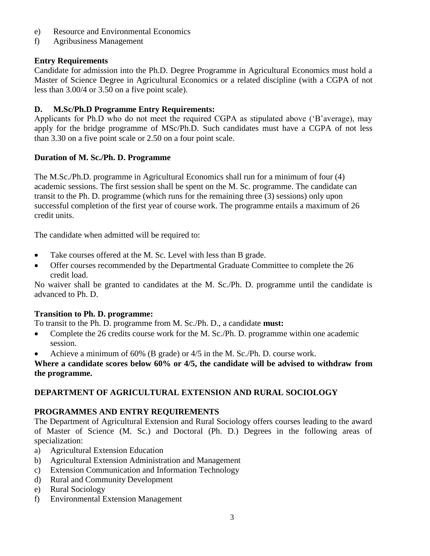- e) Resource and Environmental Economics
- f) Agribusiness Management

### **Entry Requirements**

Candidate for admission into the Ph.D. Degree Programme in Agricultural Economics must hold a Master of Science Degree in Agricultural Economics or a related discipline (with a CGPA of not less than 3.00/4 or 3.50 on a five point scale).

### **D. M.Sc/Ph.D Programme Entry Requirements:**

Applicants for Ph.D who do not meet the required CGPA as stipulated above ('B'average), may apply for the bridge programme of MSc/Ph.D. Such candidates must have a CGPA of not less than 3.30 on a five point scale or 2.50 on a four point scale.

### **Duration of M. Sc./Ph. D. Programme**

The M.Sc./Ph.D. programme in Agricultural Economics shall run for a minimum of four (4) academic sessions. The first session shall be spent on the M. Sc. programme. The candidate can transit to the Ph. D. programme (which runs for the remaining three (3) sessions) only upon successful completion of the first year of course work. The programme entails a maximum of 26 credit units.

The candidate when admitted will be required to:

- Take courses offered at the M. Sc. Level with less than B grade.
- Offer courses recommended by the Departmental Graduate Committee to complete the 26 credit load.

No waiver shall be granted to candidates at the M. Sc./Ph. D. programme until the candidate is advanced to Ph. D.

#### **Transition to Ph. D. programme:**

To transit to the Ph. D. programme from M. Sc./Ph. D., a candidate **must:**

- Complete the 26 credits course work for the M. Sc./Ph. D. programme within one academic session.
- Achieve a minimum of 60% (B grade) or 4/5 in the M. Sc./Ph. D. course work.

**Where a candidate scores below 60% or 4/5, the candidate will be advised to withdraw from the programme.** 

### **DEPARTMENT OF AGRICULTURAL EXTENSION AND RURAL SOCIOLOGY**

### **PROGRAMMES AND ENTRY REQUIREMENTS**

The Department of Agricultural Extension and Rural Sociology offers courses leading to the award of Master of Science (M. Sc.) and Doctoral (Ph. D.) Degrees in the following areas of specialization:

- a) Agricultural Extension Education
- b) Agricultural Extension Administration and Management
- c) Extension Communication and Information Technology
- d) Rural and Community Development
- e) Rural Sociology
- f) Environmental Extension Management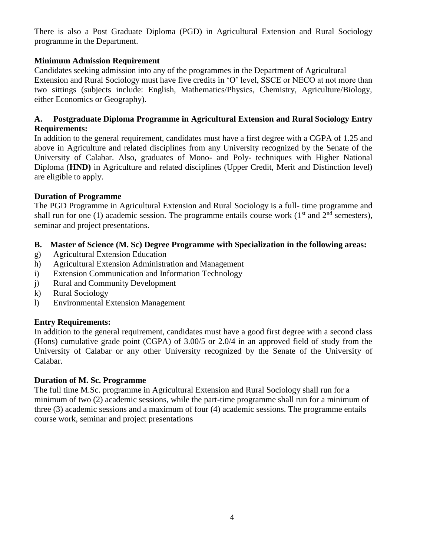There is also a Post Graduate Diploma (PGD) in Agricultural Extension and Rural Sociology programme in the Department.

#### **Minimum Admission Requirement**

Candidates seeking admission into any of the programmes in the Department of Agricultural Extension and Rural Sociology must have five credits in 'O' level, SSCE or NECO at not more than two sittings (subjects include: English, Mathematics/Physics, Chemistry, Agriculture/Biology, either Economics or Geography).

#### **A. Postgraduate Diploma Programme in Agricultural Extension and Rural Sociology Entry Requirements:**

In addition to the general requirement, candidates must have a first degree with a CGPA of 1.25 and above in Agriculture and related disciplines from any University recognized by the Senate of the University of Calabar. Also, graduates of Mono- and Poly- techniques with Higher National Diploma (**HND)** in Agriculture and related disciplines (Upper Credit, Merit and Distinction level) are eligible to apply.

### **Duration of Programme**

The PGD Programme in Agricultural Extension and Rural Sociology is a full- time programme and shall run for one (1) academic session. The programme entails course work ( $1<sup>st</sup>$  and  $2<sup>nd</sup>$  semesters), seminar and project presentations.

### **B. Master of Science (M. Sc) Degree Programme with Specialization in the following areas:**

- g) Agricultural Extension Education
- h) Agricultural Extension Administration and Management
- i) Extension Communication and Information Technology
- j) Rural and Community Development
- k) Rural Sociology
- l) Environmental Extension Management

### **Entry Requirements:**

In addition to the general requirement, candidates must have a good first degree with a second class (Hons) cumulative grade point (CGPA) of 3.00/5 or 2.0/4 in an approved field of study from the University of Calabar or any other University recognized by the Senate of the University of Calabar.

### **Duration of M. Sc. Programme**

The full time M.Sc. programme in Agricultural Extension and Rural Sociology shall run for a minimum of two (2) academic sessions, while the part-time programme shall run for a minimum of three (3) academic sessions and a maximum of four (4) academic sessions. The programme entails course work, seminar and project presentations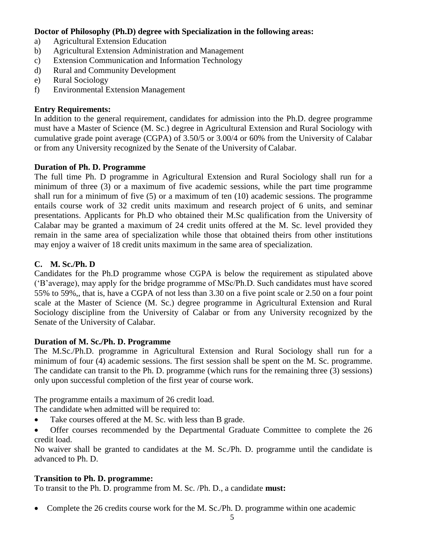#### **Doctor of Philosophy (Ph.D) degree with Specialization in the following areas:**

- a) Agricultural Extension Education
- b) Agricultural Extension Administration and Management
- c) Extension Communication and Information Technology
- d) Rural and Community Development
- e) Rural Sociology
- f) Environmental Extension Management

### **Entry Requirements:**

In addition to the general requirement, candidates for admission into the Ph.D. degree programme must have a Master of Science (M. Sc.) degree in Agricultural Extension and Rural Sociology with cumulative grade point average (CGPA) of 3.50/5 or 3.00/4 or 60% from the University of Calabar or from any University recognized by the Senate of the University of Calabar.

### **Duration of Ph. D. Programme**

The full time Ph. D programme in Agricultural Extension and Rural Sociology shall run for a minimum of three (3) or a maximum of five academic sessions, while the part time programme shall run for a minimum of five (5) or a maximum of ten (10) academic sessions. The programme entails course work of 32 credit units maximum and research project of 6 units, and seminar presentations. Applicants for Ph.D who obtained their M.Sc qualification from the University of Calabar may be granted a maximum of 24 credit units offered at the M. Sc. level provided they remain in the same area of specialization while those that obtained theirs from other institutions may enjoy a waiver of 18 credit units maximum in the same area of specialization.

### **C. M. Sc./Ph. D**

Candidates for the Ph.D programme whose CGPA is below the requirement as stipulated above ('B'average), may apply for the bridge programme of MSc/Ph.D. Such candidates must have scored 55% to 59%,, that is, have a CGPA of not less than 3.30 on a five point scale or 2.50 on a four point scale at the Master of Science (M. Sc.) degree programme in Agricultural Extension and Rural Sociology discipline from the University of Calabar or from any University recognized by the Senate of the University of Calabar.

### **Duration of M. Sc./Ph. D. Programme**

The M.Sc./Ph.D. programme in Agricultural Extension and Rural Sociology shall run for a minimum of four (4) academic sessions. The first session shall be spent on the M. Sc. programme. The candidate can transit to the Ph. D. programme (which runs for the remaining three (3) sessions) only upon successful completion of the first year of course work.

The programme entails a maximum of 26 credit load.

The candidate when admitted will be required to:

- Take courses offered at the M. Sc. with less than B grade.
- Offer courses recommended by the Departmental Graduate Committee to complete the 26 credit load.

No waiver shall be granted to candidates at the M. Sc./Ph. D. programme until the candidate is advanced to Ph. D.

### **Transition to Ph. D. programme:**

To transit to the Ph. D. programme from M. Sc. /Ph. D., a candidate **must:**

• Complete the 26 credits course work for the M. Sc./Ph. D. programme within one academic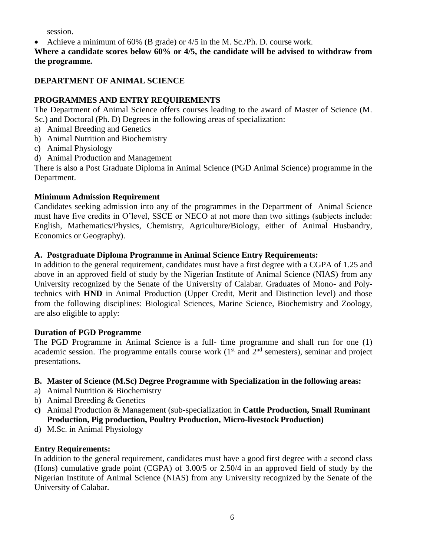session.

Achieve a minimum of 60% (B grade) or 4/5 in the M. Sc./Ph. D. course work.

**Where a candidate scores below 60% or 4/5, the candidate will be advised to withdraw from the programme.**

### **DEPARTMENT OF ANIMAL SCIENCE**

### **PROGRAMMES AND ENTRY REQUIREMENTS**

The Department of Animal Science offers courses leading to the award of Master of Science (M. Sc.) and Doctoral (Ph. D) Degrees in the following areas of specialization:

- a) Animal Breeding and Genetics
- b) Animal Nutrition and Biochemistry
- c) Animal Physiology
- d) Animal Production and Management

There is also a Post Graduate Diploma in Animal Science (PGD Animal Science) programme in the Department.

### **Minimum Admission Requirement**

Candidates seeking admission into any of the programmes in the Department of Animal Science must have five credits in O'level, SSCE or NECO at not more than two sittings (subjects include: English, Mathematics/Physics, Chemistry, Agriculture/Biology, either of Animal Husbandry, Economics or Geography).

#### **A. Postgraduate Diploma Programme in Animal Science Entry Requirements:**

In addition to the general requirement, candidates must have a first degree with a CGPA of 1.25 and above in an approved field of study by the Nigerian Institute of Animal Science (NIAS) from any University recognized by the Senate of the University of Calabar. Graduates of Mono- and Polytechnics with **HND** in Animal Production (Upper Credit, Merit and Distinction level) and those from the following disciplines: Biological Sciences, Marine Science, Biochemistry and Zoology, are also eligible to apply:

### **Duration of PGD Programme**

The PGD Programme in Animal Science is a full- time programme and shall run for one (1) academic session. The programme entails course work  $(1<sup>st</sup>$  and  $2<sup>nd</sup>$  semesters), seminar and project presentations.

### **B. Master of Science (M.Sc) Degree Programme with Specialization in the following areas:**

- a) Animal Nutrition & Biochemistry
- b) Animal Breeding & Genetics
- **c)** Animal Production & Management (sub-specialization in **Cattle Production, Small Ruminant Production, Pig production, Poultry Production, Micro-livestock Production)**
- d) M.Sc. in Animal Physiology

### **Entry Requirements:**

In addition to the general requirement, candidates must have a good first degree with a second class (Hons) cumulative grade point (CGPA) of 3.00/5 or 2.50/4 in an approved field of study by the Nigerian Institute of Animal Science (NIAS) from any University recognized by the Senate of the University of Calabar.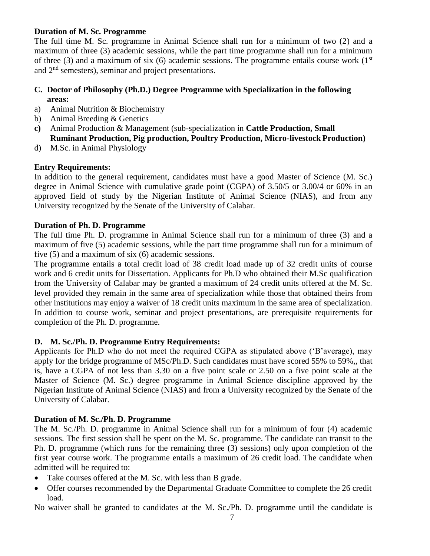### **Duration of M. Sc. Programme**

The full time M. Sc. programme in Animal Science shall run for a minimum of two (2) and a maximum of three (3) academic sessions, while the part time programme shall run for a minimum of three (3) and a maximum of six (6) academic sessions. The programme entails course work  $(1<sup>st</sup>$ and 2nd semesters), seminar and project presentations.

#### **C. Doctor of Philosophy (Ph.D.) Degree Programme with Specialization in the following areas:**

- a) Animal Nutrition & Biochemistry
- b) Animal Breeding & Genetics
- **c)** Animal Production & Management (sub-specialization in **Cattle Production, Small Ruminant Production, Pig production, Poultry Production, Micro-livestock Production)**
- d) M.Sc. in Animal Physiology

### **Entry Requirements:**

In addition to the general requirement, candidates must have a good Master of Science (M. Sc.) degree in Animal Science with cumulative grade point (CGPA) of 3.50/5 or 3.00/4 or 60% in an approved field of study by the Nigerian Institute of Animal Science (NIAS), and from any University recognized by the Senate of the University of Calabar.

### **Duration of Ph. D. Programme**

The full time Ph. D. programme in Animal Science shall run for a minimum of three (3) and a maximum of five (5) academic sessions, while the part time programme shall run for a minimum of five (5) and a maximum of six (6) academic sessions.

The programme entails a total credit load of 38 credit load made up of 32 credit units of course work and 6 credit units for Dissertation. Applicants for Ph.D who obtained their M.Sc qualification from the University of Calabar may be granted a maximum of 24 credit units offered at the M. Sc. level provided they remain in the same area of specialization while those that obtained theirs from other institutions may enjoy a waiver of 18 credit units maximum in the same area of specialization. In addition to course work, seminar and project presentations, are prerequisite requirements for completion of the Ph. D. programme.

### **D. M. Sc./Ph. D. Programme Entry Requirements:**

Applicants for Ph.D who do not meet the required CGPA as stipulated above ('B'average), may apply for the bridge programme of MSc/Ph.D. Such candidates must have scored 55% to 59%,, that is, have a CGPA of not less than 3.30 on a five point scale or 2.50 on a five point scale at the Master of Science (M. Sc.) degree programme in Animal Science discipline approved by the Nigerian Institute of Animal Science (NIAS) and from a University recognized by the Senate of the University of Calabar.

### **Duration of M. Sc./Ph. D. Programme**

The M. Sc./Ph. D. programme in Animal Science shall run for a minimum of four (4) academic sessions. The first session shall be spent on the M. Sc. programme. The candidate can transit to the Ph. D. programme (which runs for the remaining three (3) sessions) only upon completion of the first year course work. The programme entails a maximum of 26 credit load. The candidate when admitted will be required to:

- Take courses offered at the M. Sc. with less than B grade.
- Offer courses recommended by the Departmental Graduate Committee to complete the 26 credit load.

No waiver shall be granted to candidates at the M. Sc./Ph. D. programme until the candidate is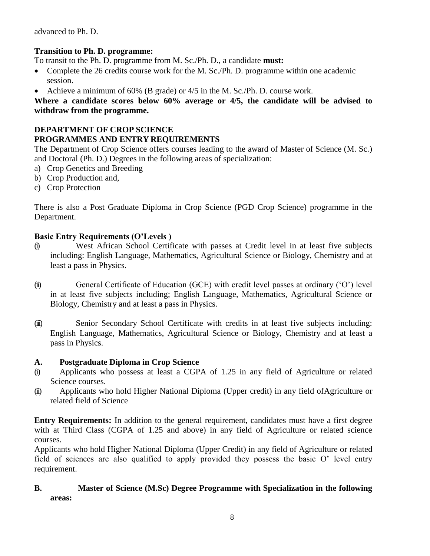advanced to Ph. D.

### **Transition to Ph. D. programme:**

To transit to the Ph. D. programme from M. Sc./Ph. D., a candidate **must:**

- Complete the 26 credits course work for the M. Sc./Ph. D. programme within one academic session.
- Achieve a minimum of 60% (B grade) or 4/5 in the M. Sc./Ph. D. course work.

#### **Where a candidate scores below 60% average or 4/5, the candidate will be advised to withdraw from the programme.**

### **DEPARTMENT OF CROP SCIENCE**

### **PROGRAMMES AND ENTRY REQUIREMENTS**

The Department of Crop Science offers courses leading to the award of Master of Science (M. Sc.) and Doctoral (Ph. D.) Degrees in the following areas of specialization:

- a) Crop Genetics and Breeding
- b) Crop Production and,
- c) Crop Protection

There is also a Post Graduate Diploma in Crop Science (PGD Crop Science) programme in the Department.

#### **Basic Entry Requirements (O'Levels )**

- (i) West African School Certificate with passes at Credit level in at least five subjects including: English Language, Mathematics, Agricultural Science or Biology, Chemistry and at least a pass in Physics.
- (ii) General Certificate of Education (GCE) with credit level passes at ordinary ('O') level in at least five subjects including; English Language, Mathematics, Agricultural Science or Biology, Chemistry and at least a pass in Physics.
- (iii) Senior Secondary School Certificate with credits in at least five subjects including: English Language, Mathematics, Agricultural Science or Biology, Chemistry and at least a pass in Physics.

#### **A. Postgraduate Diploma in Crop Science**

- (i) Applicants who possess at least a CGPA of 1.25 in any field of Agriculture or related Science courses.
- (ii) Applicants who hold Higher National Diploma (Upper credit) in any field ofAgriculture or related field of Science

**Entry Requirements:** In addition to the general requirement, candidates must have a first degree with at Third Class (CGPA of 1.25 and above) in any field of Agriculture or related science courses.

Applicants who hold Higher National Diploma (Upper Credit) in any field of Agriculture or related field of sciences are also qualified to apply provided they possess the basic O' level entry requirement.

### **B. Master of Science (M.Sc) Degree Programme with Specialization in the following areas:**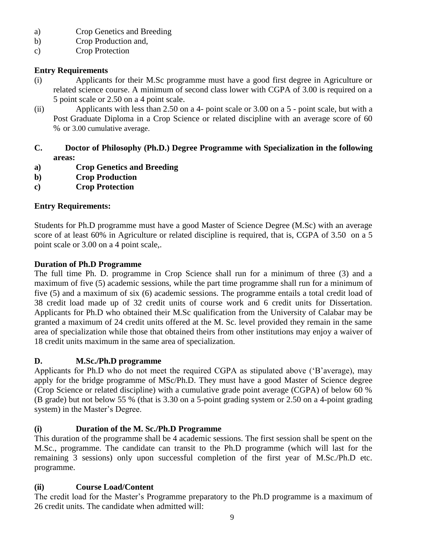- a) Crop Genetics and Breeding
- b) Crop Production and,
- c) Crop Protection

### **Entry Requirements**

- (i) Applicants for their M.Sc programme must have a good first degree in Agriculture or related science course. A minimum of second class lower with CGPA of 3.00 is required on a 5 point scale or 2.50 on a 4 point scale.
- (ii) Applicants with less than 2.50 on a 4- point scale or 3.00 on a 5 point scale, but with a Post Graduate Diploma in a Crop Science or related discipline with an average score of 60 % or 3.00 cumulative average.
- **C. Doctor of Philosophy (Ph.D.) Degree Programme with Specialization in the following areas:**
- **a) Crop Genetics and Breeding**
- **b) Crop Production**
- **c) Crop Protection**

## **Entry Requirements:**

Students for Ph.D programme must have a good Master of Science Degree (M.Sc) with an average score of at least 60% in Agriculture or related discipline is required, that is, CGPA of 3.50 on a 5 point scale or 3.00 on a 4 point scale,.

### **Duration of Ph.D Programme**

The full time Ph. D. programme in Crop Science shall run for a minimum of three (3) and a maximum of five (5) academic sessions, while the part time programme shall run for a minimum of five (5) and a maximum of six (6) academic sessions. The programme entails a total credit load of 38 credit load made up of 32 credit units of course work and 6 credit units for Dissertation. Applicants for Ph.D who obtained their M.Sc qualification from the University of Calabar may be granted a maximum of 24 credit units offered at the M. Sc. level provided they remain in the same area of specialization while those that obtained theirs from other institutions may enjoy a waiver of 18 credit units maximum in the same area of specialization.

### **D. M.Sc./Ph.D programme**

Applicants for Ph.D who do not meet the required CGPA as stipulated above ('B'average), may apply for the bridge programme of MSc/Ph.D. They must have a good Master of Science degree (Crop Science or related discipline) with a cumulative grade point average (CGPA) of below 60 % (B grade) but not below 55 % (that is 3.30 on a 5-point grading system or 2.50 on a 4-point grading system) in the Master's Degree.

## **(i) Duration of the M. Sc./Ph.D Programme**

This duration of the programme shall be 4 academic sessions. The first session shall be spent on the M.Sc., programme. The candidate can transit to the Ph.D programme (which will last for the remaining 3 sessions) only upon successful completion of the first year of M.Sc./Ph.D etc. programme.

### **(ii) Course Load/Content**

The credit load for the Master's Programme preparatory to the Ph.D programme is a maximum of 26 credit units. The candidate when admitted will: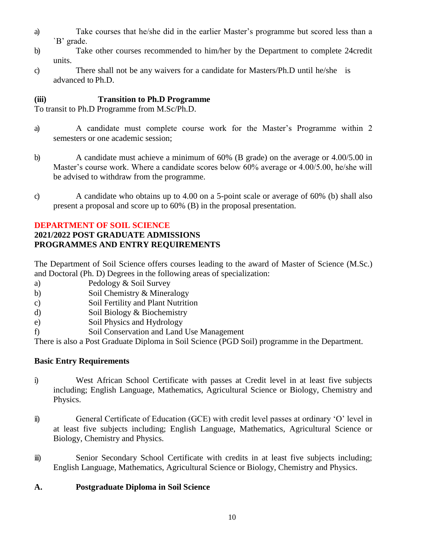- a) Take courses that he/she did in the earlier Master's programme but scored less than a `B' grade.
- b) Take other courses recommended to him/her by the Department to complete 24credit units.
- c) There shall not be any waivers for a candidate for Masters/Ph.D until he/she is advanced to Ph.D.

### **(iii) Transition to Ph.D Programme**

To transit to Ph.D Programme from M.Sc/Ph.D.

- a) A candidate must complete course work for the Master's Programme within 2 semesters or one academic session;
- b) A candidate must achieve a minimum of 60% (B grade) on the average or 4.00/5.00 in Master's course work. Where a candidate scores below 60% average or 4.00/5.00, he/she will be advised to withdraw from the programme.
- c) A candidate who obtains up to 4.00 on a 5-point scale or average of 60% (b) shall also present a proposal and score up to 60% (B) in the proposal presentation.

### **DEPARTMENT OF SOIL SCIENCE**

## **2021/2022 POST GRADUATE ADMISSIONS PROGRAMMES AND ENTRY REQUIREMENTS**

The Department of Soil Science offers courses leading to the award of Master of Science (M.Sc.) and Doctoral (Ph. D) Degrees in the following areas of specialization:

- a) Pedology & Soil Survey
- b) Soil Chemistry & Mineralogy
- c) Soil Fertility and Plant Nutrition
- d) Soil Biology & Biochemistry
- e) Soil Physics and Hydrology
- f) Soil Conservation and Land Use Management

There is also a Post Graduate Diploma in Soil Science (PGD Soil) programme in the Department.

### **Basic Entry Requirements**

- i) West African School Certificate with passes at Credit level in at least five subjects including; English Language, Mathematics, Agricultural Science or Biology, Chemistry and Physics.
- ii) General Certificate of Education (GCE) with credit level passes at ordinary 'O' level in at least five subjects including; English Language, Mathematics, Agricultural Science or Biology, Chemistry and Physics.
- ii) Senior Secondary School Certificate with credits in at least five subjects including; English Language, Mathematics, Agricultural Science or Biology, Chemistry and Physics.

### **A. Postgraduate Diploma in Soil Science**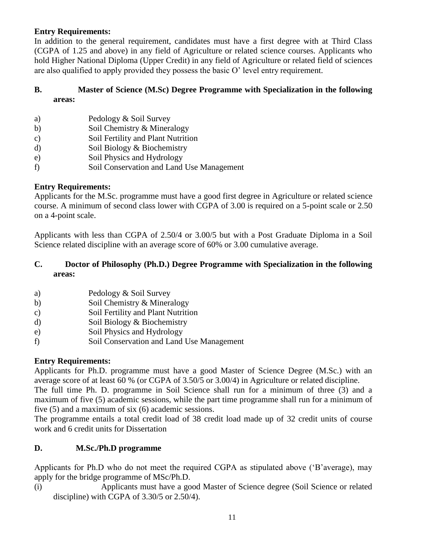### **Entry Requirements:**

In addition to the general requirement, candidates must have a first degree with at Third Class (CGPA of 1.25 and above) in any field of Agriculture or related science courses. Applicants who hold Higher National Diploma (Upper Credit) in any field of Agriculture or related field of sciences are also qualified to apply provided they possess the basic O' level entry requirement.

### **B. Master of Science (M.Sc) Degree Programme with Specialization in the following areas:**

- a) Pedology & Soil Survey
- b) Soil Chemistry & Mineralogy
- c) Soil Fertility and Plant Nutrition
- d) Soil Biology & Biochemistry
- e) Soil Physics and Hydrology
- f) Soil Conservation and Land Use Management

### **Entry Requirements:**

Applicants for the M.Sc. programme must have a good first degree in Agriculture or related science course. A minimum of second class lower with CGPA of 3.00 is required on a 5-point scale or 2.50 on a 4-point scale.

Applicants with less than CGPA of 2.50/4 or 3.00/5 but with a Post Graduate Diploma in a Soil Science related discipline with an average score of 60% or 3.00 cumulative average.

### **C. Doctor of Philosophy (Ph.D.) Degree Programme with Specialization in the following areas:**

- a) Pedology & Soil Survey
- b) Soil Chemistry & Mineralogy
- c) Soil Fertility and Plant Nutrition
- d) Soil Biology & Biochemistry
- e) Soil Physics and Hydrology
- f) Soil Conservation and Land Use Management

### **Entry Requirements:**

Applicants for Ph.D. programme must have a good Master of Science Degree (M.Sc.) with an average score of at least 60 % (or CGPA of 3.50/5 or 3.00/4) in Agriculture or related discipline. The full time Ph. D. programme in Soil Science shall run for a minimum of three (3) and a maximum of five (5) academic sessions, while the part time programme shall run for a minimum of five (5) and a maximum of six (6) academic sessions.

The programme entails a total credit load of 38 credit load made up of 32 credit units of course work and 6 credit units for Dissertation

## **D. M.Sc./Ph.D programme**

Applicants for Ph.D who do not meet the required CGPA as stipulated above ('B'average), may apply for the bridge programme of MSc/Ph.D.

(i) Applicants must have a good Master of Science degree (Soil Science or related discipline) with CGPA of 3.30/5 or 2.50/4).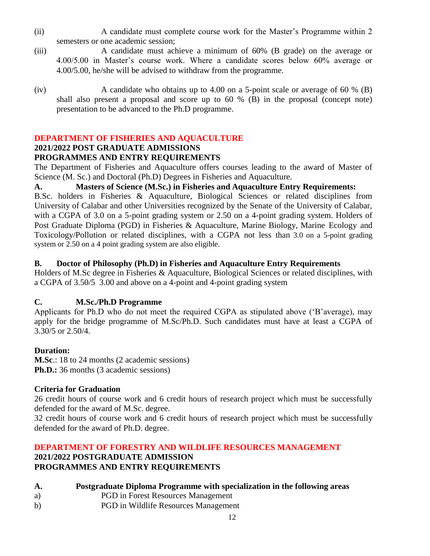- (ii) A candidate must complete course work for the Master's Programme within 2 semesters or one academic session;
- (iii) A candidate must achieve a minimum of 60% (B grade) on the average or 4.00/5.00 in Master's course work. Where a candidate scores below 60% average or 4.00/5.00, he/she will be advised to withdraw from the programme.
- (iv) A candidate who obtains up to 4.00 on a 5-point scale or average of 60 % (B) shall also present a proposal and score up to 60 % (B) in the proposal (concept note) presentation to be advanced to the Ph.D programme.

## **DEPARTMENT OF FISHERIES AND AQUACULTURE**

### **2021/2022 POST GRADUATE ADMISSIONS**

## **PROGRAMMES AND ENTRY REQUIREMENTS**

The Department of Fisheries and Aquaculture offers courses leading to the award of Master of Science (M. Sc.) and Doctoral (Ph.D) Degrees in Fisheries and Aquaculture.

### **A. Masters of Science (M.Sc.) in Fisheries and Aquaculture Entry Requirements:**

B.Sc. holders in Fisheries & Aquaculture, Biological Sciences or related disciplines from University of Calabar and other Universities recognized by the Senate of the University of Calabar, with a CGPA of 3.0 on a 5-point grading system or 2.50 on a 4-point grading system. Holders of Post Graduate Diploma (PGD) in Fisheries & Aquaculture, Marine Biology, Marine Ecology and Toxicology/Pollution or related disciplines, with a CGPA not less than 3.0 on a 5-point grading system or 2.50 on a 4 point grading system are also eligible.

## **B. Doctor of Philosophy (Ph.D) in Fisheries and Aquaculture Entry Requirements**

Holders of M.Sc degree in Fisheries & Aquaculture, Biological Sciences or related disciplines, with a CGPA of 3.50/5 3.00 and above on a 4-point and 4-point grading system

## **C. M.Sc./Ph.D Programme**

Applicants for Ph.D who do not meet the required CGPA as stipulated above ('B'average), may apply for the bridge programme of M.Sc/Ph.D. Such candidates must have at least a CGPA of 3.30/5 or 2.50/4.

### **Duration:**

**M.Sc**.: 18 to 24 months (2 academic sessions) **Ph.D.:** 36 months (3 academic sessions)

### **Criteria for Graduation**

26 credit hours of course work and 6 credit hours of research project which must be successfully defended for the award of M.Sc. degree.

32 credit hours of course work and 6 credit hours of research project which must be successfully defended for the award of Ph.D. degree.

### **DEPARTMENT OF FORESTRY AND WILDLIFE RESOURCES MANAGEMENT 2021/2022 POSTGRADUATE ADMISSION PROGRAMMES AND ENTRY REQUIREMENTS**

- **A. Postgraduate Diploma Programme with specialization in the following areas** a) PGD in Forest Resources Management
- b) PGD in Wildlife Resources Management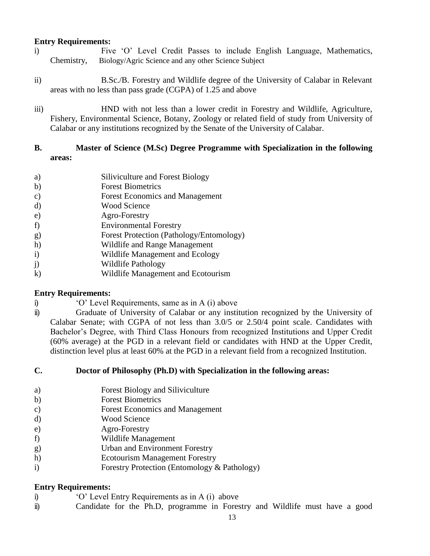#### **Entry Requirements:**

- i) Five 'O' Level Credit Passes to include English Language, Mathematics, Chemistry, Biology/Agric Science and any other Science Subject
- ii) B.Sc./B. Forestry and Wildlife degree of the University of Calabar in Relevant areas with no less than pass grade (CGPA) of 1.25 and above
- iii) HND with not less than a lower credit in Forestry and Wildlife, Agriculture, Fishery, Environmental Science, Botany, Zoology or related field of study from University of Calabar or any institutions recognized by the Senate of the University of Calabar.

### **B. Master of Science (M.Sc) Degree Programme with Specialization in the following areas:**

- a) Siliviculture and Forest Biology
- b) Forest Biometrics
- c) Forest Economics and Management
- d) Wood Science
- e) Agro-Forestry
- f) Environmental Forestry
- g) Forest Protection (Pathology/Entomology)
- h) Wildlife and Range Management
- i) Wildlife Management and Ecology
- j) Wildlife Pathology
- k) Wildlife Management and Ecotourism

#### **Entry Requirements:**

- i) 'O' Level Requirements, same as in A (i) above
- ii) Graduate of University of Calabar or any institution recognized by the University of Calabar Senate; with CGPA of not less than 3.0/5 or 2.50/4 point scale. Candidates with Bachelor's Degree, with Third Class Honours from recognized Institutions and Upper Credit (60% average) at the PGD in a relevant field or candidates with HND at the Upper Credit, distinction level plus at least 60% at the PGD in a relevant field from a recognized Institution.

#### **C. Doctor of Philosophy (Ph.D) with Specialization in the following areas:**

- a) Forest Biology and Siliviculture
- b) Forest Biometrics
- c) Forest Economics and Management
- d) Wood Science
- e) Agro-Forestry
- f) Wildlife Management
- g) Urban and Environment Forestry
- h) Ecotourism Management Forestry
- i) Forestry Protection (Entomology & Pathology)

### **Entry Requirements:**

- i) 'O' Level Entry Requirements as in A (i) above
- ii) Candidate for the Ph.D, programme in Forestry and Wildlife must have a good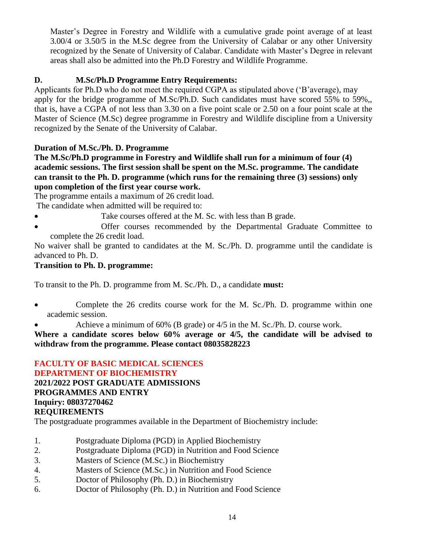Master's Degree in Forestry and Wildlife with a cumulative grade point average of at least 3.00/4 or 3.50/5 in the M.Sc degree from the University of Calabar or any other University recognized by the Senate of University of Calabar. Candidate with Master's Degree in relevant areas shall also be admitted into the Ph.D Forestry and Wildlife Programme.

## **D. M.Sc/Ph.D Programme Entry Requirements:**

Applicants for Ph.D who do not meet the required CGPA as stipulated above ('B'average), may apply for the bridge programme of M.Sc/Ph.D. Such candidates must have scored 55% to 59%,, that is, have a CGPA of not less than 3.30 on a five point scale or 2.50 on a four point scale at the Master of Science (M.Sc) degree programme in Forestry and Wildlife discipline from a University recognized by the Senate of the University of Calabar.

### **Duration of M.Sc./Ph. D. Programme**

**The M.Sc/Ph.D programme in Forestry and Wildlife shall run for a minimum of four (4) academic sessions. The first session shall be spent on the M.Sc. programme. The candidate can transit to the Ph. D. programme (which runs for the remaining three (3) sessions) only upon completion of the first year course work.**

The programme entails a maximum of 26 credit load.

The candidate when admitted will be required to:

- Take courses offered at the M. Sc. with less than B grade.
- Offer courses recommended by the Departmental Graduate Committee to complete the 26 credit load.

No waiver shall be granted to candidates at the M. Sc./Ph. D. programme until the candidate is advanced to Ph. D.

#### **Transition to Ph. D. programme:**

To transit to the Ph. D. programme from M. Sc./Ph. D., a candidate **must:**

- Complete the 26 credits course work for the M. Sc./Ph. D. programme within one academic session.
- Achieve a minimum of 60% (B grade) or 4/5 in the M. Sc./Ph. D. course work.

**Where a candidate scores below 60% average or 4/5, the candidate will be advised to withdraw from the programme. Please contact 08035828223**

# **FACULTY OF BASIC MEDICAL SCIENCES**

**DEPARTMENT OF BIOCHEMISTRY 2021/2022 POST GRADUATE ADMISSIONS PROGRAMMES AND ENTRY Inquiry: 08037270462 REQUIREMENTS**

The postgraduate programmes available in the Department of Biochemistry include:

- 1. Postgraduate Diploma (PGD) in Applied Biochemistry
- 2. Postgraduate Diploma (PGD) in Nutrition and Food Science
- 3. Masters of Science (M.Sc.) in Biochemistry
- 4. Masters of Science (M.Sc.) in Nutrition and Food Science
- 5. Doctor of Philosophy (Ph. D.) in Biochemistry
- 6. Doctor of Philosophy (Ph. D.) in Nutrition and Food Science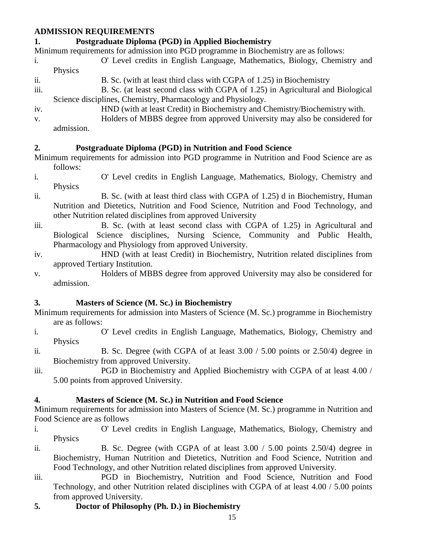### **ADMISSION REQUIREMENTS**

### **1. Postgraduate Diploma (PGD) in Applied Biochemistry**

Minimum requirements for admission into PGD programme in Biochemistry are as follows:

- i. O' Level credits in English Language, Mathematics, Biology, Chemistry and Physics
- ii. B. Sc. (with at least third class with CGPA of 1.25) in Biochemistry
- iii. B. Sc. (at least second class with CGPA of 1.25) in Agricultural and Biological Science disciplines, Chemistry, Pharmacology and Physiology.
- iv. HND (with at least Credit) in Biochemistry and Chemistry/Biochemistry with.
- v. Holders of MBBS degree from approved University may also be considered for admission.

### **2. Postgraduate Diploma (PGD) in Nutrition and Food Science**

- Minimum requirements for admission into PGD programme in Nutrition and Food Science are as follows:
- i. O' Level credits in English Language, Mathematics, Biology, Chemistry and Physics
- ii. B. Sc. (with at least third class with CGPA of 1.25) d in Biochemistry, Human Nutrition and Dietetics, Nutrition and Food Science, Nutrition and Food Technology, and other Nutrition related disciplines from approved University
- iii. B. Sc. (with at least second class with CGPA of 1.25) in Agricultural and Biological Science disciplines, Nursing Science, Community and Public Health, Pharmacology and Physiology from approved University.
- iv. HND (with at least Credit) in Biochemistry, Nutrition related disciplines from approved Tertiary Institution.
- v. Holders of MBBS degree from approved University may also be considered for admission.

### **3. Masters of Science (M. Sc.) in Biochemistry**

Minimum requirements for admission into Masters of Science (M. Sc.) programme in Biochemistry are as follows:

- i. O' Level credits in English Language, Mathematics, Biology, Chemistry and Physics
- ii. B. Sc. Degree (with CGPA of at least 3.00 / 5.00 points or 2.50/4) degree in Biochemistry from approved University.
- iii. PGD in Biochemistry and Applied Biochemistry with CGPA of at least 4.00 / 5.00 points from approved University.

### **4. Masters of Science (M. Sc.) in Nutrition and Food Science**

Minimum requirements for admission into Masters of Science (M. Sc.) programme in Nutrition and Food Science are as follows

- i. O' Level credits in English Language, Mathematics, Biology, Chemistry and Physics
- ii. B. Sc. Degree (with CGPA of at least 3.00 / 5.00 points 2.50/4) degree in Biochemistry, Human Nutrition and Dietetics, Nutrition and Food Science, Nutrition and Food Technology, and other Nutrition related disciplines from approved University.
- iii. PGD in Biochemistry, Nutrition and Food Science, Nutrition and Food Technology, and other Nutrition related disciplines with CGPA of at least 4.00 / 5.00 points from approved University.
- **5. Doctor of Philosophy (Ph. D.) in Biochemistry**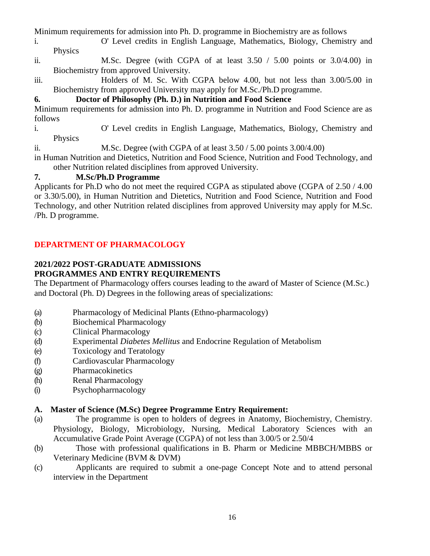Minimum requirements for admission into Ph. D. programme in Biochemistry are as follows

- i. O' Level credits in English Language, Mathematics, Biology, Chemistry and Physics
- ii. M.Sc. Degree (with CGPA of at least  $3.50 / 5.00$  points or  $3.0/4.00$ ) in Biochemistry from approved University.
- iii. Holders of M. Sc. With CGPA below 4.00, but not less than 3.00/5.00 in Biochemistry from approved University may apply for M.Sc./Ph.D programme.

## **6. Doctor of Philosophy (Ph. D.) in Nutrition and Food Science**

Minimum requirements for admission into Ph. D. programme in Nutrition and Food Science are as follows

i. O' Level credits in English Language, Mathematics, Biology, Chemistry and Physics

ii. M.Sc. Degree (with CGPA of at least 3.50 / 5.00 points 3.00/4.00)

in Human Nutrition and Dietetics, Nutrition and Food Science, Nutrition and Food Technology, and other Nutrition related disciplines from approved University.

## **7. M.Sc/Ph.D Programme**

Applicants for Ph.D who do not meet the required CGPA as stipulated above (CGPA of 2.50 / 4.00 or 3.30/5.00), in Human Nutrition and Dietetics, Nutrition and Food Science, Nutrition and Food Technology, and other Nutrition related disciplines from approved University may apply for M.Sc. /Ph. D programme.

## **DEPARTMENT OF PHARMACOLOGY**

### **2021/2022 POST-GRADUATE ADMISSIONS PROGRAMMES AND ENTRY REQUIREMENTS**

The Department of Pharmacology offers courses leading to the award of Master of Science (M.Sc.) and Doctoral (Ph. D) Degrees in the following areas of specializations:

- (a) Pharmacology of Medicinal Plants (Ethno-pharmacology)
- (b) Biochemical Pharmacology
- (c) Clinical Pharmacology
- (d) Experimental *Diabetes Mellitus* and Endocrine Regulation of Metabolism
- (e) Toxicology and Teratology
- (f) Cardiovascular Pharmacology
- (g) Pharmacokinetics
- (h) Renal Pharmacology
- (i) Psychopharrnacology

## **A. Master of Science (M.Sc) Degree Programme Entry Requirement:**

- (a) The programme is open to holders of degrees in Anatomy, Biochemistry, Chemistry. Physiology, Biology, Microbiology, Nursing, Medical Laboratory Sciences with an Accumulative Grade Point Average (CGPA) of not less than 3.00/5 or 2.50/4
- (b) Those with professional qualifications in B. Pharm or Medicine MBBCH/MBBS or Veterinary Medicine (BVM & DVM)
- (c) Applicants are required to submit a one-page Concept Note and to attend personal interview in the Department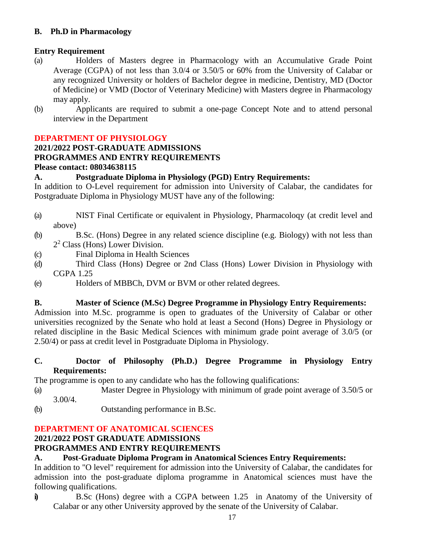### **B. Ph.D in Pharmacology**

### **Entry Requirement**

- (a) Holders of Masters degree in Pharmacology with an Accumulative Grade Point Average (CGPA) of not less than 3.0/4 or 3.50/5 or 60% from the University of Calabar or any recognized University or holders of Bachelor degree in medicine, Dentistry, MD (Doctor of Medicine) or VMD (Doctor of Veterinary Medicine) with Masters degree in Pharmacology may apply.
- (b) Applicants are required to submit a one-page Concept Note and to attend personal interview in the Department

#### **DEPARTMENT OF PHYSIOLOGY**

#### **2021/2022 POST-GRADUATE ADMISSIONS**

#### **PROGRAMMES AND ENTRY REQUIREMENTS**

#### **Please contact: 08034638115**

### **A. Postgraduate Diploma in Physiology (PGD) Entry Requirements:**

In addition to O-Level requirement for admission into University of Calabar, the candidates for Postgraduate Diploma in Physiology MUST have any of the following:

- (a) NIST Final Certificate or equivalent in Physiology, Pharmacoloqy (at credit level and above)
- (b) B.Sc. (Hons) Degree in any related science discipline (e.g. Biology) with not less than  $2<sup>2</sup>$  Class (Hons) Lower Division.
- (c) Final Diploma in Health Sciences
- (d) Third Class (Hons) Degree or 2nd Class (Hons) Lower Division in Physiology with CGPA 1.25
- (e) Holders of MBBCh, DVM or BVM or other related degrees.

### **B. Master of Science (M.Sc) Degree Programme in Physiology Entry Requirements:**

Admission into M.Sc. programme is open to graduates of the University of Calabar or other universities recognized by the Senate who hold at least a Second (Hons) Degree in Physiology or related discipline in the Basic Medical Sciences with minimum grade point average of 3.0/5 (or 2.50/4) or pass at credit level in Postgraduate Diploma in Physiology.

#### **C. Doctor of Philosophy (Ph.D.) Degree Programme in Physiology Entry Requirements:**

The programme is open to any candidate who has the following qualifications:

- (a) Master Degree in Physiology with minimum of grade point average of 3.50/5 or 3.00/4.
- (b) Outstanding performance in B.Sc.

#### **DEPARTMENT OF ANATOMICAL SCIENCES**

#### **2021/2022 POST GRADUATE ADMISSIONS**

#### **PROGRAMMES AND ENTRY REQUIREMENTS**

### **A. Post-Graduate Diploma Program in Anatomical Sciences Entry Requirements:**

In addition to "O level" requirement for admission into the University of Calabar, the candidates for admission into the post-graduate diploma programme in Anatomical sciences must have the following qualifications.

**i)** B.Sc (Hons) degree with a CGPA between 1.25 in Anatomy of the University of Calabar or any other University approved by the senate of the University of Calabar.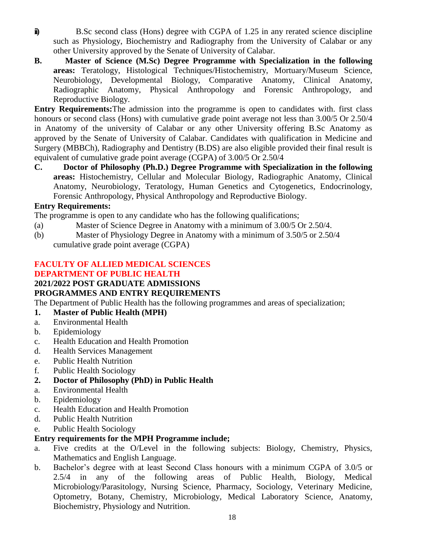**ii**) B.Sc second class (Hons) degree with CGPA of 1.25 in any rerated science discipline such as Physiology, Biochemistry and Radiography from the University of Calabar or any other University approved by the Senate of University of Calabar.

**B. Master of Science (M.Sc) Degree Programme with Specialization in the following areas:** Teratology, Histological Techniques/Histochemistry, Mortuary/Museum Science, Neurobiology, Developmental Biology, Comparative Anatomy, Clinical Anatomy, Radiographic Anatomy, Physical Anthropology and Forensic Anthropology, and Reproductive Biology.

**Entry Requirements:**The admission into the programme is open to candidates with. first class honours or second class (Hons) with cumulative grade point average not less than 3.00/5 Or 2.50/4 in Anatomy of the university of Calabar or any other University offering B.Sc Anatomy as approved by the Senate of University of Calabar. Candidates with qualification in Medicine and Surgery (MBBCh), Radiography and Dentistry (B.DS) are also eligible provided their final result is equivalent of cumulative grade point average (CGPA) of 3.00/5 Or 2.50/4

**C. Doctor of Philosophy (Ph.D.) Degree Programme with Specialization in the following areas:** Histochemistry, Cellular and Molecular Biology, Radiographic Anatomy, Clinical Anatomy, Neurobiology, Teratology, Human Genetics and Cytogenetics, Endocrinology, Forensic Anthropology, Physical Anthropology and Reproductive Biology.

### **Entry Requirements:**

The programme is open to any candidate who has the following qualifications;

- (a) Master of Science Degree in Anatomy with a minimum of 3.00/5 Or 2.50/4.
- (b) Master of Physiology Degree in Anatomy with a minimum of 3.50/5 or 2.50/4 cumulative grade point average (CGPA)

#### **FACULTY OF ALLIED MEDICAL SCIENCES DEPARTMENT OF PUBLIC HEALTH**

### **2021/2022 POST GRADUATE ADMISSIONS**

### **PROGRAMMES AND ENTRY REQUIREMENTS**

The Department of Public Health has the following programmes and areas of specialization;

- **1. Master of Public Health (MPH)**
- a. Environmental Health
- b. Epidemiology
- c. Health Education and Health Promotion
- d. Health Services Management
- e. Public Health Nutrition
- f. Public Health Sociology

### **2. Doctor of Philosophy (PhD) in Public Health**

- a. Environmental Health
- b. Epidemiology
- c. Health Education and Health Promotion
- d. Public Health Nutrition
- e. Public Health Sociology

### **Entry requirements for the MPH Programme include;**

- a. Five credits at the O/Level in the following subjects: Biology, Chemistry, Physics, Mathematics and English Language.
- b. Bachelor's degree with at least Second Class honours with a minimum CGPA of 3.0/5 or 2.5/4 in any of the following areas of Public Health, Biology, Medical Microbiology/Parasitology, Nursing Science, Pharmacy, Sociology, Veterinary Medicine, Optometry, Botany, Chemistry, Microbiology, Medical Laboratory Science, Anatomy, Biochemistry, Physiology and Nutrition.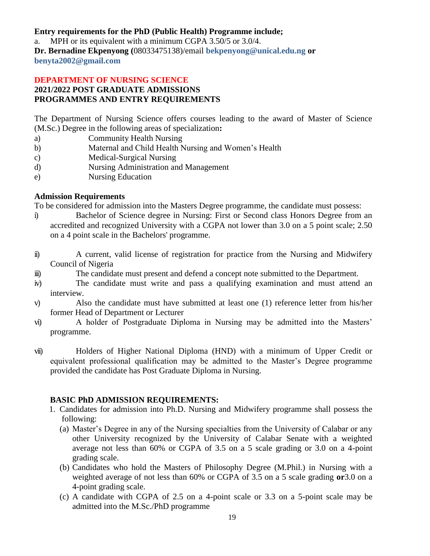#### **Entry requirements for the PhD (Public Health) Programme include;**

a. MPH or its equivalent with a minimum CGPA 3.50/5 or 3.0/4.

**Dr. Bernadine Ekpenyong (**08033475138)/email **bekpenyong@unical.edu.ng or benyta2002@gmail.com**

#### **DEPARTMENT OF NURSING SCIENCE 2021/2022 POST GRADUATE ADMISSIONS PROGRAMMES AND ENTRY REQUIREMENTS**

The Department of Nursing Science offers courses leading to the award of Master of Science (M.Sc.) Degree in the following areas of specialization**:**

- a) Community Health Nursing
- b) Maternal and Child Health Nursing and Women's Health
- c) Medical-Surgical Nursing
- d) Nursing Administration and Management
- e) Nursing Education

### **Admission Requirements**

To be considered for admission into the Masters Degree programme, the candidate must possess:

- i) Bachelor of Science degree in Nursing: First or Second class Honors Degree from an accredited and recognized University with a CGPA not lower than 3.0 on a 5 point scale; 2.50 on a 4 point scale in the Bachelors' programme.
- ii) A current, valid license of registration for practice from the Nursing and Midwifery Council of Nigeria
- iii) The candidate must present and defend a concept note submitted to the Department.
- iv) The candidate must write and pass a qualifying examination and must attend an interview.
- v) Also the candidate must have submitted at least one (1) reference letter from his/her former Head of Department or Lecturer
- vi) A holder of Postgraduate Diploma in Nursing may be admitted into the Masters' programme.
- vii) Holders of Higher National Diploma (HND) with a minimum of Upper Credit or equivalent professional qualification may be admitted to the Master's Degree programme provided the candidate has Post Graduate Diploma in Nursing.

### **BASIC PhD ADMISSION REQUIREMENTS:**

- 1. Candidates for admission into Ph.D. Nursing and Midwifery programme shall possess the following:
	- (a) Master's Degree in any of the Nursing specialties from the University of Calabar or any other University recognized by the University of Calabar Senate with a weighted average not less than 60% or CGPA of 3.5 on a 5 scale grading or 3.0 on a 4-point grading scale.
	- (b) Candidates who hold the Masters of Philosophy Degree (M.Phil.) in Nursing with a weighted average of not less than 60% or CGPA of 3.5 on a 5 scale grading **or**3.0 on a 4-point grading scale.
	- (c) A candidate with CGPA of 2.5 on a 4-point scale or 3.3 on a 5-point scale may be admitted into the M.Sc./PhD programme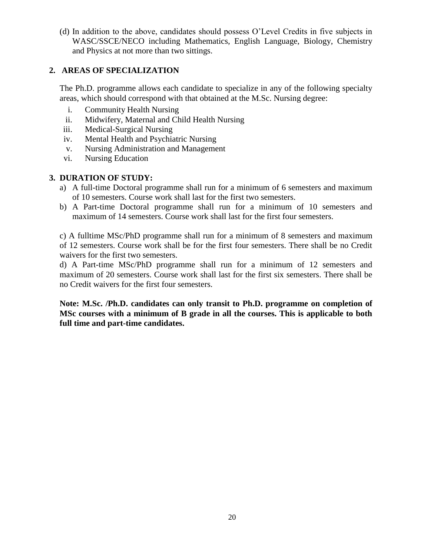(d) In addition to the above, candidates should possess O'Level Credits in five subjects in WASC/SSCE/NECO including Mathematics, English Language, Biology, Chemistry and Physics at not more than two sittings.

### **2. AREAS OF SPECIALIZATION**

The Ph.D. programme allows each candidate to specialize in any of the following specialty areas, which should correspond with that obtained at the M.Sc. Nursing degree:

- i. Community Health Nursing
- ii. Midwifery, Maternal and Child Health Nursing
- iii. Medical-Surgical Nursing
- iv. Mental Health and Psychiatric Nursing
- v. Nursing Administration and Management
- vi. Nursing Education

### **3. DURATION OF STUDY:**

- a) A full-time Doctoral programme shall run for a minimum of 6 semesters and maximum of 10 semesters. Course work shall last for the first two semesters.
- b) A Part-time Doctoral programme shall run for a minimum of 10 semesters and maximum of 14 semesters. Course work shall last for the first four semesters.

c) A fulltime MSc/PhD programme shall run for a minimum of 8 semesters and maximum of 12 semesters. Course work shall be for the first four semesters. There shall be no Credit waivers for the first two semesters.

d) A Part-time MSc/PhD programme shall run for a minimum of 12 semesters and maximum of 20 semesters. Course work shall last for the first six semesters. There shall be no Credit waivers for the first four semesters.

**Note: M.Sc. /Ph.D. candidates can only transit to Ph.D. programme on completion of MSc courses with a minimum of B grade in all the courses. This is applicable to both full time and part-time candidates.**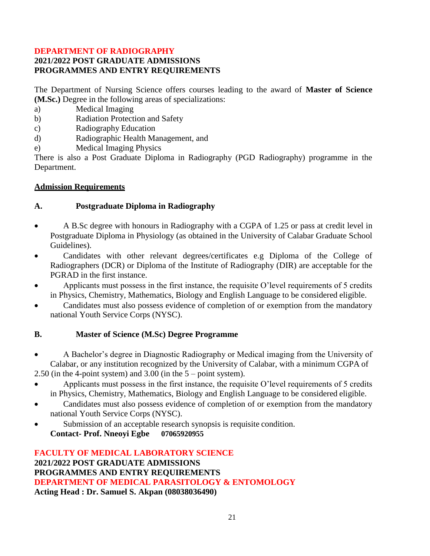#### **DEPARTMENT OF RADIOGRAPHY 2021/2022 POST GRADUATE ADMISSIONS PROGRAMMES AND ENTRY REQUIREMENTS**

The Department of Nursing Science offers courses leading to the award of **Master of Science (M.Sc.)** Degree in the following areas of specializations:

- a) Medical Imaging
- b) Radiation Protection and Safety
- c) Radiography Education
- d) Radiographic Health Management, and
- e) Medical Imaging Physics

There is also a Post Graduate Diploma in Radiography (PGD Radiography) programme in the Department.

### **Admission Requirements**

### **A. Postgraduate Diploma in Radiography**

- A B.Sc degree with honours in Radiography with a CGPA of 1.25 or pass at credit level in Postgraduate Diploma in Physiology (as obtained in the University of Calabar Graduate School Guidelines).
- Candidates with other relevant degrees/certificates e.g Diploma of the College of Radiographers (DCR) or Diploma of the Institute of Radiography (DIR) are acceptable for the PGRAD in the first instance.
- Applicants must possess in the first instance, the requisite O'level requirements of 5 credits in Physics, Chemistry, Mathematics, Biology and English Language to be considered eligible.
- Candidates must also possess evidence of completion of or exemption from the mandatory national Youth Service Corps (NYSC).

### **B. Master of Science (M.Sc) Degree Programme**

 A Bachelor's degree in Diagnostic Radiography or Medical imaging from the University of Calabar, or any institution recognized by the University of Calabar, with a minimum CGPA of

2.50 (in the 4-point system) and 3.00 (in the 5 – point system).

- Applicants must possess in the first instance, the requisite O'level requirements of 5 credits in Physics, Chemistry, Mathematics, Biology and English Language to be considered eligible.
- Candidates must also possess evidence of completion of or exemption from the mandatory national Youth Service Corps (NYSC).
- Submission of an acceptable research synopsis is requisite condition. **Contact- Prof. Nneoyi Egbe 07065920955**

**FACULTY OF MEDICAL LABORATORY SCIENCE 2021/2022 POST GRADUATE ADMISSIONS PROGRAMMES AND ENTRY REQUIREMENTS DEPARTMENT OF MEDICAL PARASITOLOGY & ENTOMOLOGY Acting Head : Dr. Samuel S. Akpan (08038036490)**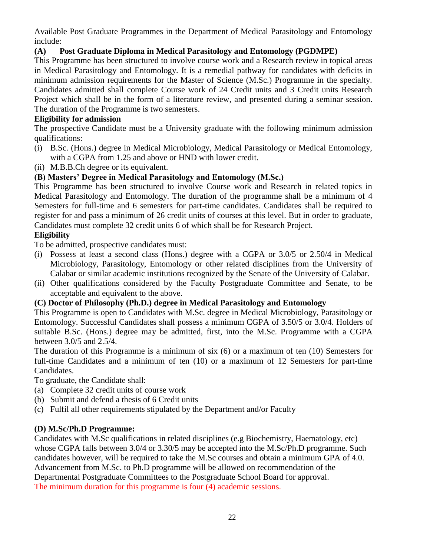Available Post Graduate Programmes in the Department of Medical Parasitology and Entomology include:

### **(A) Post Graduate Diploma in Medical Parasitology and Entomology (PGDMPE)**

This Programme has been structured to involve course work and a Research review in topical areas in Medical Parasitology and Entomology. It is a remedial pathway for candidates with deficits in minimum admission requirements for the Master of Science (M.Sc.) Programme in the specialty. Candidates admitted shall complete Course work of 24 Credit units and 3 Credit units Research Project which shall be in the form of a literature review, and presented during a seminar session. The duration of the Programme is two semesters.

### **Eligibility for admission**

The prospective Candidate must be a University graduate with the following minimum admission qualifications:

- (i) B.Sc. (Hons.) degree in Medical Microbiology, Medical Parasitology or Medical Entomology, with a CGPA from 1.25 and above or HND with lower credit.
- (ii) M.B.B.Ch degree or its equivalent.

## **(B) Masters' Degree in Medical Parasitology and Entomology (M.Sc.)**

This Programme has been structured to involve Course work and Research in related topics in Medical Parasitology and Entomology. The duration of the programme shall be a minimum of 4 Semesters for full-time and 6 semesters for part-time candidates. Candidates shall be required to register for and pass a minimum of 26 credit units of courses at this level. But in order to graduate, Candidates must complete 32 credit units 6 of which shall be for Research Project.

### **Eligibility**

To be admitted, prospective candidates must:

- (i) Possess at least a second class (Hons.) degree with a CGPA or 3.0/5 or 2.50/4 in Medical Microbiology, Parasitology, Entomology or other related disciplines from the University of Calabar or similar academic institutions recognized by the Senate of the University of Calabar.
- (ii) Other qualifications considered by the Faculty Postgraduate Committee and Senate, to be acceptable and equivalent to the above.

### **(C) Doctor of Philosophy (Ph.D.) degree in Medical Parasitology and Entomology**

This Programme is open to Candidates with M.Sc. degree in Medical Microbiology, Parasitology or Entomology. Successful Candidates shall possess a minimum CGPA of 3.50/5 or 3.0/4. Holders of suitable B.Sc. (Hons.) degree may be admitted, first, into the M.Sc. Programme with a CGPA between 3.0/5 and 2.5/4.

The duration of this Programme is a minimum of six (6) or a maximum of ten (10) Semesters for full-time Candidates and a minimum of ten (10) or a maximum of 12 Semesters for part-time Candidates.

To graduate, the Candidate shall:

- (a) Complete 32 credit units of course work
- (b) Submit and defend a thesis of 6 Credit units
- (c) Fulfil all other requirements stipulated by the Department and/or Faculty

## **(D) M.Sc/Ph.D Programme:**

Candidates with M.Sc qualifications in related disciplines (e.g Biochemistry, Haematology, etc) whose CGPA falls between 3.0/4 or 3.30/5 may be accepted into the M.Sc/Ph.D programme. Such candidates however, will be required to take the M.Sc courses and obtain a minimum GPA of 4.0. Advancement from M.Sc. to Ph.D programme will be allowed on recommendation of the Departmental Postgraduate Committees to the Postgraduate School Board for approval. The minimum duration for this programme is four (4) academic sessions.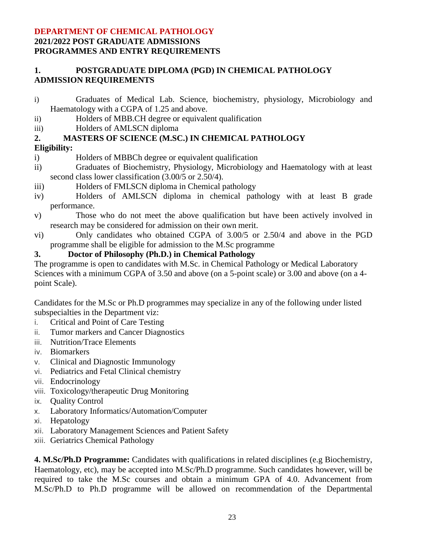### **DEPARTMENT OF CHEMICAL PATHOLOGY 2021/2022 POST GRADUATE ADMISSIONS PROGRAMMES AND ENTRY REQUIREMENTS**

### **1. POSTGRADUATE DIPLOMA (PGD) IN CHEMICAL PATHOLOGY ADMISSION REQUIREMENTS**

- i) Graduates of Medical Lab. Science, biochemistry, physiology, Microbiology and Haematology with a CGPA of 1.25 and above.
- ii) Holders of MBB.CH degree or equivalent qualification
- iii) Holders of AMLSCN diploma

## **2. MASTERS OF SCIENCE (M.SC.) IN CHEMICAL PATHOLOGY**

### **Eligibility:**

- i) Holders of MBBCh degree or equivalent qualification
- ii) Graduates of Biochemistry, Physiology, Microbiology and Haematology with at least second class lower classification (3.00/5 or 2.50/4).
- iii) Holders of FMLSCN diploma in Chemical pathology
- iv) Holders of AMLSCN diploma in chemical pathology with at least B grade performance.
- v) Those who do not meet the above qualification but have been actively involved in research may be considered for admission on their own merit.
- vi) Only candidates who obtained CGPA of 3.00/5 or 2.50/4 and above in the PGD programme shall be eligible for admission to the M.Sc programme

### **3. Doctor of Philosophy (Ph.D.) in Chemical Pathology**

The programme is open to candidates with M.Sc. in Chemical Pathology or Medical Laboratory Sciences with a minimum CGPA of 3.50 and above (on a 5-point scale) or 3.00 and above (on a 4 point Scale).

Candidates for the M.Sc or Ph.D programmes may specialize in any of the following under listed subspecialties in the Department viz:

- i. Critical and Point of Care Testing
- ii. Tumor markers and Cancer Diagnostics
- iii. Nutrition/Trace Elements
- iv. Biomarkers
- v. Clinical and Diagnostic Immunology
- vi. Pediatrics and Fetal Clinical chemistry
- vii. Endocrinology
- viii. Toxicology/therapeutic Drug Monitoring
- ix. Quality Control
- x. Laboratory Informatics/Automation/Computer
- xi. Hepatology
- xii. Laboratory Management Sciences and Patient Safety
- xiii. Geriatrics Chemical Pathology

**4. M.Sc/Ph.D Programme:** Candidates with qualifications in related disciplines (e.g Biochemistry, Haematology, etc), may be accepted into M.Sc/Ph.D programme. Such candidates however, will be required to take the M.Sc courses and obtain a minimum GPA of 4.0. Advancement from M.Sc/Ph.D to Ph.D programme will be allowed on recommendation of the Departmental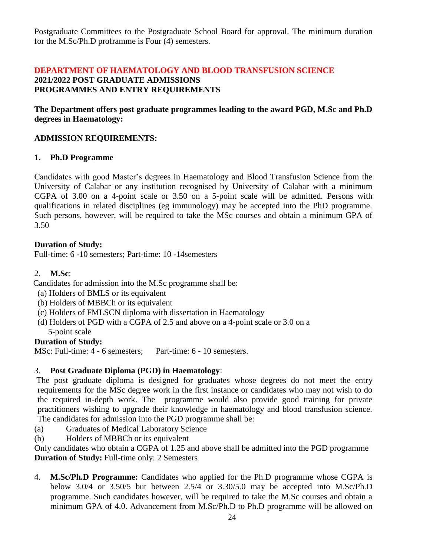Postgraduate Committees to the Postgraduate School Board for approval. The minimum duration for the M.Sc/Ph.D proframme is Four (4) semesters.

#### **DEPARTMENT OF HAEMATOLOGY AND BLOOD TRANSFUSION SCIENCE 2021/2022 POST GRADUATE ADMISSIONS PROGRAMMES AND ENTRY REQUIREMENTS**

**The Department offers post graduate programmes leading to the award PGD, M.Sc and Ph.D degrees in Haematology:**

#### **ADMISSION REQUIREMENTS:**

#### **1. Ph.D Programme**

Candidates with good Master's degrees in Haematology and Blood Transfusion Science from the University of Calabar or any institution recognised by University of Calabar with a minimum CGPA of 3.00 on a 4-point scale or 3.50 on a 5-point scale will be admitted. Persons with qualifications in related disciplines (eg immunology) may be accepted into the PhD programme. Such persons, however, will be required to take the MSc courses and obtain a minimum GPA of 3.50

#### **Duration of Study:**

Full-time: 6 -10 semesters; Part-time: 10 -14semesters

#### 2. **M.Sc**:

Candidates for admission into the M.Sc programme shall be:

- (a) Holders of BMLS or its equivalent
- (b) Holders of MBBCh or its equivalent
- (c) Holders of FMLSCN diploma with dissertation in Haematology
- (d) Holders of PGD with a CGPA of 2.5 and above on a 4-point scale or 3.0 on a 5-point scale

#### **Duration of Study:**

MSc: Full-time: 4 - 6 semesters; Part-time: 6 - 10 semesters.

#### 3. **Post Graduate Diploma (PGD) in Haematology**:

The post graduate diploma is designed for graduates whose degrees do not meet the entry requirements for the MSc degree work in the first instance or candidates who may not wish to do the required in-depth work. The programme would also provide good training for private practitioners wishing to upgrade their knowledge in haematology and blood transfusion science. The candidates for admission into the PGD programme shall be:

- (a) Graduates of Medical Laboratory Science
- (b) Holders of MBBCh or its equivalent

Only candidates who obtain a CGPA of 1.25 and above shall be admitted into the PGD programme **Duration of Study:** Full-time only: 2 Semesters

4. **M.Sc/Ph.D Programme:** Candidates who applied for the Ph.D programme whose CGPA is below 3.0/4 or 3.50/5 but between 2.5/4 or 3.30/5.0 may be accepted into M.Sc/Ph.D programme. Such candidates however, will be required to take the M.Sc courses and obtain a minimum GPA of 4.0. Advancement from M.Sc/Ph.D to Ph.D programme will be allowed on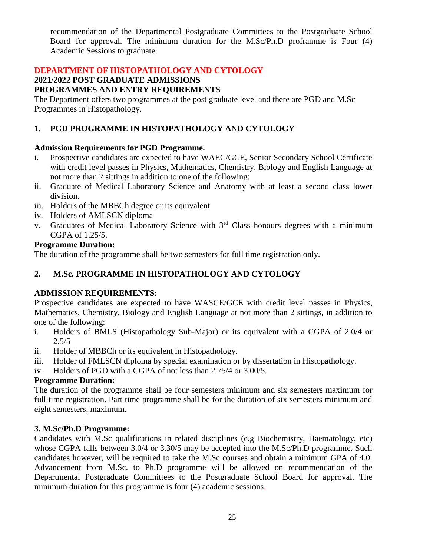recommendation of the Departmental Postgraduate Committees to the Postgraduate School Board for approval. The minimum duration for the M.Sc/Ph.D proframme is Four (4) Academic Sessions to graduate.

### **DEPARTMENT OF HISTOPATHOLOGY AND CYTOLOGY**

### **2021/2022 POST GRADUATE ADMISSIONS**

#### **PROGRAMMES AND ENTRY REQUIREMENTS**

The Department offers two programmes at the post graduate level and there are PGD and M.Sc Programmes in Histopathology.

### **1. PGD PROGRAMME IN HISTOPATHOLOGY AND CYTOLOGY**

#### **Admission Requirements for PGD Programme.**

- i. Prospective candidates are expected to have WAEC/GCE, Senior Secondary School Certificate with credit level passes in Physics, Mathematics, Chemistry, Biology and English Language at not more than 2 sittings in addition to one of the following:
- ii. Graduate of Medical Laboratory Science and Anatomy with at least a second class lower division.
- iii. Holders of the MBBCh degree or its equivalent
- iv. Holders of AMLSCN diploma
- v. Graduates of Medical Laboratory Science with 3<sup>rd</sup> Class honours degrees with a minimum CGPA of 1.25/5.

#### **Programme Duration:**

The duration of the programme shall be two semesters for full time registration only.

### **2. M.Sc. PROGRAMME IN HISTOPATHOLOGY AND CYTOLOGY**

#### **ADMISSION REQUIREMENTS:**

Prospective candidates are expected to have WASCE/GCE with credit level passes in Physics, Mathematics, Chemistry, Biology and English Language at not more than 2 sittings, in addition to one of the following:

- i. Holders of BMLS (Histopathology Sub-Major) or its equivalent with a CGPA of 2.0/4 or  $2.5/5$
- ii. Holder of MBBCh or its equivalent in Histopathology.
- iii. Holder of FMLSCN diploma by special examination or by dissertation in Histopathology.
- iv. Holders of PGD with a CGPA of not less than 2.75/4 or 3.00/5.

#### **Programme Duration:**

The duration of the programme shall be four semesters minimum and six semesters maximum for full time registration. Part time programme shall be for the duration of six semesters minimum and eight semesters, maximum.

#### **3. M.Sc/Ph.D Programme:**

Candidates with M.Sc qualifications in related disciplines (e.g Biochemistry, Haematology, etc) whose CGPA falls between 3.0/4 or 3.30/5 may be accepted into the M.Sc/Ph.D programme. Such candidates however, will be required to take the M.Sc courses and obtain a minimum GPA of 4.0. Advancement from M.Sc. to Ph.D programme will be allowed on recommendation of the Departmental Postgraduate Committees to the Postgraduate School Board for approval. The minimum duration for this programme is four (4) academic sessions.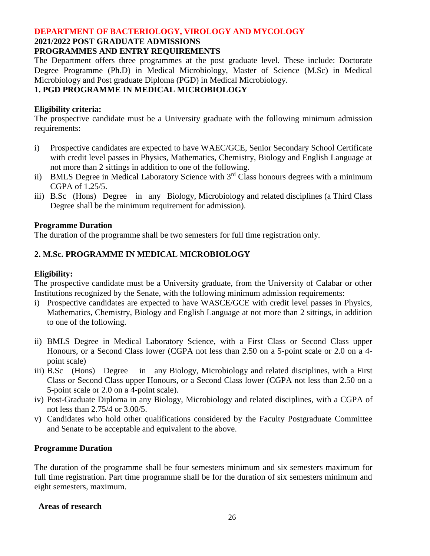#### **DEPARTMENT OF BACTERIOLOGY, VIROLOGY AND MYCOLOGY**

# **2021/2022 POST GRADUATE ADMISSIONS**

## **PROGRAMMES AND ENTRY REQUIREMENTS**

The Department offers three programmes at the post graduate level. These include: Doctorate Degree Programme (Ph.D) in Medical Microbiology, Master of Science (M.Sc) in Medical Microbiology and Post graduate Diploma (PGD) in Medical Microbiology.

## **1. PGD PROGRAMME IN MEDICAL MICROBIOLOGY**

## **Eligibility criteria:**

The prospective candidate must be a University graduate with the following minimum admission requirements:

- i) Prospective candidates are expected to have WAEC/GCE, Senior Secondary School Certificate with credit level passes in Physics, Mathematics, Chemistry, Biology and English Language at not more than 2 sittings in addition to one of the following.
- ii) BMLS Degree in Medical Laboratory Science with 3<sup>rd</sup> Class honours degrees with a minimum CGPA of 1.25/5.
- iii) B.Sc (Hons) Degree in any Biology, Microbiology and related disciplines (a Third Class Degree shall be the minimum requirement for admission).

## **Programme Duration**

The duration of the programme shall be two semesters for full time registration only.

## **2. M.Sc. PROGRAMME IN MEDICAL MICROBIOLOGY**

#### **Eligibility:**

The prospective candidate must be a University graduate, from the University of Calabar or other Institutions recognized by the Senate, with the following minimum admission requirements:

- i) Prospective candidates are expected to have WASCE/GCE with credit level passes in Physics, Mathematics, Chemistry, Biology and English Language at not more than 2 sittings, in addition to one of the following.
- ii) BMLS Degree in Medical Laboratory Science, with a First Class or Second Class upper Honours, or a Second Class lower (CGPA not less than 2.50 on a 5-point scale or 2.0 on a 4 point scale)
- iii) B.Sc (Hons) Degree in any Biology, Microbiology and related disciplines, with a First Class or Second Class upper Honours, or a Second Class lower (CGPA not less than 2.50 on a 5-point scale or 2.0 on a 4-point scale).
- iv) Post-Graduate Diploma in any Biology, Microbiology and related disciplines, with a CGPA of not less than 2.75/4 or 3.00/5.
- v) Candidates who hold other qualifications considered by the Faculty Postgraduate Committee and Senate to be acceptable and equivalent to the above.

#### **Programme Duration**

The duration of the programme shall be four semesters minimum and six semesters maximum for full time registration. Part time programme shall be for the duration of six semesters minimum and eight semesters, maximum.

#### **Areas of research**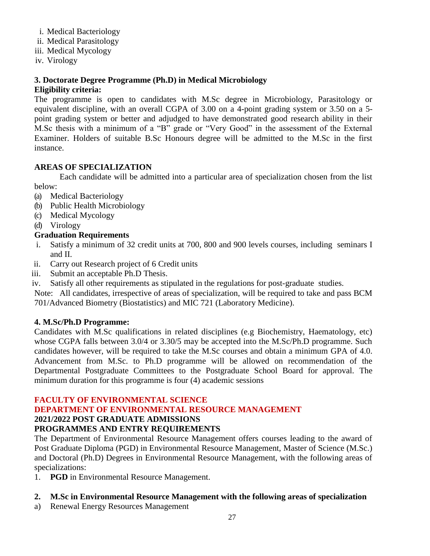- i. Medical Bacteriology
- ii. Medical Parasitology
- iii. Medical Mycology
- iv. Virology

### **3. Doctorate Degree Programme (Ph.D) in Medical Microbiology**

### **Eligibility criteria:**

The programme is open to candidates with M.Sc degree in Microbiology, Parasitology or equivalent discipline, with an overall CGPA of 3.00 on a 4-point grading system or 3.50 on a 5 point grading system or better and adjudged to have demonstrated good research ability in their M.Sc thesis with a minimum of a "B" grade or "Very Good" in the assessment of the External Examiner. Holders of suitable B.Sc Honours degree will be admitted to the M.Sc in the first instance.

### **AREAS OF SPECIALIZATION**

Each candidate will be admitted into a particular area of specialization chosen from the list below:

- (a) Medical Bacteriology
- (b) Public Health Microbiology
- (c) Medical Mycology
- (d) Virology

## **Graduation Requirements**

- i. Satisfy a minimum of 32 credit units at 700, 800 and 900 levels courses, including seminars I and II.
- ii. Carry out Research project of 6 Credit units
- iii. Submit an acceptable Ph.D Thesis.
- iv. Satisfy all other requirements as stipulated in the regulations for post-graduate studies.

Note: All candidates, irrespective of areas of specialization, will be required to take and pass BCM 701/Advanced Biometry (Biostatistics) and MIC 721 (Laboratory Medicine).

### **4. M.Sc/Ph.D Programme:**

Candidates with M.Sc qualifications in related disciplines (e.g Biochemistry, Haematology, etc) whose CGPA falls between 3.0/4 or 3.30/5 may be accepted into the M.Sc/Ph.D programme. Such candidates however, will be required to take the M.Sc courses and obtain a minimum GPA of 4.0. Advancement from M.Sc. to Ph.D programme will be allowed on recommendation of the Departmental Postgraduate Committees to the Postgraduate School Board for approval. The minimum duration for this programme is four (4) academic sessions

#### **FACULTY OF ENVIRONMENTAL SCIENCE DEPARTMENT OF ENVIRONMENTAL RESOURCE MANAGEMENT 2021/2022 POST GRADUATE ADMISSIONS PROGRAMMES AND ENTRY REQUIREMENTS**

The Department of Environmental Resource Management offers courses leading to the award of Post Graduate Diploma (PGD) in Environmental Resource Management, Master of Science (M.Sc.) and Doctoral (Ph.D) Degrees in Environmental Resource Management, with the following areas of specializations:

1. **PGD** in Environmental Resource Management.

### **2. M.Sc in Environmental Resource Management with the following areas of specialization**

a) Renewal Energy Resources Management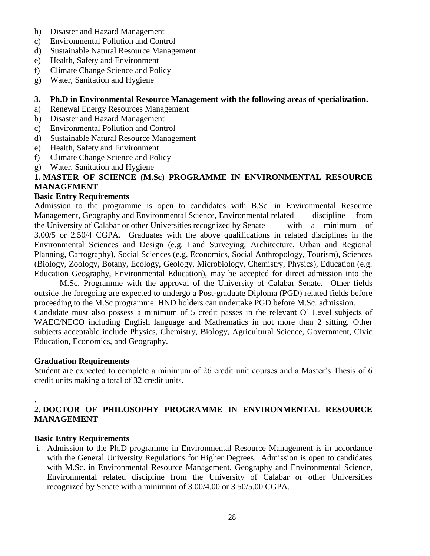- b) Disaster and Hazard Management
- c) Environmental Pollution and Control
- d) Sustainable Natural Resource Management
- e) Health, Safety and Environment
- f) Climate Change Science and Policy
- g) Water, Sanitation and Hygiene

#### **3. Ph.D in Environmental Resource Management with the following areas of specialization.**

- a) Renewal Energy Resources Management
- b) Disaster and Hazard Management
- c) Environmental Pollution and Control
- d) Sustainable Natural Resource Management
- e) Health, Safety and Environment
- f) Climate Change Science and Policy
- g) Water, Sanitation and Hygiene

### **1. MASTER OF SCIENCE (M.Sc) PROGRAMME IN ENVIRONMENTAL RESOURCE MANAGEMENT**

#### **Basic Entry Requirements**

Admission to the programme is open to candidates with B.Sc. in Environmental Resource Management, Geography and Environmental Science, Environmental related discipline from the University of Calabar or other Universities recognized by Senate with a minimum of 3.00/5 or 2.50/4 CGPA. Graduates with the above qualifications in related disciplines in the Environmental Sciences and Design (e.g. Land Surveying, Architecture, Urban and Regional Planning, Cartography), Social Sciences (e.g. Economics, Social Anthropology, Tourism), Sciences (Biology, Zoology, Botany, Ecology, Geology, Microbiology, Chemistry, Physics), Education (e.g. Education Geography, Environmental Education), may be accepted for direct admission into the

M.Sc. Programme with the approval of the University of Calabar Senate. Other fields outside the foregoing are expected to undergo a Post-graduate Diploma (PGD) related fields before proceeding to the M.Sc programme. HND holders can undertake PGD before M.Sc. admission. Candidate must also possess a minimum of 5 credit passes in the relevant O' Level subjects of WAEC/NECO including English language and Mathematics in not more than 2 sitting. Other subjects acceptable include Physics, Chemistry, Biology, Agricultural Science, Government, Civic Education, Economics, and Geography.

#### **Graduation Requirements**

Student are expected to complete a minimum of 26 credit unit courses and a Master's Thesis of 6 credit units making a total of 32 credit units.

#### **2. DOCTOR OF PHILOSOPHY PROGRAMME IN ENVIRONMENTAL RESOURCE MANAGEMENT**

#### **Basic Entry Requirements**

.

i. Admission to the Ph.D programme in Environmental Resource Management is in accordance with the General University Regulations for Higher Degrees. Admission is open to candidates with M.Sc. in Environmental Resource Management, Geography and Environmental Science, Environmental related discipline from the University of Calabar or other Universities recognized by Senate with a minimum of 3.00/4.00 or 3.50/5.00 CGPA.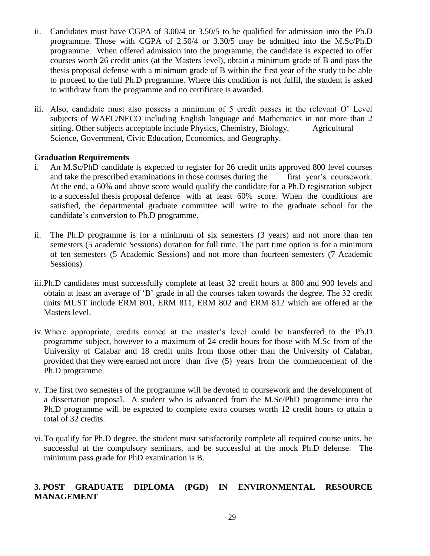- ii. Candidates must have CGPA of 3.00/4 or 3.50/5 to be qualified for admission into the Ph.D programme. Those with CGPA of 2.50/4 or 3.30/5 may be admitted into the M.Sc/Ph.D programme. When offered admission into the programme, the candidate is expected to offer courses worth 26 credit units (at the Masters level), obtain a minimum grade of B and pass the thesis proposal defense with a minimum grade of B within the first year of the study to be able to proceed to the full Ph.D programme. Where this condition is not fulfil, the student is asked to withdraw from the programme and no certificate is awarded.
- iii. Also, candidate must also possess a minimum of 5 credit passes in the relevant O' Level subjects of WAEC/NECO including English language and Mathematics in not more than 2 sitting. Other subjects acceptable include Physics, Chemistry, Biology, Agricultural Science, Government, Civic Education, Economics, and Geography.

#### **Graduation Requirements**

- i. An M.Sc/PhD candidate is expected to register for 26 credit units approved 800 level courses and take the prescribed examinations in those courses during the first year's coursework. At the end, a 60% and above score would qualify the candidate for a Ph.D registration subject to a successful thesis proposal defence with at least 60% score. When the conditions are satisfied, the departmental graduate committee will write to the graduate school for the candidate's conversion to Ph.D programme.
- ii. The Ph.D programme is for a minimum of six semesters (3 years) and not more than ten semesters (5 academic Sessions) duration for full time. The part time option is for a minimum of ten semesters (5 Academic Sessions) and not more than fourteen semesters (7 Academic Sessions).
- iii.Ph.D candidates must successfully complete at least 32 credit hours at 800 and 900 levels and obtain at least an average of 'B' grade in all the courses taken towards the degree. The 32 credit units MUST include ERM 801, ERM 811, ERM 802 and ERM 812 which are offered at the Masters level.
- iv.Where appropriate, credits earned at the master's level could be transferred to the Ph.D programme subject, however to a maximum of 24 credit hours for those with M.Sc from of the University of Calabar and 18 credit units from those other than the University of Calabar, provided that they were earned not more than five (5) years from the commencement of the Ph.D programme.
- v. The first two semesters of the programme will be devoted to coursework and the development of a dissertation proposal. A student who is advanced from the M.Sc/PhD programme into the Ph.D programme will be expected to complete extra courses worth 12 credit hours to attain a total of 32 credits.
- vi.To qualify for Ph.D degree, the student must satisfactorily complete all required course units, be successful at the compulsory seminars, and be successful at the mock Ph.D defense. The minimum pass grade for PhD examination is B.

### **3. POST GRADUATE DIPLOMA (PGD) IN ENVIRONMENTAL RESOURCE MANAGEMENT**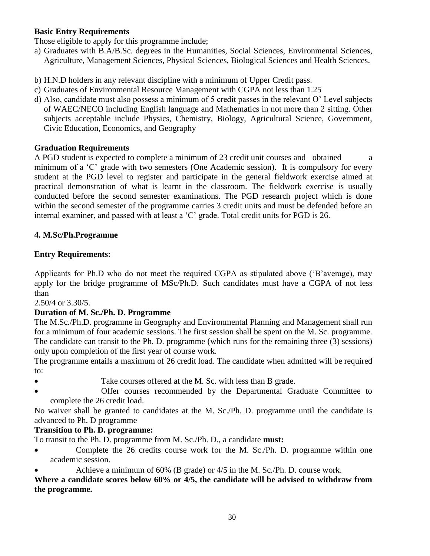### **Basic Entry Requirements**

Those eligible to apply for this programme include;

- a) Graduates with B.A/B.Sc. degrees in the Humanities, Social Sciences, Environmental Sciences, Agriculture, Management Sciences, Physical Sciences, Biological Sciences and Health Sciences.
- b) H.N.D holders in any relevant discipline with a minimum of Upper Credit pass.
- c) Graduates of Environmental Resource Management with CGPA not less than 1.25
- d) Also, candidate must also possess a minimum of 5 credit passes in the relevant O' Level subjects of WAEC/NECO including English language and Mathematics in not more than 2 sitting. Other subjects acceptable include Physics, Chemistry, Biology, Agricultural Science, Government, Civic Education, Economics, and Geography

#### **Graduation Requirements**

A PGD student is expected to complete a minimum of 23 credit unit courses and obtained a minimum of a 'C' grade with two semesters (One Academic session). It is compulsory for every student at the PGD level to register and participate in the general fieldwork exercise aimed at practical demonstration of what is learnt in the classroom. The fieldwork exercise is usually conducted before the second semester examinations. The PGD research project which is done within the second semester of the programme carries 3 credit units and must be defended before an internal examiner, and passed with at least a 'C' grade. Total credit units for PGD is 26.

### **4. M.Sc/Ph.Programme**

### **Entry Requirements:**

Applicants for Ph.D who do not meet the required CGPA as stipulated above ('B'average), may apply for the bridge programme of MSc/Ph.D. Such candidates must have a CGPA of not less than

2.50/4 or 3.30/5.

#### **Duration of M. Sc./Ph. D. Programme**

The M.Sc./Ph.D. programme in Geography and Environmental Planning and Management shall run for a minimum of four academic sessions. The first session shall be spent on the M. Sc. programme. The candidate can transit to the Ph. D. programme (which runs for the remaining three (3) sessions) only upon completion of the first year of course work.

The programme entails a maximum of 26 credit load. The candidate when admitted will be required to:

- Take courses offered at the M. Sc. with less than B grade.
- Offer courses recommended by the Departmental Graduate Committee to complete the 26 credit load.

No waiver shall be granted to candidates at the M. Sc./Ph. D. programme until the candidate is advanced to Ph. D programme

#### **Transition to Ph. D. programme:**

To transit to the Ph. D. programme from M. Sc./Ph. D., a candidate **must:**

- Complete the 26 credits course work for the M. Sc./Ph. D. programme within one academic session.
	- Achieve a minimum of 60% (B grade) or 4/5 in the M. Sc./Ph. D. course work.

**Where a candidate scores below 60% or 4/5, the candidate will be advised to withdraw from the programme.**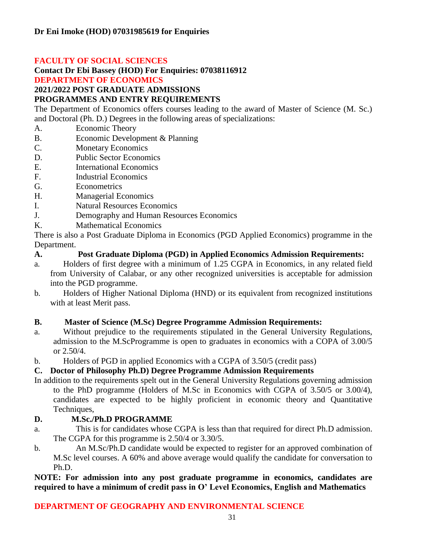### **FACULTY OF SOCIAL SCIENCES**

### **Contact Dr Ebi Bassey (HOD) For Enquiries: 07038116912**

**DEPARTMENT OF ECONOMICS**

### **2021/2022 POST GRADUATE ADMISSIONS**

#### **PROGRAMMES AND ENTRY REQUIREMENTS**

The Department of Economics offers courses leading to the award of Master of Science (M. Sc.) and Doctoral (Ph. D.) Degrees in the following areas of specializations:

- A. Economic Theory
- B. Economic Development & Planning
- C. Monetary Economics
- D. Public Sector Economics
- E. International Economics
- F. Industrial Economics
- G. Econometrics
- H. Managerial Economics
- I. Natural Resources Economics
- J. Demography and Human Resources Economics
- K. Mathematical Economics

There is also a Post Graduate Diploma in Economics (PGD Applied Economics) programme in the Department.

- **A. Post Graduate Diploma (PGD) in Applied Economics Admission Requirements:**
- a. Holders of first degree with a minimum of 1.25 CGPA in Economics, in any related field from University of Calabar, or any other recognized universities is acceptable for admission into the PGD programme.
- b. Holders of Higher National Diploma (HND) or its equivalent from recognized institutions with at least Merit pass.

### **B. Master of Science (M.Sc) Degree Programme Admission Requirements:**

- a. Without prejudice to the requirements stipulated in the General University Regulations, admission to the M.ScProgramme is open to graduates in economics with a COPA of 3.00/5 or 2.50/4.
- b. Holders of PGD in applied Economics with a CGPA of 3.50/5 (credit pass)

### **C. Doctor of Philosophy Ph.D) Degree Programme Admission Requirements**

In addition to the requirements spelt out in the General University Regulations governing admission to the PhD programme (Holders of M.Sc in Economics with CGPA of 3.50/5 or 3.00/4), candidates are expected to be highly proficient in economic theory and Quantitative Techniques,

### **D. M.Sc./Ph.D PROGRAMME**

- a. This is for candidates whose CGPA is less than that required for direct Ph.D admission. The CGPA for this programme is 2.50/4 or 3.30/5.
- b. An M.Sc/Ph.D candidate would be expected to register for an approved combination of M.Sc level courses. A 60% and above average would qualify the candidate for conversation to Ph.D.

#### **NOTE: For admission into any post graduate programme in economics, candidates are required to have a minimum of credit pass in O' Level Economics, English and Mathematics**

### **DEPARTMENT OF GEOGRAPHY AND ENVIRONMENTAL SCIENCE**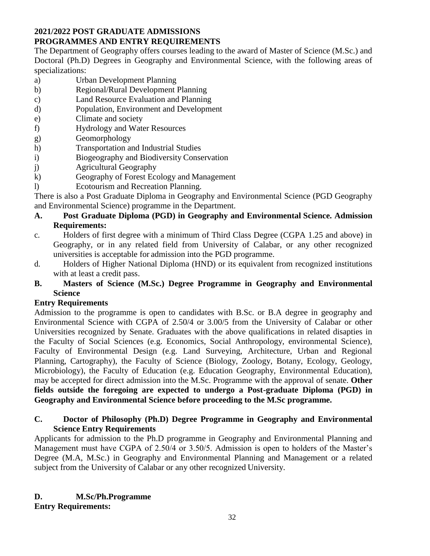#### **2021/2022 POST GRADUATE ADMISSIONS PROGRAMMES AND ENTRY REQUIREMENTS**

The Department of Geography offers courses leading to the award of Master of Science (M.Sc.) and Doctoral (Ph.D) Degrees in Geography and Environmental Science, with the following areas of specializations:

- a) Urban Development Planning
- b) Regional/Rural Development Planning
- c) Land Resource Evaluation and Planning
- d) Population, Environment and Development
- e) Climate and society
- f) Hydrology and Water Resources
- g) Geomorphology
- h) Transportation and Industrial Studies
- i) Biogeography and Biodiversity Conservation
- j) Agricultural Geography
- k) Geography of Forest Ecology and Management
- l) Ecotourism and Recreation Planning.

There is also a Post Graduate Diploma in Geography and Environmental Science (PGD Geography and Environmental Science) programme in the Department.

- **A. Post Graduate Diploma (PGD) in Geography and Environmental Science. Admission Requirements:**
- c. Holders of first degree with a minimum of Third Class Degree (CGPA 1.25 and above) in Geography, or in any related field from University of Calabar, or any other recognized universities is acceptable for admission into the PGD programme.
- d. Holders of Higher National Diploma (HND) or its equivalent from recognized institutions with at least a credit pass.
- **B. Masters of Science (M.Sc.) Degree Programme in Geography and Environmental Science**

## **Entry Requirements**

Admission to the programme is open to candidates with B.Sc. or B.A degree in geography and Environmental Science with CGPA of 2.50/4 or 3.00/5 from the University of Calabar or other Universities recognized by Senate. Graduates with the above qualifications in related disapties in the Faculty of Social Sciences (e.g. Economics, Social Anthropology, environmental Science), Faculty of Environmental Design (e.g. Land Surveying, Architecture, Urban and Regional Planning, Cartography), the Faculty of Science (Biology, Zoology, Botany, Ecology, Geology, Microbiology), the Faculty of Education (e.g. Education Geography, Environmental Education), may be accepted for direct admission into the M.Sc. Programme with the approval of senate. **Other fields outside the foregoing are expected to undergo a Post-graduate Diploma (PGD) in Geography and Environmental Science before proceeding to the M.Sc programme.**

### **C. Doctor of Philosophy (Ph.D) Degree Programme in Geography and Environmental Science Entry Requirements**

Applicants for admission to the Ph.D programme in Geography and Environmental Planning and Management must have CGPA of 2.50/4 or 3.50/5. Admission is open to holders of the Master's Degree (M.A, M.Sc.) in Geography and Environmental Planning and Management or a related subject from the University of Calabar or any other recognized University.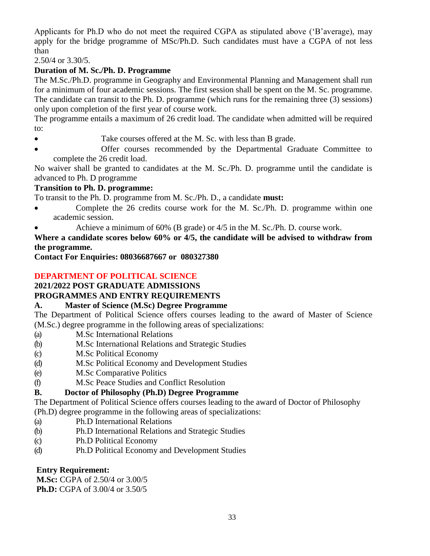Applicants for Ph.D who do not meet the required CGPA as stipulated above ('B'average), may apply for the bridge programme of MSc/Ph.D. Such candidates must have a CGPA of not less than

2.50/4 or 3.30/5.

### **Duration of M. Sc./Ph. D. Programme**

The M.Sc./Ph.D. programme in Geography and Environmental Planning and Management shall run for a minimum of four academic sessions. The first session shall be spent on the M. Sc. programme. The candidate can transit to the Ph. D. programme (which runs for the remaining three (3) sessions) only upon completion of the first year of course work.

The programme entails a maximum of 26 credit load. The candidate when admitted will be required to:

- Take courses offered at the M. Sc. with less than B grade.
- Offer courses recommended by the Departmental Graduate Committee to complete the 26 credit load.

No waiver shall be granted to candidates at the M. Sc./Ph. D. programme until the candidate is advanced to Ph. D programme

### **Transition to Ph. D. programme:**

To transit to the Ph. D. programme from M. Sc./Ph. D., a candidate **must:**

- Complete the 26 credits course work for the M. Sc./Ph. D. programme within one academic session.
- Achieve a minimum of 60% (B grade) or 4/5 in the M. Sc./Ph. D. course work.

**Where a candidate scores below 60% or 4/5, the candidate will be advised to withdraw from the programme.**

**Contact For Enquiries: 08036687667 or 080327380**

### **DEPARTMENT OF POLITICAL SCIENCE**

### **2021/2022 POST GRADUATE ADMISSIONS**

### **PROGRAMMES AND ENTRY REQUIREMENTS**

### **A. Master of Science (M.Sc) Degree Programme**

The Department of Political Science offers courses leading to the award of Master of Science (M.Sc.) degree programme in the following areas of specializations:

- (a) M.Sc International Relations
- (b) M.Sc International Relations and Strategic Studies
- (c) M.Sc Political Economy
- (d) M.Sc Political Economy and Development Studies
- (e) M.Sc Comparative Politics
- (f) M.Sc Peace Studies and Conflict Resolution

### **B. Doctor of Philosophy (Ph.D) Degree Programme**

The Department of Political Science offers courses leading to the award of Doctor of Philosophy (Ph.D) degree programme in the following areas of specializations:

- (a) Ph.D International Relations
- (b) Ph.D International Relations and Strategic Studies
- (c) Ph.D Political Economy
- (d) Ph.D Political Economy and Development Studies

### **Entry Requirement:**

**M.Sc:** CGPA of 2.50/4 or 3.00/5 **Ph.D:** CGPA of 3.00/4 or 3.50/5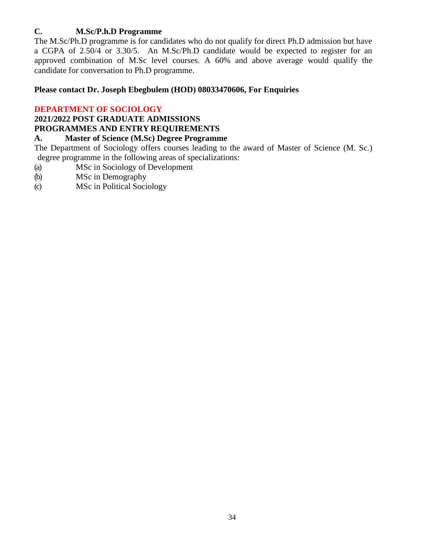### **C. M.Sc/P.h.D Programme**

The M.Sc/Ph.D programme is for candidates who do not qualify for direct Ph.D admission but have a CGPA of 2.50/4 or 3.30/5. An M.Sc/Ph.D candidate would be expected to register for an approved combination of M.Sc level courses. A 60% and above average would qualify the candidate for conversation to Ph.D programme.

### **Please contact Dr. Joseph Ebegbulem (HOD) 08033470606, For Enquiries**

### **DEPARTMENT OF SOCIOLOGY**

## **2021/2022 POST GRADUATE ADMISSIONS PROGRAMMES AND ENTRY REQUIREMENTS**

### **A. Master of Science (M.Sc) Degree Programme**

The Department of Sociology offers courses leading to the award of Master of Science (M. Sc.) degree programme in the following areas of specializations:

- (a) MSc in Sociology of Development
- (b) MSc in Demography
- (c) MSc in Political Sociology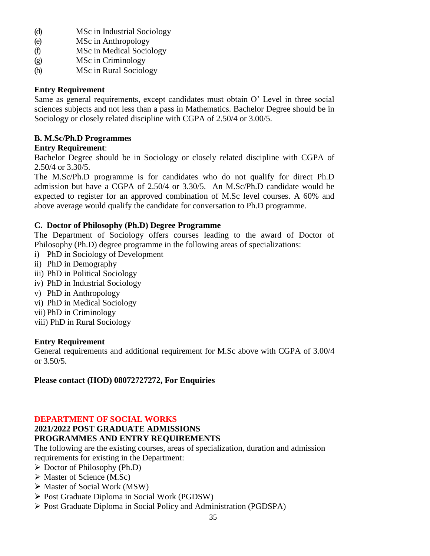- (d) MSc in Industrial Sociology
- (e) MSc in Anthropology
- (f) MSc in Medical Sociology
- (g) MSc in Criminology
- (h) MSc in Rural Sociology

#### **Entry Requirement**

Same as general requirements, except candidates must obtain O' Level in three social sciences subjects and not less than a pass in Mathematics. Bachelor Degree should be in Sociology or closely related discipline with CGPA of 2.50/4 or 3.00/5.

#### **B. M.Sc/Ph.D Programmes**

#### **Entry Requirement**:

Bachelor Degree should be in Sociology or closely related discipline with CGPA of 2.50/4 or 3.30/5.

The M.Sc/Ph.D programme is for candidates who do not qualify for direct Ph.D admission but have a CGPA of 2.50/4 or 3.30/5. An M.Sc/Ph.D candidate would be expected to register for an approved combination of M.Sc level courses. A 60% and above average would qualify the candidate for conversation to Ph.D programme.

#### **C. Doctor of Philosophy (Ph.D) Degree Programme**

The Department of Sociology offers courses leading to the award of Doctor of Philosophy (Ph.D) degree programme in the following areas of specializations:

- i) PhD in Sociology of Development
- ii) PhD in Demography
- iii) PhD in Political Sociology
- iv) PhD in Industrial Sociology
- v) PhD in Anthropology
- vi) PhD in Medical Sociology
- vii) PhD in Criminology
- viii) PhD in Rural Sociology

#### **Entry Requirement**

General requirements and additional requirement for M.Sc above with CGPA of 3.00/4 or 3.50/5.

#### **Please contact (HOD) 08072727272, For Enquiries**

#### **DEPARTMENT OF SOCIAL WORKS**

#### **2021/2022 POST GRADUATE ADMISSIONS PROGRAMMES AND ENTRY REQUIREMENTS**

The following are the existing courses, areas of specialization, duration and admission requirements for existing in the Department:

- $\triangleright$  Doctor of Philosophy (Ph.D)
- $\triangleright$  Master of Science (M.Sc)
- Master of Social Work (MSW)
- Post Graduate Diploma in Social Work (PGDSW)
- Post Graduate Diploma in Social Policy and Administration (PGDSPA)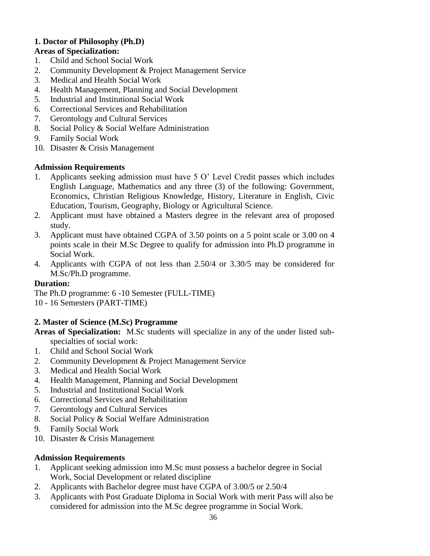# **1. Doctor of Philosophy (Ph.D)**

### **Areas of Specialization:**

- 1. Child and School Social Work
- 2. Community Development & Project Management Service
- 3. Medical and Health Social Work
- 4. Health Management, Planning and Social Development
- 5. Industrial and Institutional Social Work
- 6. Correctional Services and Rehabilitation
- 7. Gerontology and Cultural Services
- 8. Social Policy & Social Welfare Administration
- 9. Family Social Work
- 10. Disaster & Crisis Management

### **Admission Requirements**

- 1. Applicants seeking admission must have 5 O' Level Credit passes which includes English Language, Mathematics and any three (3) of the following: Government, Economics, Christian Religious Knowledge, History, Literature in English, Civic Education, Tourism, Geography, Biology or Agricultural Science.
- 2. Applicant must have obtained a Masters degree in the relevant area of proposed study.
- 3. Applicant must have obtained CGPA of 3.50 points on a 5 point scale or 3.00 on 4 points scale in their M.Sc Degree to qualify for admission into Ph.D programme in Social Work.
- 4. Applicants with CGPA of not less than 2.50/4 or 3.30/5 may be considered for M.Sc/Ph.D programme.

### **Duration:**

The Ph.D programme: 6 -10 Semester (FULL-TIME)

10 - 16 Semesters (PART-TIME)

### **2. Master of Science (M.Sc) Programme**

**Areas of Specialization:** M.Sc students will specialize in any of the under listed subspecialties of social work:

- 1. Child and School Social Work
- 2. Community Development & Project Management Service
- 3. Medical and Health Social Work
- 4. Health Management, Planning and Social Development
- 5. Industrial and Institutional Social Work
- 6. Correctional Services and Rehabilitation
- 7. Gerontology and Cultural Services
- 8. Social Policy & Social Welfare Administration
- 9. Family Social Work
- 10. Disaster & Crisis Management

### **Admission Requirements**

- 1. Applicant seeking admission into M.Sc must possess a bachelor degree in Social Work, Social Development or related discipline
- 2. Applicants with Bachelor degree must have CGPA of 3.00/5 or 2.50/4
- 3. Applicants with Post Graduate Diploma in Social Work with merit Pass will also be considered for admission into the M.Sc degree programme in Social Work.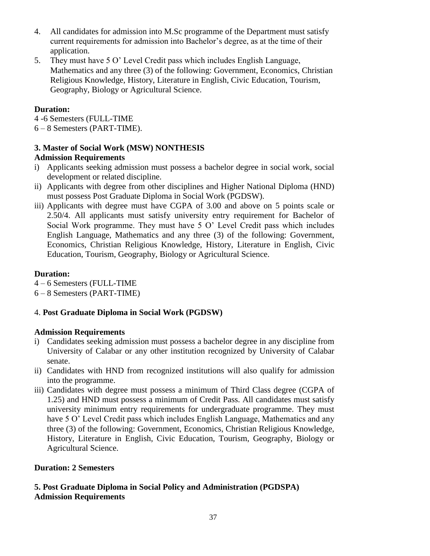- 4. All candidates for admission into M.Sc programme of the Department must satisfy current requirements for admission into Bachelor's degree, as at the time of their application.
- 5. They must have 5 O' Level Credit pass which includes English Language, Mathematics and any three (3) of the following: Government, Economics, Christian Religious Knowledge, History, Literature in English, Civic Education, Tourism, Geography, Biology or Agricultural Science.

### **Duration:**

- 4 -6 Semesters (FULL-TIME
- 6 8 Semesters (PART-TIME).

# **3. Master of Social Work (MSW) NONTHESIS**

- **Admission Requirements**
- i) Applicants seeking admission must possess a bachelor degree in social work, social development or related discipline.
- ii) Applicants with degree from other disciplines and Higher National Diploma (HND) must possess Post Graduate Diploma in Social Work (PGDSW).
- iii) Applicants with degree must have CGPA of 3.00 and above on 5 points scale or 2.50/4. All applicants must satisfy university entry requirement for Bachelor of Social Work programme. They must have 5 O' Level Credit pass which includes English Language, Mathematics and any three (3) of the following: Government, Economics, Christian Religious Knowledge, History, Literature in English, Civic Education, Tourism, Geography, Biology or Agricultural Science.

### **Duration:**

- 4 6 Semesters (FULL-TIME
- 6 8 Semesters (PART-TIME)

# 4. **Post Graduate Diploma in Social Work (PGDSW)**

### **Admission Requirements**

- i) Candidates seeking admission must possess a bachelor degree in any discipline from University of Calabar or any other institution recognized by University of Calabar senate.
- ii) Candidates with HND from recognized institutions will also qualify for admission into the programme.
- iii) Candidates with degree must possess a minimum of Third Class degree (CGPA of 1.25) and HND must possess a minimum of Credit Pass. All candidates must satisfy university minimum entry requirements for undergraduate programme. They must have 5 O' Level Credit pass which includes English Language, Mathematics and any three (3) of the following: Government, Economics, Christian Religious Knowledge, History, Literature in English, Civic Education, Tourism, Geography, Biology or Agricultural Science.

### **Duration: 2 Semesters**

# **5. Post Graduate Diploma in Social Policy and Administration (PGDSPA) Admission Requirements**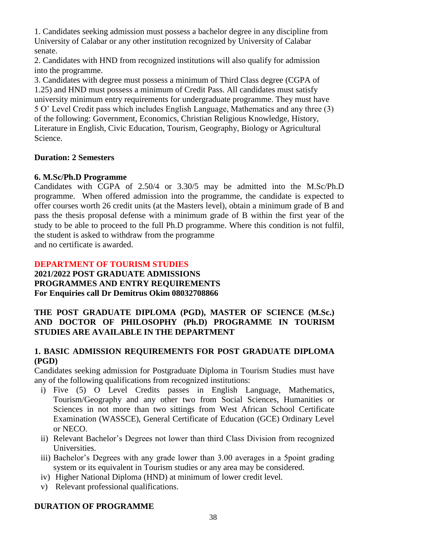1. Candidates seeking admission must possess a bachelor degree in any discipline from University of Calabar or any other institution recognized by University of Calabar senate.

2. Candidates with HND from recognized institutions will also qualify for admission into the programme.

3. Candidates with degree must possess a minimum of Third Class degree (CGPA of 1.25) and HND must possess a minimum of Credit Pass. All candidates must satisfy university minimum entry requirements for undergraduate programme. They must have 5 O' Level Credit pass which includes English Language, Mathematics and any three (3) of the following: Government, Economics, Christian Religious Knowledge, History, Literature in English, Civic Education, Tourism, Geography, Biology or Agricultural Science.

#### **Duration: 2 Semesters**

### **6. M.Sc/Ph.D Programme**

Candidates with CGPA of 2.50/4 or 3.30/5 may be admitted into the M.Sc/Ph.D programme. When offered admission into the programme, the candidate is expected to offer courses worth 26 credit units (at the Masters level), obtain a minimum grade of B and pass the thesis proposal defense with a minimum grade of B within the first year of the study to be able to proceed to the full Ph.D programme. Where this condition is not fulfil, the student is asked to withdraw from the programme and no certificate is awarded.

# **DEPARTMENT OF TOURISM STUDIES**

**2021/2022 POST GRADUATE ADMISSIONS PROGRAMMES AND ENTRY REQUIREMENTS For Enquiries call Dr Demitrus Okim 08032708866**

### **THE POST GRADUATE DIPLOMA (PGD), MASTER OF SCIENCE (M.Sc.) AND DOCTOR OF PHILOSOPHY (Ph.D) PROGRAMME IN TOURISM STUDIES ARE AVAILABLE IN THE DEPARTMENT**

### **1. BASIC ADMISSION REQUIREMENTS FOR POST GRADUATE DIPLOMA (PGD)**

Candidates seeking admission for Postgraduate Diploma in Tourism Studies must have any of the following qualifications from recognized institutions:

- i) Five (5) O Level Credits passes in English Language, Mathematics, Tourism/Geography and any other two from Social Sciences, Humanities or Sciences in not more than two sittings from West African School Certificate Examination (WASSCE), General Certificate of Education (GCE) Ordinary Level or NECO.
- ii) Relevant Bachelor's Degrees not lower than third Class Division from recognized Universities.
- iii) Bachelor's Degrees with any grade lower than 3.00 averages in a 5point grading system or its equivalent in Tourism studies or any area may be considered.
- iv) Higher National Diploma (HND) at minimum of lower credit level.
- v) Relevant professional qualifications.

### **DURATION OF PROGRAMME**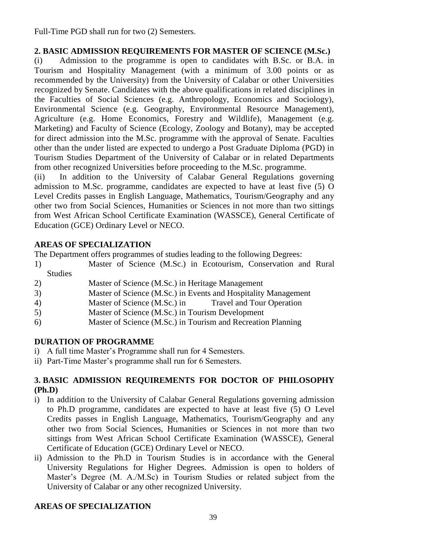# **2. BASIC ADMISSION REQUIREMENTS FOR MASTER OF SCIENCE (M.Sc.)**

(i) Admission to the programme is open to candidates with B.Sc. or B.A. in Tourism and Hospitality Management (with a minimum of 3.00 points or as recommended by the University) from the University of Calabar or other Universities recognized by Senate. Candidates with the above qualifications in related disciplines in the Faculties of Social Sciences (e.g. Anthropology, Economics and Sociology), Environmental Science (e.g. Geography, Environmental Resource Management), Agriculture (e.g. Home Economics, Forestry and Wildlife), Management (e.g. Marketing) and Faculty of Science (Ecology, Zoology and Botany), may be accepted for direct admission into the M.Sc. programme with the approval of Senate. Faculties other than the under listed are expected to undergo a Post Graduate Diploma (PGD) in Tourism Studies Department of the University of Calabar or in related Departments from other recognized Universities before proceeding to the M.Sc. programme.

(ii) In addition to the University of Calabar General Regulations governing admission to M.Sc. programme, candidates are expected to have at least five (5) O Level Credits passes in English Language, Mathematics, Tourism/Geography and any other two from Social Sciences, Humanities or Sciences in not more than two sittings from West African School Certificate Examination (WASSCE), General Certificate of Education (GCE) Ordinary Level or NECO.

### **AREAS OF SPECIALIZATION**

The Department offers programmes of studies leading to the following Degrees:

- 1) Master of Science (M.Sc.) in Ecotourism, Conservation and Rural Studies
- 2) Master of Science (M.Sc.) in Heritage Management
- 3) Master of Science (M.Sc.) in Events and Hospitality Management
- 4) Master of Science (M.Sc.) in Travel and Tour Operation
- 5) Master of Science (M.Sc.) in Tourism Development
- 6) Master of Science (M.Sc.) in Tourism and Recreation Planning

# **DURATION OF PROGRAMME**

- i) A full time Master's Programme shall run for 4 Semesters.
- ii) Part-Time Master's programme shall run for 6 Semesters.

### **3. BASIC ADMISSION REQUIREMENTS FOR DOCTOR OF PHILOSOPHY (Ph.D)**

- i) In addition to the University of Calabar General Regulations governing admission to Ph.D programme, candidates are expected to have at least five (5) O Level Credits passes in English Language, Mathematics, Tourism/Geography and any other two from Social Sciences, Humanities or Sciences in not more than two sittings from West African School Certificate Examination (WASSCE), General Certificate of Education (GCE) Ordinary Level or NECO.
- ii) Admission to the Ph.D in Tourism Studies is in accordance with the General University Regulations for Higher Degrees. Admission is open to holders of Master's Degree (M. A./M.Sc) in Tourism Studies or related subject from the University of Calabar or any other recognized University.

# **AREAS OF SPECIALIZATION**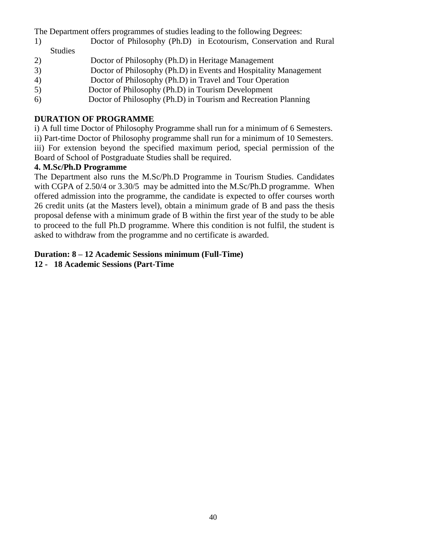The Department offers programmes of studies leading to the following Degrees:

- 1) Doctor of Philosophy (Ph.D) in Ecotourism, Conservation and Rural Studies
- 2) Doctor of Philosophy (Ph.D) in Heritage Management
- 3) Doctor of Philosophy (Ph.D) in Events and Hospitality Management
- 4) Doctor of Philosophy (Ph.D) in Travel and Tour Operation
- 5) Doctor of Philosophy (Ph.D) in Tourism Development
- 6) Doctor of Philosophy (Ph.D) in Tourism and Recreation Planning

### **DURATION OF PROGRAMME**

i) A full time Doctor of Philosophy Programme shall run for a minimum of 6 Semesters.

ii) Part-time Doctor of Philosophy programme shall run for a minimum of 10 Semesters.

iii) For extension beyond the specified maximum period, special permission of the Board of School of Postgraduate Studies shall be required.

### **4. M.Sc/Ph.D Programme**

The Department also runs the M.Sc/Ph.D Programme in Tourism Studies. Candidates with CGPA of 2.50/4 or 3.30/5 may be admitted into the M.Sc/Ph.D programme. When offered admission into the programme, the candidate is expected to offer courses worth 26 credit units (at the Masters level), obtain a minimum grade of B and pass the thesis proposal defense with a minimum grade of B within the first year of the study to be able to proceed to the full Ph.D programme. Where this condition is not fulfil, the student is asked to withdraw from the programme and no certificate is awarded.

**Duration: 8 – 12 Academic Sessions minimum (Full-Time)** 

**12 - 18 Academic Sessions (Part-Time**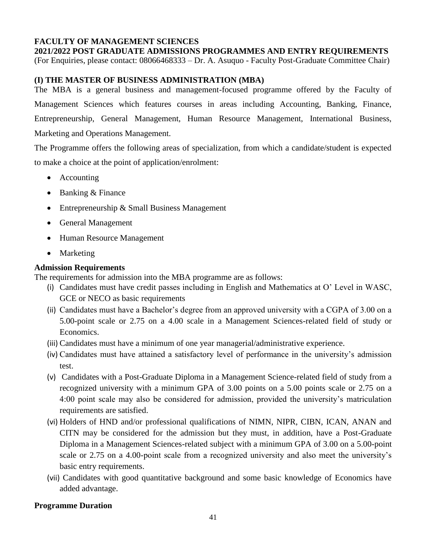#### **FACULTY OF MANAGEMENT SCIENCES 2021/2022 POST GRADUATE ADMISSIONS PROGRAMMES AND ENTRY REQUIREMENTS**

(For Enquiries, please contact: 08066468333 – Dr. A. Asuquo - Faculty Post-Graduate Committee Chair)

# **(I) THE MASTER OF BUSINESS ADMINISTRATION (MBA)**

The MBA is a general business and management-focused programme offered by the Faculty of Management Sciences which features courses in areas including Accounting, Banking, Finance, Entrepreneurship, General Management, Human Resource Management, International Business, Marketing and Operations Management.

The Programme offers the following areas of specialization, from which a candidate/student is expected to make a choice at the point of application/enrolment:

- Accounting
- $\bullet$  Banking & Finance
- Entrepreneurship & Small Business Management
- General Management
- Human Resource Management
- Marketing

### **Admission Requirements**

The requirements for admission into the MBA programme are as follows:

- (i) Candidates must have credit passes including in English and Mathematics at O' Level in WASC, GCE or NECO as basic requirements
- (ii) Candidates must have a Bachelor's degree from an approved university with a CGPA of 3.00 on a 5.00-point scale or 2.75 on a 4.00 scale in a Management Sciences-related field of study or Economics.
- (iii) Candidates must have a minimum of one year managerial/administrative experience.
- (iv) Candidates must have attained a satisfactory level of performance in the university's admission test.
- (v) Candidates with a Post-Graduate Diploma in a Management Science-related field of study from a recognized university with a minimum GPA of 3.00 points on a 5.00 points scale or 2.75 on a 4:00 point scale may also be considered for admission, provided the university's matriculation requirements are satisfied.
- (vi) Holders of HND and/or professional qualifications of NIMN, NIPR, CIBN, ICAN, ANAN and CITN may be considered for the admission but they must, in addition, have a Post-Graduate Diploma in a Management Sciences-related subject with a minimum GPA of 3.00 on a 5.00-point scale or 2.75 on a 4.00-point scale from a recognized university and also meet the university's basic entry requirements.
- (vii) Candidates with good quantitative background and some basic knowledge of Economics have added advantage.

### **Programme Duration**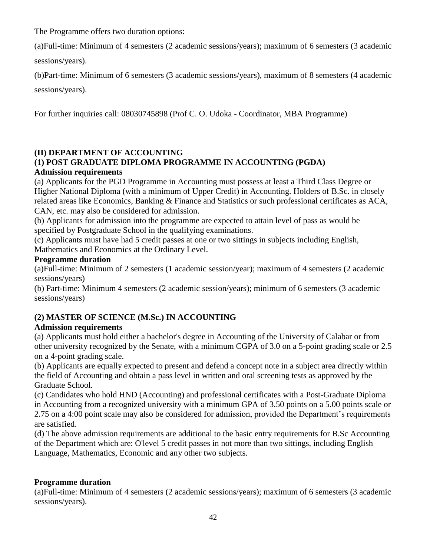The Programme offers two duration options:

(a)Full-time: Minimum of 4 semesters (2 academic sessions/years); maximum of 6 semesters (3 academic

sessions/years).

(b)Part-time: Minimum of 6 semesters (3 academic sessions/years), maximum of 8 semesters (4 academic sessions/years).

For further inquiries call: 08030745898 (Prof C. O. Udoka - Coordinator, MBA Programme)

### **(II) DEPARTMENT OF ACCOUNTING (1) POST GRADUATE DIPLOMA PROGRAMME IN ACCOUNTING (PGDA) Admission requirements**

(a) Applicants for the PGD Programme in Accounting must possess at least a Third Class Degree or Higher National Diploma (with a minimum of Upper Credit) in Accounting. Holders of B.Sc. in closely related areas like Economics, Banking & Finance and Statistics or such professional certificates as ACA, CAN, etc. may also be considered for admission.

(b) Applicants for admission into the programme are expected to attain level of pass as would be specified by Postgraduate School in the qualifying examinations.

(c) Applicants must have had 5 credit passes at one or two sittings in subjects including English, Mathematics and Economics at the Ordinary Level.

### **Programme duration**

(a)Full-time: Minimum of 2 semesters (1 academic session/year); maximum of 4 semesters (2 academic sessions/years)

(b) Part-time: Minimum 4 semesters (2 academic session/years); minimum of 6 semesters (3 academic sessions/years)

# **(2) MASTER OF SCIENCE (M.Sc.) IN ACCOUNTING**

# **Admission requirements**

(a) Applicants must hold either a bachelor's degree in Accounting of the University of Calabar or from other university recognized by the Senate, with a minimum CGPA of 3.0 on a 5-point grading scale or 2.5 on a 4-point grading scale.

(b) Applicants are equally expected to present and defend a concept note in a subject area directly within the field of Accounting and obtain a pass level in written and oral screening tests as approved by the Graduate School.

(c) Candidates who hold HND (Accounting) and professional certificates with a Post-Graduate Diploma in Accounting from a recognized university with a minimum GPA of 3.50 points on a 5.00 points scale or 2.75 on a 4:00 point scale may also be considered for admission, provided the Department's requirements are satisfied.

(d) The above admission requirements are additional to the basic entry requirements for B.Sc Accounting of the Department which are: O'level 5 credit passes in not more than two sittings, including English Language, Mathematics, Economic and any other two subjects.

# **Programme duration**

(a)Full-time: Minimum of 4 semesters (2 academic sessions/years); maximum of 6 semesters (3 academic sessions/years).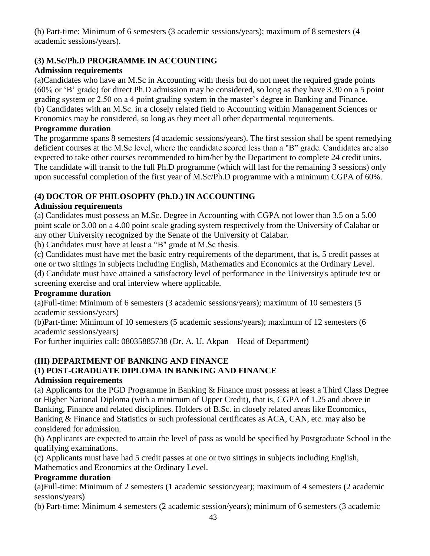(b) Part-time: Minimum of 6 semesters (3 academic sessions/years); maximum of 8 semesters (4 academic sessions/years).

# **(3) M.Sc/Ph.D PROGRAMME IN ACCOUNTING**

### **Admission requirements**

(a)Candidates who have an M.Sc in Accounting with thesis but do not meet the required grade points (60% or 'B' grade) for direct Ph.D admission may be considered, so long as they have 3.30 on a 5 point grading system or 2.50 on a 4 point grading system in the master's degree in Banking and Finance. (b) Candidates with an M.Sc. in a closely related field to Accounting within Management Sciences or Economics may be considered, so long as they meet all other departmental requirements.

### **Programme duration**

The progarmme spans 8 semesters (4 academic sessions/years). The first session shall be spent remedying deficient courses at the M.Sc level, where the candidate scored less than a "B" grade. Candidates are also expected to take other courses recommended to him/her by the Department to complete 24 credit units. The candidate will transit to the full Ph.D programme (which will last for the remaining 3 sessions) only upon successful completion of the first year of M.Sc/Ph.D programme with a minimum CGPA of 60%.

# **(4) DOCTOR OF PHILOSOPHY (Ph.D.) IN ACCOUNTING**

### **Admission requirements**

(a) Candidates must possess an M.Sc. Degree in Accounting with CGPA not lower than 3.5 on a 5.00 point scale or 3.00 on a 4.00 point scale grading system respectively from the University of Calabar or any other University recognized by the Senate of the University of Calabar.

(b) Candidates must have at least a "B" grade at M.Sc thesis.

(c) Candidates must have met the basic entry requirements of the department, that is, 5 credit passes at one or two sittings in subjects including English, Mathematics and Economics at the Ordinary Level. (d) Candidate must have attained a satisfactory level of performance in the University's aptitude test or screening exercise and oral interview where applicable.

### **Programme duration**

(a)Full-time: Minimum of 6 semesters (3 academic sessions/years); maximum of 10 semesters (5 academic sessions/years)

(b)Part-time: Minimum of 10 semesters (5 academic sessions/years); maximum of 12 semesters (6 academic sessions/years)

For further inquiries call: 08035885738 (Dr. A. U. Akpan – Head of Department)

# **(III) DEPARTMENT OF BANKING AND FINANCE (1) POST-GRADUATE DIPLOMA IN BANKING AND FINANCE**

### **Admission requirements**

(a) Applicants for the PGD Programme in Banking & Finance must possess at least a Third Class Degree or Higher National Diploma (with a minimum of Upper Credit), that is, CGPA of 1.25 and above in Banking, Finance and related disciplines. Holders of B.Sc. in closely related areas like Economics, Banking & Finance and Statistics or such professional certificates as ACA, CAN, etc. may also be considered for admission.

(b) Applicants are expected to attain the level of pass as would be specified by Postgraduate School in the qualifying examinations.

(c) Applicants must have had 5 credit passes at one or two sittings in subjects including English, Mathematics and Economics at the Ordinary Level.

### **Programme duration**

(a)Full-time: Minimum of 2 semesters (1 academic session/year); maximum of 4 semesters (2 academic sessions/years)

(b) Part-time: Minimum 4 semesters (2 academic session/years); minimum of 6 semesters (3 academic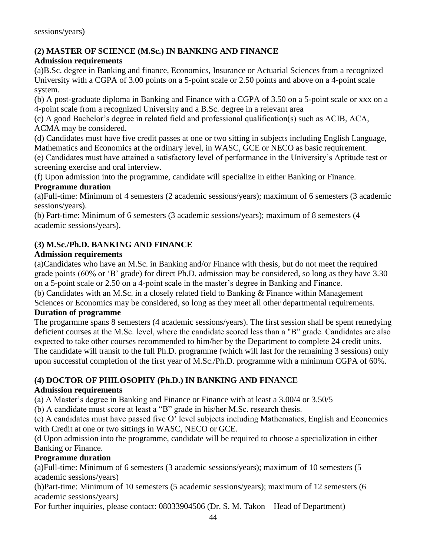# **(2) MASTER OF SCIENCE (M.Sc.) IN BANKING AND FINANCE**

# **Admission requirements**

(a)B.Sc. degree in Banking and finance, Economics, Insurance or Actuarial Sciences from a recognized University with a CGPA of 3.00 points on a 5-point scale or 2.50 points and above on a 4-point scale system.

(b) A post-graduate diploma in Banking and Finance with a CGPA of 3.50 on a 5-point scale or xxx on a 4-point scale from a recognized University and a B.Sc. degree in a relevant area

(c) A good Bachelor's degree in related field and professional qualification(s) such as ACIB, ACA, ACMA may be considered.

(d) Candidates must have five credit passes at one or two sitting in subjects including English Language, Mathematics and Economics at the ordinary level, in WASC, GCE or NECO as basic requirement.

(e) Candidates must have attained a satisfactory level of performance in the University's Aptitude test or screening exercise and oral interview.

(f) Upon admission into the programme, candidate will specialize in either Banking or Finance.

# **Programme duration**

(a)Full-time: Minimum of 4 semesters (2 academic sessions/years); maximum of 6 semesters (3 academic sessions/years).

(b) Part-time: Minimum of 6 semesters (3 academic sessions/years); maximum of 8 semesters (4 academic sessions/years).

# **(3) M.Sc./Ph.D. BANKING AND FINANCE**

# **Admission requirements**

(a)Candidates who have an M.Sc. in Banking and/or Finance with thesis, but do not meet the required grade points (60% or 'B' grade) for direct Ph.D. admission may be considered, so long as they have 3.30 on a 5-point scale or 2.50 on a 4-point scale in the master's degree in Banking and Finance. (b) Candidates with an M.Sc. in a closely related field to Banking & Finance within Management Sciences or Economics may be considered, so long as they meet all other departmental requirements.

# **Duration of programme**

The progarmme spans 8 semesters (4 academic sessions/years). The first session shall be spent remedying deficient courses at the M.Sc. level, where the candidate scored less than a "B" grade. Candidates are also expected to take other courses recommended to him/her by the Department to complete 24 credit units. The candidate will transit to the full Ph.D. programme (which will last for the remaining 3 sessions) only upon successful completion of the first year of M.Sc./Ph.D. programme with a minimum CGPA of 60%.

# **(4) DOCTOR OF PHILOSOPHY (Ph.D.) IN BANKING AND FINANCE**

# **Admission requirements**

(a) A Master's degree in Banking and Finance or Finance with at least a 3.00/4 or 3.50/5

(b) A candidate must score at least a "B" grade in his/her M.Sc. research thesis.

(c) A candidates must have passed five O' level subjects including Mathematics, English and Economics with Credit at one or two sittings in WASC, NECO or GCE.

(d Upon admission into the programme, candidate will be required to choose a specialization in either Banking or Finance.

# **Programme duration**

(a)Full-time: Minimum of 6 semesters (3 academic sessions/years); maximum of 10 semesters (5 academic sessions/years)

(b)Part-time: Minimum of 10 semesters (5 academic sessions/years); maximum of 12 semesters (6 academic sessions/years)

For further inquiries, please contact: 08033904506 (Dr. S. M. Takon – Head of Department)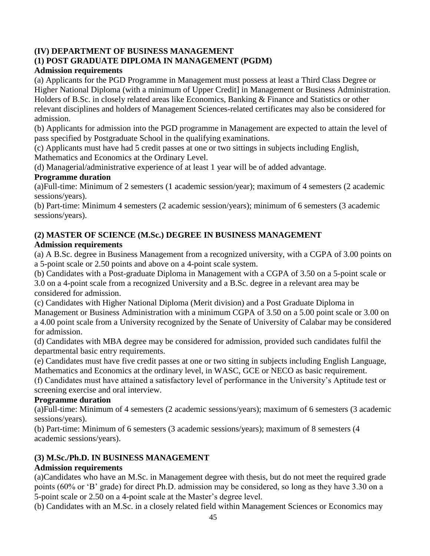### **(IV) DEPARTMENT OF BUSINESS MANAGEMENT**

# **(1) POST GRADUATE DIPLOMA IN MANAGEMENT (PGDM)**

### **Admission requirements**

(a) Applicants for the PGD Programme in Management must possess at least a Third Class Degree or Higher National Diploma (with a minimum of Upper Credit] in Management or Business Administration. Holders of B.Sc. in closely related areas like Economics, Banking & Finance and Statistics or other relevant disciplines and holders of Management Sciences-related certificates may also be considered for admission.

(b) Applicants for admission into the PGD programme in Management are expected to attain the level of pass specified by Postgraduate School in the qualifying examinations.

(c) Applicants must have had 5 credit passes at one or two sittings in subjects including English, Mathematics and Economics at the Ordinary Level.

(d) Managerial/administrative experience of at least 1 year will be of added advantage.

### **Programme duration**

(a)Full-time: Minimum of 2 semesters (1 academic session/year); maximum of 4 semesters (2 academic sessions/years).

(b) Part-time: Minimum 4 semesters (2 academic session/years); minimum of 6 semesters (3 academic sessions/years).

# **(2) MASTER OF SCIENCE (M.Sc.) DEGREE IN BUSINESS MANAGEMENT**

# **Admission requirements**

(a) A B.Sc. degree in Business Management from a recognized university, with a CGPA of 3.00 points on a 5-point scale or 2.50 points and above on a 4-point scale system.

(b) Candidates with a Post-graduate Diploma in Management with a CGPA of 3.50 on a 5-point scale or 3.0 on a 4-point scale from a recognized University and a B.Sc. degree in a relevant area may be considered for admission.

(c) Candidates with Higher National Diploma (Merit division) and a Post Graduate Diploma in Management or Business Administration with a minimum CGPA of 3.50 on a 5.00 point scale or 3.00 on a 4.00 point scale from a University recognized by the Senate of University of Calabar may be considered for admission.

(d) Candidates with MBA degree may be considered for admission, provided such candidates fulfil the departmental basic entry requirements.

(e) Candidates must have five credit passes at one or two sitting in subjects including English Language, Mathematics and Economics at the ordinary level, in WASC, GCE or NECO as basic requirement.

(f) Candidates must have attained a satisfactory level of performance in the University's Aptitude test or screening exercise and oral interview.

# **Programme duration**

(a)Full-time: Minimum of 4 semesters (2 academic sessions/years); maximum of 6 semesters (3 academic sessions/years).

(b) Part-time: Minimum of 6 semesters (3 academic sessions/years); maximum of 8 semesters (4 academic sessions/years).

# **(3) M.Sc./Ph.D. IN BUSINESS MANAGEMENT**

# **Admission requirements**

(a)Candidates who have an M.Sc. in Management degree with thesis, but do not meet the required grade points (60% or 'B' grade) for direct Ph.D. admission may be considered, so long as they have 3.30 on a 5-point scale or 2.50 on a 4-point scale at the Master's degree level.

(b) Candidates with an M.Sc. in a closely related field within Management Sciences or Economics may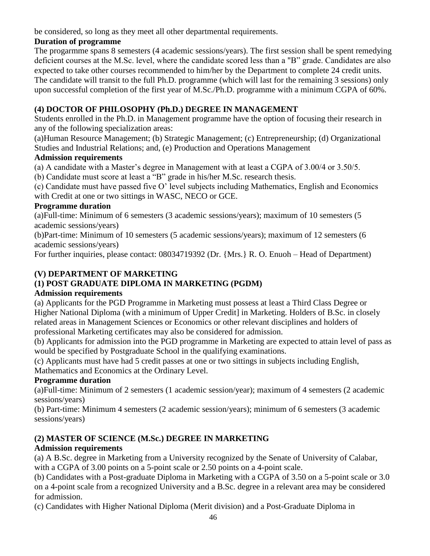be considered, so long as they meet all other departmental requirements.

# **Duration of programme**

The progarmme spans 8 semesters (4 academic sessions/years). The first session shall be spent remedying deficient courses at the M.Sc. level, where the candidate scored less than a "B" grade. Candidates are also expected to take other courses recommended to him/her by the Department to complete 24 credit units. The candidate will transit to the full Ph.D. programme (which will last for the remaining 3 sessions) only upon successful completion of the first year of M.Sc./Ph.D. programme with a minimum CGPA of 60%.

# **(4) DOCTOR OF PHILOSOPHY (Ph.D.) DEGREE IN MANAGEMENT**

Students enrolled in the Ph.D. in Management programme have the option of focusing their research in any of the following specialization areas:

(a)Human Resource Management; (b) Strategic Management; (c) Entrepreneurship; (d) Organizational Studies and Industrial Relations; and, (e) Production and Operations Management

# **Admission requirements**

(a) A candidate with a Master's degree in Management with at least a CGPA of 3.00/4 or 3.50/5.

(b) Candidate must score at least a "B" grade in his/her M.Sc. research thesis.

(c) Candidate must have passed five O' level subjects including Mathematics, English and Economics with Credit at one or two sittings in WASC, NECO or GCE.

# **Programme duration**

(a)Full-time: Minimum of 6 semesters (3 academic sessions/years); maximum of 10 semesters (5 academic sessions/years)

(b)Part-time: Minimum of 10 semesters (5 academic sessions/years); maximum of 12 semesters (6 academic sessions/years)

For further inquiries, please contact: 08034719392 (Dr. {Mrs.} R. O. Enuoh – Head of Department)

# **(V) DEPARTMENT OF MARKETING**

# **(1) POST GRADUATE DIPLOMA IN MARKETING (PGDM)**

# **Admission requirements**

(a) Applicants for the PGD Programme in Marketing must possess at least a Third Class Degree or Higher National Diploma (with a minimum of Upper Credit] in Marketing. Holders of B.Sc. in closely related areas in Management Sciences or Economics or other relevant disciplines and holders of professional Marketing certificates may also be considered for admission.

(b) Applicants for admission into the PGD programme in Marketing are expected to attain level of pass as would be specified by Postgraduate School in the qualifying examinations.

(c) Applicants must have had 5 credit passes at one or two sittings in subjects including English, Mathematics and Economics at the Ordinary Level.

# **Programme duration**

(a)Full-time: Minimum of 2 semesters (1 academic session/year); maximum of 4 semesters (2 academic sessions/years)

(b) Part-time: Minimum 4 semesters (2 academic session/years); minimum of 6 semesters (3 academic sessions/years)

# **(2) MASTER OF SCIENCE (M.Sc.) DEGREE IN MARKETING**

# **Admission requirements**

(a) A B.Sc. degree in Marketing from a University recognized by the Senate of University of Calabar, with a CGPA of 3.00 points on a 5-point scale or 2.50 points on a 4-point scale.

(b) Candidates with a Post-graduate Diploma in Marketing with a CGPA of 3.50 on a 5-point scale or 3.0 on a 4-point scale from a recognized University and a B.Sc. degree in a relevant area may be considered for admission.

(c) Candidates with Higher National Diploma (Merit division) and a Post-Graduate Diploma in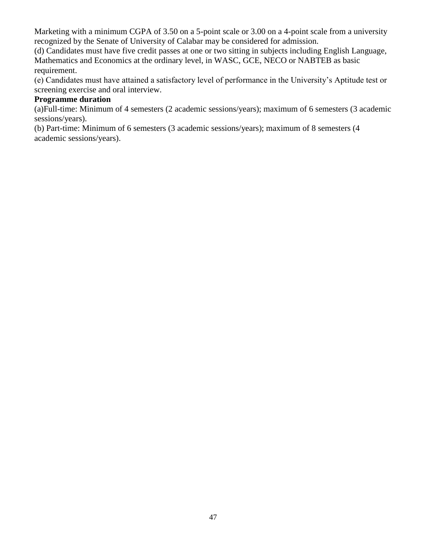Marketing with a minimum CGPA of 3.50 on a 5-point scale or 3.00 on a 4-point scale from a university recognized by the Senate of University of Calabar may be considered for admission.

(d) Candidates must have five credit passes at one or two sitting in subjects including English Language, Mathematics and Economics at the ordinary level, in WASC, GCE, NECO or NABTEB as basic requirement.

(e) Candidates must have attained a satisfactory level of performance in the University's Aptitude test or screening exercise and oral interview.

### **Programme duration**

(a)Full-time: Minimum of 4 semesters (2 academic sessions/years); maximum of 6 semesters (3 academic sessions/years).

(b) Part-time: Minimum of 6 semesters (3 academic sessions/years); maximum of 8 semesters (4 academic sessions/years).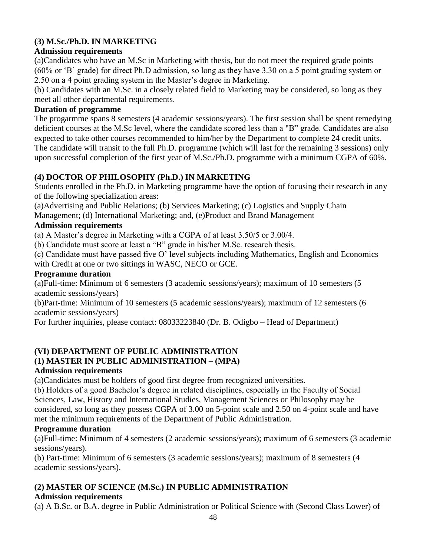# **(3) M.Sc./Ph.D. IN MARKETING**

### **Admission requirements**

(a)Candidates who have an M.Sc in Marketing with thesis, but do not meet the required grade points (60% or 'B' grade) for direct Ph.D admission, so long as they have 3.30 on a 5 point grading system or 2.50 on a 4 point grading system in the Master's degree in Marketing.

(b) Candidates with an M.Sc. in a closely related field to Marketing may be considered, so long as they meet all other departmental requirements.

### **Duration of programme**

The progarmme spans 8 semesters (4 academic sessions/years). The first session shall be spent remedying deficient courses at the M.Sc level, where the candidate scored less than a "B" grade. Candidates are also expected to take other courses recommended to him/her by the Department to complete 24 credit units. The candidate will transit to the full Ph.D. programme (which will last for the remaining 3 sessions) only upon successful completion of the first year of M.Sc./Ph.D. programme with a minimum CGPA of 60%.

# **(4) DOCTOR OF PHILOSOPHY (Ph.D.) IN MARKETING**

Students enrolled in the Ph.D. in Marketing programme have the option of focusing their research in any of the following specialization areas:

(a)Advertising and Public Relations; (b) Services Marketing; (c) Logistics and Supply Chain Management; (d) International Marketing; and, (e)Product and Brand Management

### **Admission requirements**

(a) A Master's degree in Marketing with a CGPA of at least 3.50/5 or 3.00/4.

(b) Candidate must score at least a "B" grade in his/her M.Sc. research thesis.

(c) Candidate must have passed five O' level subjects including Mathematics, English and Economics with Credit at one or two sittings in WASC, NECO or GCE.

### **Programme duration**

(a)Full-time: Minimum of 6 semesters (3 academic sessions/years); maximum of 10 semesters (5 academic sessions/years)

(b)Part-time: Minimum of 10 semesters (5 academic sessions/years); maximum of 12 semesters (6 academic sessions/years)

For further inquiries, please contact: 08033223840 (Dr. B. Odigbo – Head of Department)

# **(VI) DEPARTMENT OF PUBLIC ADMINISTRATION (1) MASTER IN PUBLIC ADMINISTRATION – (MPA)**

### **Admission requirements**

(a)Candidates must be holders of good first degree from recognized universities.

(b) Holders of a good Bachelor's degree in related disciplines, especially in the Faculty of Social Sciences, Law, History and International Studies, Management Sciences or Philosophy may be considered, so long as they possess CGPA of 3.00 on 5-point scale and 2.50 on 4-point scale and have met the minimum requirements of the Department of Public Administration.

### **Programme duration**

(a)Full-time: Minimum of 4 semesters (2 academic sessions/years); maximum of 6 semesters (3 academic sessions/years).

(b) Part-time: Minimum of 6 semesters (3 academic sessions/years); maximum of 8 semesters (4 academic sessions/years).

# **(2) MASTER OF SCIENCE (M.Sc.) IN PUBLIC ADMINISTRATION**

# **Admission requirements**

(a) A B.Sc. or B.A. degree in Public Administration or Political Science with (Second Class Lower) of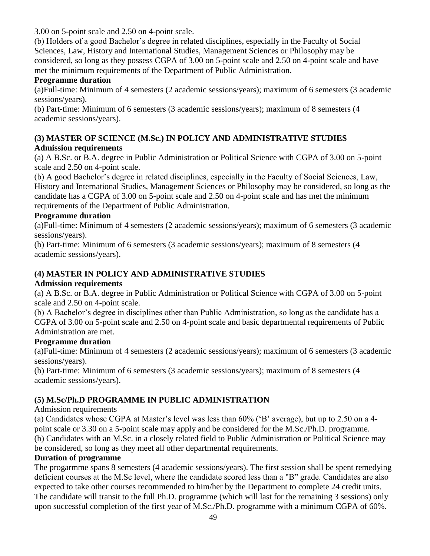3.00 on 5-point scale and 2.50 on 4-point scale.

(b) Holders of a good Bachelor's degree in related disciplines, especially in the Faculty of Social Sciences, Law, History and International Studies, Management Sciences or Philosophy may be considered, so long as they possess CGPA of 3.00 on 5-point scale and 2.50 on 4-point scale and have met the minimum requirements of the Department of Public Administration.

# **Programme duration**

(a)Full-time: Minimum of 4 semesters (2 academic sessions/years); maximum of 6 semesters (3 academic sessions/years).

(b) Part-time: Minimum of 6 semesters (3 academic sessions/years); maximum of 8 semesters (4 academic sessions/years).

# **(3) MASTER OF SCIENCE (M.Sc.) IN POLICY AND ADMINISTRATIVE STUDIES**

# **Admission requirements**

(a) A B.Sc. or B.A. degree in Public Administration or Political Science with CGPA of 3.00 on 5-point scale and 2.50 on 4-point scale.

(b) A good Bachelor's degree in related disciplines, especially in the Faculty of Social Sciences, Law, History and International Studies, Management Sciences or Philosophy may be considered, so long as the candidate has a CGPA of 3.00 on 5-point scale and 2.50 on 4-point scale and has met the minimum requirements of the Department of Public Administration.

### **Programme duration**

(a)Full-time: Minimum of 4 semesters (2 academic sessions/years); maximum of 6 semesters (3 academic sessions/years).

(b) Part-time: Minimum of 6 semesters (3 academic sessions/years); maximum of 8 semesters (4 academic sessions/years).

# **(4) MASTER IN POLICY AND ADMINISTRATIVE STUDIES**

# **Admission requirements**

(a) A B.Sc. or B.A. degree in Public Administration or Political Science with CGPA of 3.00 on 5-point scale and 2.50 on 4-point scale.

(b) A Bachelor's degree in disciplines other than Public Administration, so long as the candidate has a CGPA of 3.00 on 5-point scale and 2.50 on 4-point scale and basic departmental requirements of Public Administration are met.

# **Programme duration**

(a)Full-time: Minimum of 4 semesters (2 academic sessions/years); maximum of 6 semesters (3 academic sessions/years).

(b) Part-time: Minimum of 6 semesters (3 academic sessions/years); maximum of 8 semesters (4 academic sessions/years).

# **(5) M.Sc/Ph.D PROGRAMME IN PUBLIC ADMINISTRATION**

# Admission requirements

(a) Candidates whose CGPA at Master's level was less than 60% ('B' average), but up to 2.50 on a 4 point scale or 3.30 on a 5-point scale may apply and be considered for the M.Sc./Ph.D. programme. (b) Candidates with an M.Sc. in a closely related field to Public Administration or Political Science may be considered, so long as they meet all other departmental requirements.

# **Duration of programme**

The progarmme spans 8 semesters (4 academic sessions/years). The first session shall be spent remedying deficient courses at the M.Sc level, where the candidate scored less than a "B" grade. Candidates are also expected to take other courses recommended to him/her by the Department to complete 24 credit units. The candidate will transit to the full Ph.D. programme (which will last for the remaining 3 sessions) only upon successful completion of the first year of M.Sc./Ph.D. programme with a minimum CGPA of 60%.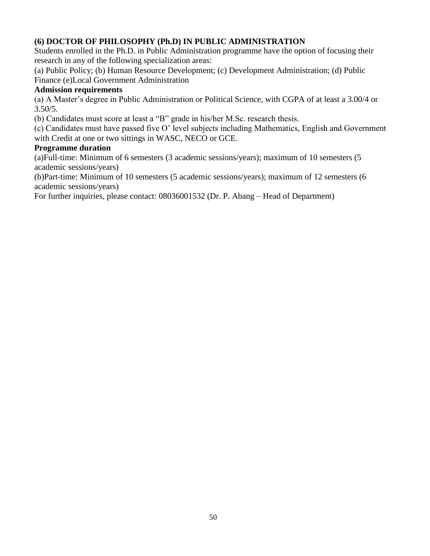### **(6) DOCTOR OF PHILOSOPHY (Ph.D) IN PUBLIC ADMINISTRATION**

Students enrolled in the Ph.D. in Public Administration programme have the option of focusing their research in any of the following specialization areas:

(a) Public Policy; (b) Human Resource Development; (c) Development Administration; (d) Public Finance (e)Local Government Administration

#### **Admission requirements**

(a) A Master's degree in Public Administration or Political Science, with CGPA of at least a 3.00/4 or  $3.50/5.$ 

(b) Candidates must score at least a "B" grade in his/her M.Sc. research thesis.

(c) Candidates must have passed five O' level subjects including Mathematics, English and Government with Credit at one or two sittings in WASC, NECO or GCE.

### **Programme duration**

(a)Full-time: Minimum of 6 semesters (3 academic sessions/years); maximum of 10 semesters (5 academic sessions/years)

(b)Part-time: Minimum of 10 semesters (5 academic sessions/years); maximum of 12 semesters (6 academic sessions/years)

For further inquiries, please contact: 08036001532 (Dr. P. Abang – Head of Department)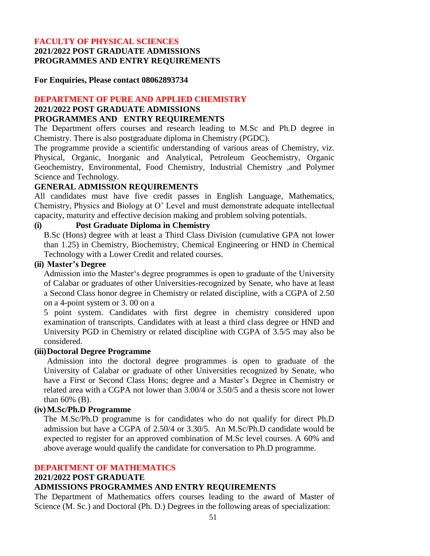### **FACULTY OF PHYSICAL SCIENCES 2021/2022 POST GRADUATE ADMISSIONS PROGRAMMES AND ENTRY REQUIREMENTS**

#### **For Enquiries, Please contact 08062893734**

#### **DEPARTMENT OF PURE AND APPLIED CHEMISTRY**

#### **2021/2022 POST GRADUATE ADMISSIONS PROGRAMMES AND ENTRY REQUIREMENTS**

The Department offers courses and research leading to M.Sc and Ph.D degree in Chemistry. There is also postgraduate diploma in Chemistry (PGDC).

The programme provide a scientific understanding of various areas of Chemistry, viz. Physical, Organic, Inorganic and Analytical, Petroleum Geochemistry, Organic Geochemistry, Environmental, Food Chemistry, Industrial Chemistry ,and Polymer Science and Technology.

#### **GENERAL ADMISSION REQUIREMENTS**

All candidates must have five credit passes in English Language, Mathematics, Chemistry, Physics and Biology at O' Level and must demonstrate adequate intellectual capacity, maturity and effective decision making and problem solving potentials.

#### **(i) Post Graduate Diploma in Chemistry**

B.Sc (Hons) degree with at least a Third Class Division (cumulative GPA not lower than 1.25) in Chemistry, Biochemistry, Chemical Engineering or HND in Chemical Technology with a Lower Credit and related courses.

#### **(ii) Master's Degree**

Admission into the Master's degree programmes is open to graduate of the University of Calabar or graduates of other Universities-recognized by Senate, who have at least a Second Class honor degree in Chemistry or related discipline, with a CGPA of 2.50 on a 4-point system or 3. 00 on a

5 point system. Candidates with first degree in chemistry considered upon examination of transcripts. Candidates with at least a third class degree or HND and University PGD in Chemistry or related discipline with CGPA of 3.5/5 may also be considered.

#### **(iii)Doctoral Degree Programme**

Admission into the doctoral degree programmes is open to graduate of the University of Calabar or graduate of other Universities recognized by Senate, who have a First or Second Class Hons; degree and a Master's Degree in Chemistry or related area with a CGPA not lower than 3.00/4 or 3.50/5 and a thesis score not lower than 60% (B).

### **(iv)M.Sc/Ph.D Programme**

The M.Sc/Ph.D programme is for candidates who do not qualify for direct Ph.D admission but have a CGPA of 2.50/4 or 3.30/5. An M.Sc/Ph.D candidate would be expected to register for an approved combination of M.Sc level courses. A 60% and above average would qualify the candidate for conversation to Ph.D programme.

#### **DEPARTMENT OF MATHEMATICS**

#### **2021/2022 POST GRADUATE**

#### **ADMISSIONS PROGRAMMES AND ENTRY REQUIREMENTS**

The Department of Mathematics offers courses leading to the award of Master of Science (M. Sc.) and Doctoral (Ph. D.) Degrees in the following areas of specialization: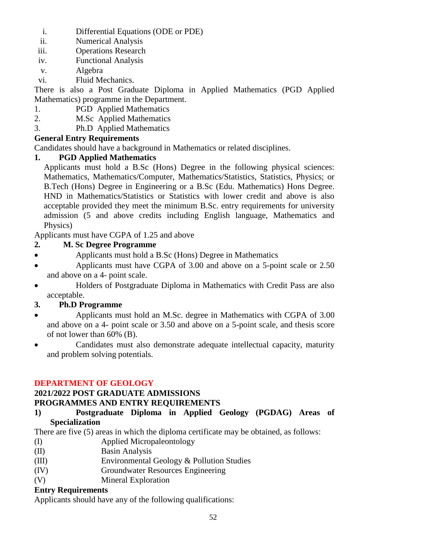- i. Differential Equations (ODE or PDE)
- ii. Numerical Analysis
- iii. Operations Research
- iv. Functional Analysis
- v. Algebra
- vi. Fluid Mechanics.

There is also a Post Graduate Diploma in Applied Mathematics (PGD Applied Mathematics) programme in the Department.

- 1. PGD Applied Mathematics
- 2. M.Sc Applied Mathematics
- 3. Ph.D Applied Mathematics

# **General Entry Requirements**

Candidates should have a background in Mathematics or related disciplines.

### **1. PGD Applied Mathematics**

Applicants must hold a B.Sc (Hons) Degree in the following physical sciences: Mathematics, Mathematics/Computer, Mathematics/Statistics, Statistics, Physics; or B.Tech (Hons) Degree in Engineering or a B.Sc (Edu. Mathematics) Hons Degree. HND in Mathematics/Statistics or Statistics with lower credit and above is also acceptable provided they meet the minimum B.Sc. entry requirements for university admission (5 and above credits including English language, Mathematics and Physics)

Applicants must have CGPA of 1.25 and above

# **2. M. Sc Degree Programme**

- Applicants must hold a B.Sc (Hons) Degree in Mathematics
- Applicants must have CGPA of 3.00 and above on a 5-point scale or 2.50 and above on a 4- point scale.
- Holders of Postgraduate Diploma in Mathematics with Credit Pass are also acceptable.

# **3. Ph.D Programme**

- Applicants must hold an M.Sc. degree in Mathematics with CGPA of 3.00 and above on a 4- point scale or 3.50 and above on a 5-point scale, and thesis score of not lower than 60% (B).
- Candidates must also demonstrate adequate intellectual capacity, maturity and problem solving potentials.

### **DEPARTMENT OF GEOLOGY**

# **2021/2022 POST GRADUATE ADMISSIONS**

# **PROGRAMMES AND ENTRY REQUIREMENTS**

**1) Postgraduate Diploma in Applied Geology (PGDAG) Areas of Specialization**

There are five (5) areas in which the diploma certificate may be obtained, as follows:

- (I) Applied Micropaleontology
- (II) Basin Analysis
- (III) Environmental Geology & Pollution Studies
- (IV) Groundwater Resources Engineering
- (V) Mineral Exploration

# **Entry Requirements**

Applicants should have any of the following qualifications: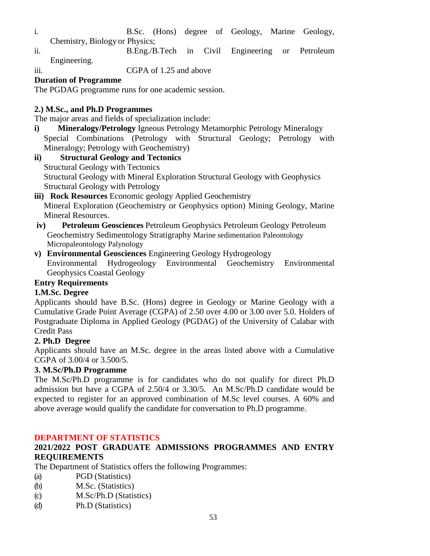i. B.Sc. (Hons) degree of Geology, Marine Geology, Chemistry, Biology or Physics;

ii. B.Eng./B.Tech in Civil Engineering or Petroleum Engineering.

iii. CGPA of 1.25 and above

# **Duration of Programme**

The PGDAG programme runs for one academic session.

### **2.) M.Sc., and Ph.D Programmes**

The major areas and fields of specialization include:

- **i) Mineralogy/Petrology** Igneous Petrology Metamorphic Petrology Mineralogy Special Combinations (Petrology with Structural Geology; Petrology with Mineralogy; Petrology with Geochemistry)
- **ii) Structural Geology and Tectonics** Structural Geology with Tectonics Structural Geology with Mineral Exploration Structural Geology with Geophysics Structural Geology with Petrology
- **iii) Rock Resources** Economic geology Applied Geochemistry Mineral Exploration (Geochemistry or Geophysics option) Mining Geology, Marine Mineral Resources.
- **iv) Petroleum Geosciences** Petroleum Geophysics Petroleum Geology Petroleum Geochemistry Sedimentology Stratigraphy Marine sedimentation Paleontology Micropaleontology Palynology
- **v) Environmental Geosciences** Engineering Geology Hydrogeology Environmental Hydrogeology Environmental Geochemistry Environmental Geophysics Coastal Geology

# **Entry Requirements**

# **1.M.Sc. Degree**

Applicants should have B.Sc. (Hons) degree in Geology or Marine Geology with a Cumulative Grade Point Average (CGPA) of 2.50 over 4.00 or 3.00 over 5.0. Holders of Postgraduate Diploma in Applied Geology (PGDAG) of the University of Calabar with Credit Pass

# **2. Ph.D Degree**

Applicants should have an M.Sc. degree in the areas listed above with a Cumulative CGPA of 3.00/4 or 3.500/5.

### **3. M.Sc/Ph.D Programme**

The M.Sc/Ph.D programme is for candidates who do not qualify for direct Ph.D admission but have a CGPA of 2.50/4 or 3.30/5. An M.Sc/Ph.D candidate would be expected to register for an approved combination of M.Sc level courses. A 60% and above average would qualify the candidate for conversation to Ph.D programme.

### **DEPARTMENT OF STATISTICS**

# **2021/2022 POST GRADUATE ADMISSIONS PROGRAMMES AND ENTRY REQUIREMENTS**

The Department of Statistics offers the following Programmes:

- (a) PGD (Statistics)
- (b) M.Sc. (Statistics)
- (c) M.Sc/Ph.D (Statistics)
- (d) Ph.D (Statistics)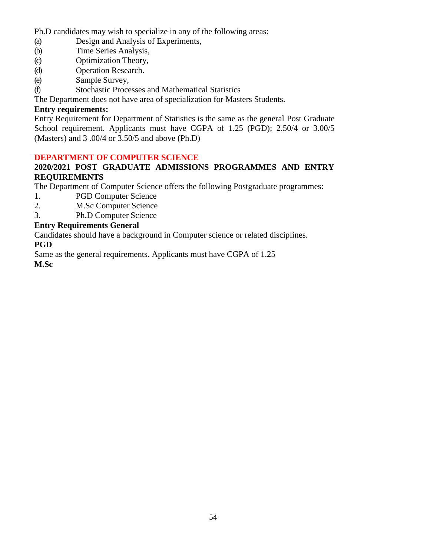Ph.D candidates may wish to specialize in any of the following areas:

- (a) Design and Analysis of Experiments,
- (b) Time Series Analysis,
- (c) Optimization Theory,
- (d) Operation Research.
- (e) Sample Survey,
- (f) Stochastic Processes and Mathematical Statistics

The Department does not have area of specialization for Masters Students.

#### **Entry requirements:**

Entry Requirement for Department of Statistics is the same as the general Post Graduate School requirement. Applicants must have CGPA of 1.25 (PGD); 2.50/4 or 3.00/5 (Masters) and 3 .00/4 or 3.50/5 and above (Ph.D)

### **DEPARTMENT OF COMPUTER SCIENCE**

### **2020/2021 POST GRADUATE ADMISSIONS PROGRAMMES AND ENTRY REQUIREMENTS**

The Department of Computer Science offers the following Postgraduate programmes:

- 1. PGD Computer Science
- 2. M.Sc Computer Science
- 3. Ph.D Computer Science

#### **Entry Requirements General**

Candidates should have a background in Computer science or related disciplines.

**PGD**

Same as the general requirements. Applicants must have CGPA of 1.25

**M.Sc**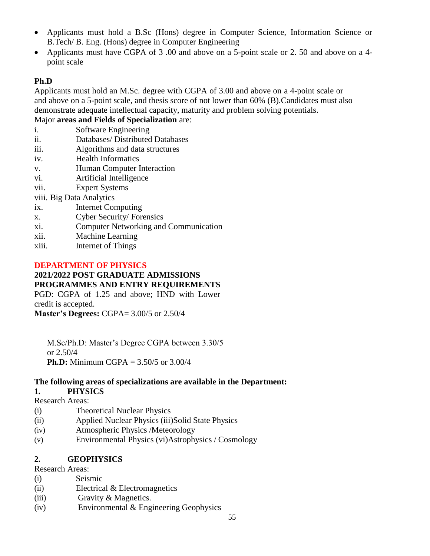- Applicants must hold a B.Sc (Hons) degree in Computer Science, Information Science or B.Tech/ B. Eng. (Hons) degree in Computer Engineering
- Applicants must have CGPA of 3 .00 and above on a 5-point scale or 2. 50 and above on a 4 point scale

### **Ph.D**

Applicants must hold an M.Sc. degree with CGPA of 3.00 and above on a 4-point scale or and above on a 5-point scale, and thesis score of not lower than 60% (B).Candidates must also demonstrate adequate intellectual capacity, maturity and problem solving potentials.

### Major **areas and Fields of Specialization** are:

- i. Software Engineering
- ii. Databases/ Distributed Databases
- iii. Algorithms and data structures
- iv. Health Informatics
- v. Human Computer Interaction
- vi. Artificial Intelligence
- vii. Expert Systems
- viii. Big Data Analytics
- ix. Internet Computing
- x. Cyber Security/ Forensics
- xi. Computer Networking and Communication
- xii. Machine Learning
- xiii. Internet of Things

### **DEPARTMENT OF PHYSICS**

# **2021/2022 POST GRADUATE ADMISSIONS**

# **PROGRAMMES AND ENTRY REQUIREMENTS**

PGD: CGPA of 1.25 and above; HND with Lower credit is accepted. **Master's Degrees:** CGPA= 3.00/5 or 2.50/4

M.Sc/Ph.D: Master's Degree CGPA between 3.30/5 or 2.50/4 **Ph.D:** Minimum CGPA = 3.50/5 or 3.00/4

### **The following areas of specializations are available in the Department:**

#### **1. PHYSICS**

Research Areas:

- (i) Theoretical Nuclear Physics
- (ii) Applied Nuclear Physics (iii)Solid State Physics
- (iv) Atmospheric Physics /Meteorology
- (v) Environmental Physics (vi)Astrophysics / Cosmology

### **2. GEOPHYSICS**

#### Research Areas:

- (i) Seismic
- (ii) Electrical & Electromagnetics
- (iii) Gravity & Magnetics.
- (iv) Environmental & Engineering Geophysics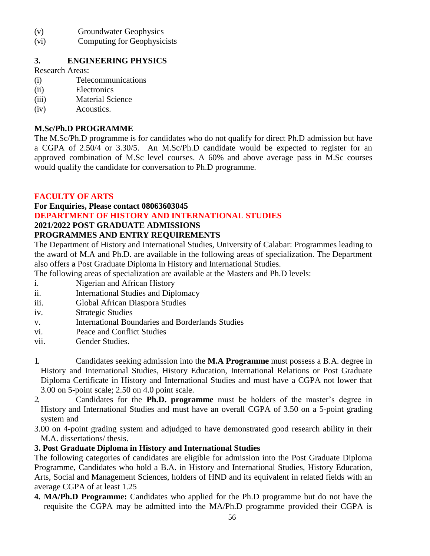- (v) Groundwater Geophysics
- (vi) Computing for Geophysicists

### **3. ENGINEERING PHYSICS**

Research Areas:

- (i) Telecommunications
- (ii) Electronics
- (iii) Material Science
- (iv) Acoustics.

### **M.Sc/Ph.D PROGRAMME**

The M.Sc/Ph.D programme is for candidates who do not qualify for direct Ph.D admission but have a CGPA of 2.50/4 or 3.30/5. An M.Sc/Ph.D candidate would be expected to register for an approved combination of M.Sc level courses. A 60% and above average pass in M.Sc courses would qualify the candidate for conversation to Ph.D programme.

### **FACULTY OF ARTS**

### **For Enquiries, Please contact 08063603045**

### **DEPARTMENT OF HISTORY AND INTERNATIONAL STUDIES**

### **2021/2022 POST GRADUATE ADMISSIONS**

### **PROGRAMMES AND ENTRY REQUIREMENTS**

The Department of History and International Studies, University of Calabar: Programmes leading to the award of M.A and Ph.D. are available in the following areas of specialization. The Department also offers a Post Graduate Diploma in History and International Studies.

The following areas of specialization are available at the Masters and Ph.D levels:

- i. Nigerian and African History
- ii. International Studies and Diplomacy
- iii. Global African Diaspora Studies
- iv. Strategic Studies
- v. International Boundaries and Borderlands Studies
- vi. Peace and Conflict Studies
- vii. Gender Studies.
- 1. Candidates seeking admission into the **M.A Programme** must possess a B.A. degree in History and International Studies, History Education, International Relations or Post Graduate Diploma Certificate in History and International Studies and must have a CGPA not lower that 3.00 on 5-point scale; 2.50 on 4.0 point scale.
- 2. Candidates for the **Ph.D. programme** must be holders of the master's degree in History and International Studies and must have an overall CGPA of 3.50 on a 5-point grading system and
- 3.00 on 4-point grading system and adjudged to have demonstrated good research ability in their M.A. dissertations/ thesis.

### **3. Post Graduate Diploma in History and International Studies**

The following categories of candidates are eligible for admission into the Post Graduate Diploma Programme, Candidates who hold a B.A. in History and International Studies, History Education, Arts, Social and Management Sciences, holders of HND and its equivalent in related fields with an average CGPA of at least 1.25

**4. MA/Ph.D Programme:** Candidates who applied for the Ph.D programme but do not have the requisite the CGPA may be admitted into the MA/Ph.D programme provided their CGPA is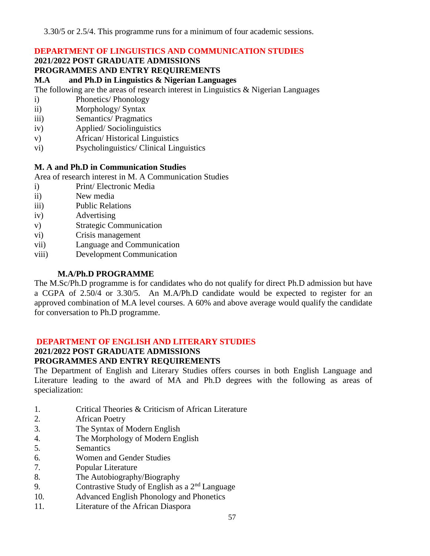3.30/5 or 2.5/4. This programme runs for a minimum of four academic sessions.

### **DEPARTMENT OF LINGUISTICS AND COMMUNICATION STUDIES**

### **2021/2022 POST GRADUATE ADMISSIONS**

### **PROGRAMMES AND ENTRY REQUIREMENTS**

### **M.A and Ph.D in Linguistics & Nigerian Languages**

The following are the areas of research interest in Linguistics & Nigerian Languages

- i) Phonetics/ Phonology
- ii) Morphology/ Syntax
- iii) Semantics/ Pragmatics
- iv) Applied/ Sociolinguistics
- v) African/ Historical Linguistics
- vi) Psycholinguistics/ Clinical Linguistics

# **M. A and Ph.D in Communication Studies**

Area of research interest in M. A Communication Studies

- i) Print/ Electronic Media
- ii) New media
- iii) Public Relations
- iv) Advertising
- v) Strategic Communication
- vi) Crisis management
- vii) Language and Communication
- viii) Development Communication

# **M.A/Ph.D PROGRAMME**

The M.Sc/Ph.D programme is for candidates who do not qualify for direct Ph.D admission but have a CGPA of 2.50/4 or 3.30/5. An M.A/Ph.D candidate would be expected to register for an approved combination of M.A level courses. A 60% and above average would qualify the candidate for conversation to Ph.D programme.

# **DEPARTMENT OF ENGLISH AND LITERARY STUDIES**

#### **2021/2022 POST GRADUATE ADMISSIONS PROGRAMMES AND ENTRY REQUIREMENTS**

The Department of English and Literary Studies offers courses in both English Language and Literature leading to the award of MA and Ph.D degrees with the following as areas of specialization:

- 1. Critical Theories & Criticism of African Literature
- 2. African Poetry
- 3. The Syntax of Modern English
- 4. The Morphology of Modern English
- 5. Semantics
- 6. Women and Gender Studies
- 7. Popular Literature
- 8. The Autobiography/Biography
- 9. Contrastive Study of English as a  $2<sup>nd</sup>$  Language
- 10. Advanced English Phonology and Phonetics
- 11. Literature of the African Diaspora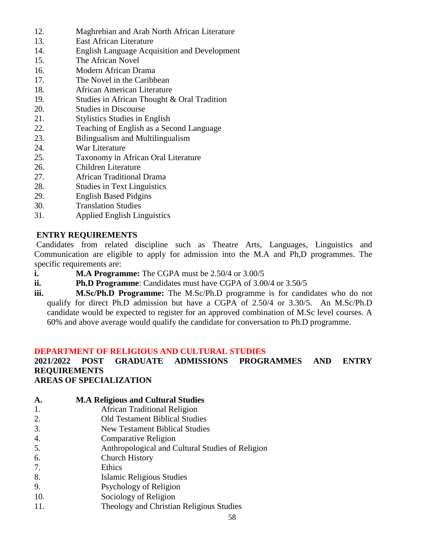- 12. Maghrebian and Arab North African Literature
- 13. East African Literature
- 14. English Language Acquisition and Development
- 15. The African Novel
- 16. Modern African Drama
- 17. The Novel in the Caribbean
- 18. African American Literature
- 19. Studies in African Thought & Oral Tradition
- 20. Studies in Discourse
- 21. Stylistics Studies in English
- 22. Teaching of English as a Second Language
- 23. Bilingualism and Multilingualism
- 24. War Literature
- 25. Taxonomy in African Oral Literature
- 26. Children Literature
- 27. African Traditional Drama
- 28. Studies in Text Linguistics
- 29. English Based Pidgins
- 30. Translation Studies
- 31. Applied English Linguistics

# **ENTRY REQUIREMENTS**

Candidates from related discipline such as Theatre Arts, Languages, Linguistics and Communication are eligible to apply for admission into the M.A and Ph,D programmes. The specific requirements are:

- **i. M.A Programme:** The CGPA must be 2.50/4 or 3.00/5
- **ii. Ph.D Programme**: Candidates must have CGPA of 3.00/4 or 3.50/5
- **iii. M.Sc/Ph.D Programme:** The M.Sc/Ph.D programme is for candidates who do not qualify for direct Ph.D admission but have a CGPA of 2.50/4 or 3.30/5. An M.Sc/Ph.D candidate would be expected to register for an approved combination of M.Sc level courses. A 60% and above average would qualify the candidate for conversation to Ph.D programme.

# **DEPARTMENT OF RELIGIOUS AND CULTURAL STUDIES**

# **2021/2022 POST GRADUATE ADMISSIONS PROGRAMMES AND ENTRY REQUIREMENTS**

# **AREAS OF SPECIALIZATION**

- **A. M.A Religious and Cultural Studies**
- 1. African Traditional Religion
- 2. Old Testament Biblical Studies
- 3. New Testament Biblical Studies
- 4. Comparative Religion
- 5. Anthropological and Cultural Studies of Religion
- 6. Church History
- 7. Ethics
- 8. Islamic Religious Studies
- 9. Psychology of Religion
- 10. Sociology of Religion
- 11. Theology and Christian Religious Studies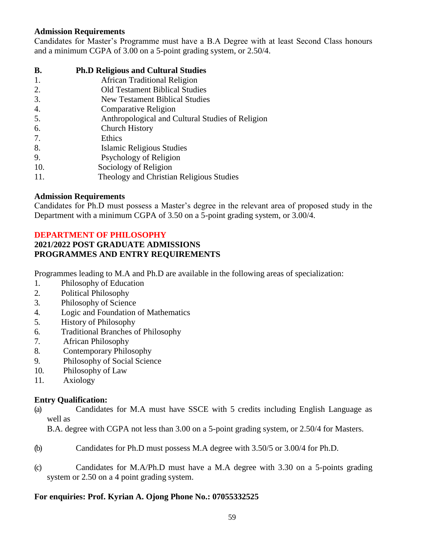### **Admission Requirements**

Candidates for Master's Programme must have a B.A Degree with at least Second Class honours and a minimum CGPA of 3.00 on a 5-point grading system, or 2.50/4.

- **B. Ph.D Religious and Cultural Studies** 1. African Traditional Religion 2. Old Testament Biblical Studies 3. New Testament Biblical Studies 4. Comparative Religion 5. Anthropological and Cultural Studies of Religion 6. Church History 7. Ethics 8. Islamic Religious Studies 9. Psychology of Religion 10. Sociology of Religion
- 11. Theology and Christian Religious Studies

#### **Admission Requirements**

Candidates for Ph.D must possess a Master's degree in the relevant area of proposed study in the Department with a minimum CGPA of 3.50 on a 5-point grading system, or 3.00/4.

#### **DEPARTMENT OF PHILOSOPHY 2021/2022 POST GRADUATE ADMISSIONS PROGRAMMES AND ENTRY REQUIREMENTS**

Programmes leading to M.A and Ph.D are available in the following areas of specialization:

- 1. Philosophy of Education
- 2. Political Philosophy
- 3. Philosophy of Science
- 4. Logic and Foundation of Mathematics
- 5. History of Philosophy
- 6. Traditional Branches of Philosophy
- 7. African Philosophy
- 8. Contemporary Philosophy
- 9. Philosophy of Social Science
- 10. Philosophy of Law
- 11. Axiology

### **Entry Qualification:**

(a) Candidates for M.A must have SSCE with 5 credits including English Language as well as

B.A. degree with CGPA not less than 3.00 on a 5-point grading system, or 2.50/4 for Masters.

- (b) Candidates for Ph.D must possess M.A degree with 3.50/5 or 3.00/4 for Ph.D.
- (c) Candidates for M.A/Ph.D must have a M.A degree with 3.30 on a 5-points grading system or 2.50 on a 4 point grading system.

### **For enquiries: Prof. Kyrian A. Ojong Phone No.: 07055332525**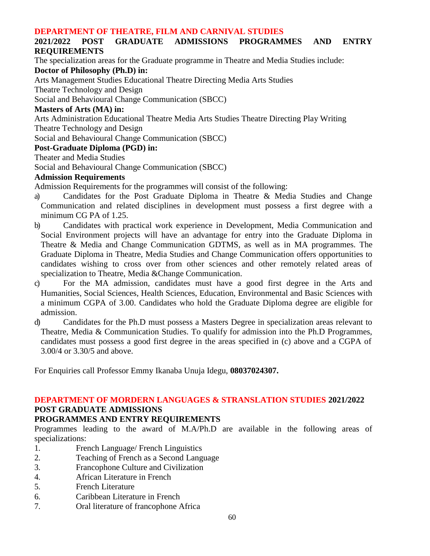### **DEPARTMENT OF THEATRE, FILM AND CARNIVAL STUDIES**

# **2021/2022 POST GRADUATE ADMISSIONS PROGRAMMES AND ENTRY REQUIREMENTS**

The specialization areas for the Graduate programme in Theatre and Media Studies include:

### **Doctor of Philosophy (Ph.D) in:**

Arts Management Studies Educational Theatre Directing Media Arts Studies

Theatre Technology and Design

Social and Behavioural Change Communication (SBCC)

#### **Masters of Arts (MA) in:**

Arts Administration Educational Theatre Media Arts Studies Theatre Directing Play Writing Theatre Technology and Design

Social and Behavioural Change Communication (SBCC)

**Post-Graduate Diploma (PGD) in:**

#### Theater and Media Studies

Social and Behavioural Change Communication (SBCC)

#### **Admission Requirements**

Admission Requirements for the programmes will consist of the following:

- a) Candidates for the Post Graduate Diploma in Theatre & Media Studies and Change Communication and related disciplines in development must possess a first degree with a minimum CG PA of 1.25.
- b) Candidates with practical work experience in Development, Media Communication and Social Environment projects will have an advantage for entry into the Graduate Diploma in Theatre & Media and Change Communication GDTMS, as well as in MA programmes. The Graduate Diploma in Theatre, Media Studies and Change Communication offers opportunities to candidates wishing to cross over from other sciences and other remotely related areas of specialization to Theatre, Media &Change Communication.
- c) For the MA admission, candidates must have a good first degree in the Arts and Humanities, Social Sciences, Health Sciences, Education, Environmental and Basic Sciences with a minimum CGPA of 3.00. Candidates who hold the Graduate Diploma degree are eligible for admission.
- d) Candidates for the Ph.D must possess a Masters Degree in specialization areas relevant to Theatre, Media & Communication Studies. To qualify for admission into the Ph.D Programmes, candidates must possess a good first degree in the areas specified in (c) above and a CGPA of 3.00/4 or 3.30/5 and above.

For Enquiries call Professor Emmy Ikanaba Unuja Idegu, **08037024307.**

# **DEPARTMENT OF MORDERN LANGUAGES & STRANSLATION STUDIES 2021/2022 POST GRADUATE ADMISSIONS**

# **PROGRAMMES AND ENTRY REQUIREMENTS**

Programmes leading to the award of M.A/Ph.D are available in the following areas of specializations:

- 1. French Language/ French Linguistics
- 2. Teaching of French as a Second Language
- 3. Francophone Culture and Civilization
- 4. African Literature in French
- 5. French Literature
- 6. Caribbean Literature in French
- 7. Oral literature of francophone Africa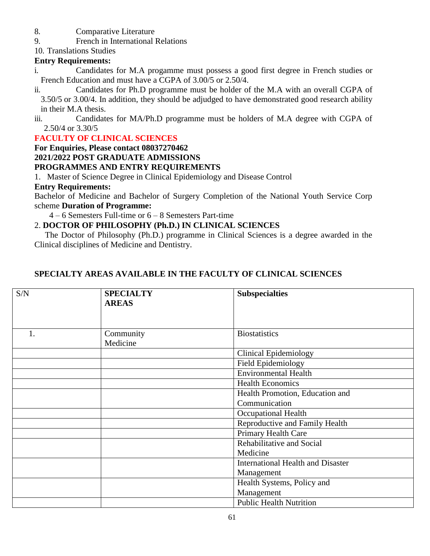- 8. Comparative Literature
- 9. French in International Relations
- 10. Translations Studies

# **Entry Requirements:**

- i. Candidates for M.A progamme must possess a good first degree in French studies or French Education and must have a CGPA of 3.00/5 or 2.50/4.
- ii. Candidates for Ph.D programme must be holder of the M.A with an overall CGPA of 3.50/5 or 3.00/4. In addition, they should be adjudged to have demonstrated good research ability in their M.A thesis.
- iii. Candidates for MA/Ph.D programme must be holders of M.A degree with CGPA of 2.50/4 or 3.30/5

# **FACULTY OF CLINICAL SCIENCES**

#### **For Enquiries, Please contact 08037270462 2021/2022 POST GRADUATE ADMISSIONS**

### **PROGRAMMES AND ENTRY REQUIREMENTS**

1. Master of Science Degree in Clinical Epidemiology and Disease Control

### **Entry Requirements:**

Bachelor of Medicine and Bachelor of Surgery Completion of the National Youth Service Corp scheme **Duration of Programme:** 

4 – 6 Semesters Full-time or 6 – 8 Semesters Part-time

### 2. **DOCTOR OF PHILOSOPHY (Ph.D.) IN CLINICAL SCIENCES**

 The Doctor of Philosophy (Ph.D.) programme in Clinical Sciences is a degree awarded in the Clinical disciplines of Medicine and Dentistry.

# **SPECIALTY AREAS AVAILABLE IN THE FACULTY OF CLINICAL SCIENCES**

| S/N | <b>SPECIALTY</b><br><b>AREAS</b> | <b>Subspecialties</b>                    |  |
|-----|----------------------------------|------------------------------------------|--|
|     | Community                        | <b>Biostatistics</b>                     |  |
|     | Medicine                         | <b>Clinical Epidemiology</b>             |  |
|     |                                  | <b>Field Epidemiology</b>                |  |
|     |                                  | <b>Environmental Health</b>              |  |
|     |                                  | <b>Health Economics</b>                  |  |
|     |                                  | Health Promotion, Education and          |  |
|     |                                  | Communication                            |  |
|     |                                  | Occupational Health                      |  |
|     |                                  | Reproductive and Family Health           |  |
|     |                                  | Primary Health Care                      |  |
|     |                                  | Rehabilitative and Social                |  |
|     |                                  | Medicine                                 |  |
|     |                                  | <b>International Health and Disaster</b> |  |
|     |                                  | Management                               |  |
|     |                                  | Health Systems, Policy and               |  |
|     |                                  | Management                               |  |
|     |                                  | <b>Public Health Nutrition</b>           |  |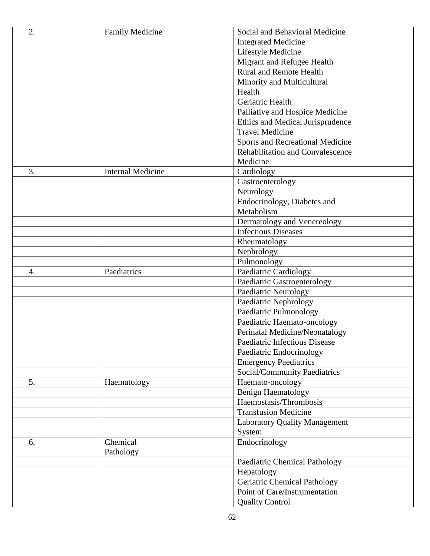| 2. | <b>Family Medicine</b>   | Social and Behavioral Medicine              |
|----|--------------------------|---------------------------------------------|
|    |                          | <b>Integrated Medicine</b>                  |
|    |                          | Lifestyle Medicine                          |
|    |                          | Migrant and Refugee Health                  |
|    |                          | <b>Rural and Remote Health</b>              |
|    |                          | Minority and Multicultural                  |
|    |                          | Health                                      |
|    |                          | Geriatric Health                            |
|    |                          | Palliative and Hospice Medicine             |
|    |                          | Ethics and Medical Jurisprudence            |
|    |                          | <b>Travel Medicine</b>                      |
|    |                          | Sports and Recreational Medicine            |
|    |                          | <b>Rehabilitation and Convalescence</b>     |
|    |                          | Medicine                                    |
| 3. | <b>Internal Medicine</b> | Cardiology                                  |
|    |                          | Gastroenterology                            |
|    |                          | Neurology                                   |
|    |                          | Endocrinology, Diabetes and                 |
|    |                          | Metabolism                                  |
|    |                          | Dermatology and Venereology                 |
|    |                          | <b>Infectious Diseases</b>                  |
|    |                          | Rheumatology                                |
|    |                          | Nephrology                                  |
|    |                          | Pulmonology                                 |
| 4. | Paediatrics              | Paediatric Cardiology                       |
|    |                          | Paediatric Gastroenterology                 |
|    |                          | Paediatric Neurology                        |
|    |                          | Paediatric Nephrology                       |
|    |                          | Paediatric Pulmonology                      |
|    |                          | Paediatric Haemato-oncology                 |
|    |                          | Perinatal Medicine/Neonatalogy              |
|    |                          | Paediatric Infectious Disease               |
|    |                          | Paediatric Endocrinology                    |
|    |                          | <b>Emergency Paediatrics</b>                |
|    |                          | Social/Community Paediatrics                |
| 5. | Haematology              | Haemato-oncology                            |
|    |                          | <b>Benign Haematology</b>                   |
|    |                          | Haemostasis/Thrombosis                      |
|    |                          | <b>Transfusion Medicine</b>                 |
|    |                          | <b>Laboratory Quality Management</b>        |
|    |                          | System                                      |
| 6. | Chemical                 | Endocrinology                               |
|    | Pathology                |                                             |
|    |                          |                                             |
|    |                          | Paediatric Chemical Pathology<br>Hepatology |
|    |                          | Geriatric Chemical Pathology                |
|    |                          | Point of Care/Instrumentation               |
|    |                          |                                             |
|    |                          | <b>Quality Control</b>                      |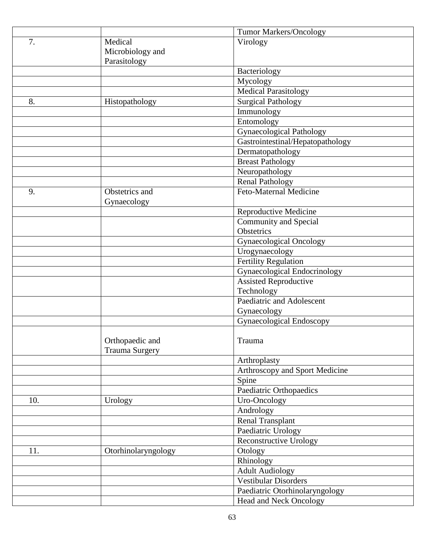|     |                       | Tumor Markers/Oncology           |
|-----|-----------------------|----------------------------------|
| 7.  | Medical               | Virology                         |
|     | Microbiology and      |                                  |
|     | Parasitology          |                                  |
|     |                       | Bacteriology                     |
|     |                       | Mycology                         |
|     |                       | <b>Medical Parasitology</b>      |
| 8.  | Histopathology        | Surgical Pathology               |
|     |                       | Immunology                       |
|     |                       | Entomology                       |
|     |                       | Gynaecological Pathology         |
|     |                       | Gastrointestinal/Hepatopathology |
|     |                       | Dermatopathology                 |
|     |                       | <b>Breast Pathology</b>          |
|     |                       | Neuropathology                   |
|     |                       | <b>Renal Pathology</b>           |
| 9.  | Obstetrics and        | Feto-Maternal Medicine           |
|     | Gynaecology           |                                  |
|     |                       | Reproductive Medicine            |
|     |                       | <b>Community and Special</b>     |
|     |                       | Obstetrics                       |
|     |                       | <b>Gynaecological Oncology</b>   |
|     |                       | Urogynaecology                   |
|     |                       | Fertility Regulation             |
|     |                       | Gynaecological Endocrinology     |
|     |                       | <b>Assisted Reproductive</b>     |
|     |                       | Technology                       |
|     |                       | Paediatric and Adolescent        |
|     |                       | Gynaecology                      |
|     |                       | Gynaecological Endoscopy         |
|     |                       |                                  |
|     | Orthopaedic and       | Trauma                           |
|     | <b>Trauma Surgery</b> |                                  |
|     |                       | Arthroplasty                     |
|     |                       | Arthroscopy and Sport Medicine   |
|     |                       | Spine                            |
|     |                       | Paediatric Orthopaedics          |
| 10. | Urology               | Uro-Oncology                     |
|     |                       | Andrology                        |
|     |                       | <b>Renal Transplant</b>          |
|     |                       | Paediatric Urology               |
|     |                       | <b>Reconstructive Urology</b>    |
| 11. | Otorhinolaryngology   | Otology                          |
|     |                       | Rhinology                        |
|     |                       | <b>Adult Audiology</b>           |
|     |                       | Vestibular Disorders             |
|     |                       | Paediatric Otorhinolaryngology   |
|     |                       | <b>Head and Neck Oncology</b>    |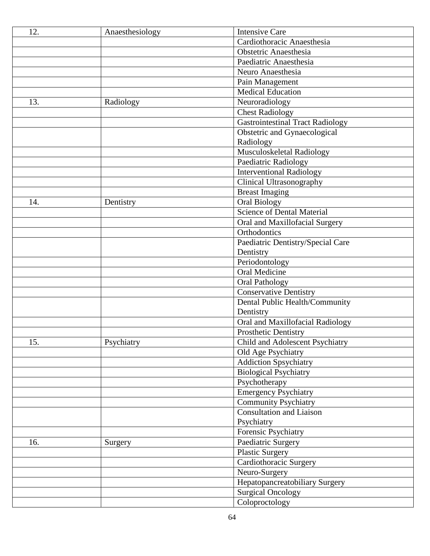| 12. | Anaesthesiology | <b>Intensive Care</b>                   |
|-----|-----------------|-----------------------------------------|
|     |                 | Cardiothoracic Anaesthesia              |
|     |                 | Obstetric Anaesthesia                   |
|     |                 | Paediatric Anaesthesia                  |
|     |                 | Neuro Anaesthesia                       |
|     |                 | Pain Management                         |
|     |                 | <b>Medical Education</b>                |
| 13. | Radiology       | Neuroradiology                          |
|     |                 | <b>Chest Radiology</b>                  |
|     |                 | <b>Gastrointestinal Tract Radiology</b> |
|     |                 | Obstetric and Gynaecological            |
|     |                 | Radiology                               |
|     |                 | Musculoskeletal Radiology               |
|     |                 | Paediatric Radiology                    |
|     |                 | <b>Interventional Radiology</b>         |
|     |                 | Clinical Ultrasonography                |
|     |                 | <b>Breast Imaging</b>                   |
| 14. | Dentistry       | Oral Biology                            |
|     |                 | Science of Dental Material              |
|     |                 | Oral and Maxillofacial Surgery          |
|     |                 | Orthodontics                            |
|     |                 | Paediatric Dentistry/Special Care       |
|     |                 | Dentistry                               |
|     |                 | Periodontology                          |
|     |                 | Oral Medicine                           |
|     |                 | <b>Oral Pathology</b>                   |
|     |                 | Conservative Dentistry                  |
|     |                 | Dental Public Health/Community          |
|     |                 | Dentistry                               |
|     |                 | Oral and Maxillofacial Radiology        |
|     |                 | Prosthetic Dentistry                    |
| 15. | Psychiatry      | Child and Adolescent Psychiatry         |
|     |                 | Old Age Psychiatry                      |
|     |                 | <b>Addiction Spsychiatry</b>            |
|     |                 | <b>Biological Psychiatry</b>            |
|     |                 | Psychotherapy                           |
|     |                 | <b>Emergency Psychiatry</b>             |
|     |                 | Community Psychiatry                    |
|     |                 | <b>Consultation and Liaison</b>         |
|     |                 | Psychiatry                              |
|     |                 | <b>Forensic Psychiatry</b>              |
| 16. | Surgery         | Paediatric Surgery                      |
|     |                 | <b>Plastic Surgery</b>                  |
|     |                 | Cardiothoracic Surgery                  |
|     |                 | Neuro-Surgery                           |
|     |                 | Hepatopancreatobiliary Surgery          |
|     |                 | <b>Surgical Oncology</b>                |
|     |                 |                                         |
|     |                 | Coloproctology                          |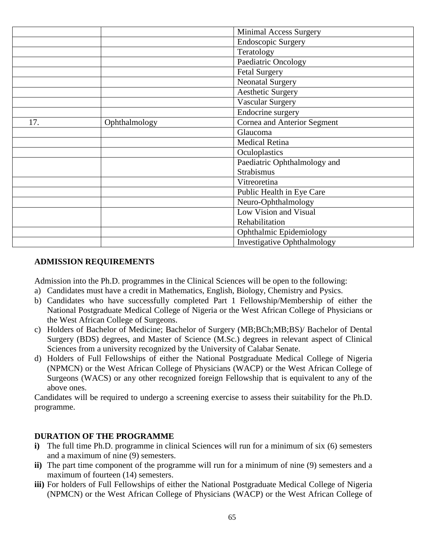|     |               | <b>Minimal Access Surgery</b>      |
|-----|---------------|------------------------------------|
|     |               | Endoscopic Surgery                 |
|     |               | Teratology                         |
|     |               | Paediatric Oncology                |
|     |               | <b>Fetal Surgery</b>               |
|     |               | <b>Neonatal Surgery</b>            |
|     |               | <b>Aesthetic Surgery</b>           |
|     |               | Vascular Surgery                   |
|     |               | Endocrine surgery                  |
| 17. | Ophthalmology | Cornea and Anterior Segment        |
|     |               | Glaucoma                           |
|     |               | <b>Medical Retina</b>              |
|     |               | Oculoplastics                      |
|     |               | Paediatric Ophthalmology and       |
|     |               | Strabismus                         |
|     |               | Vitreoretina                       |
|     |               | Public Health in Eye Care          |
|     |               | Neuro-Ophthalmology                |
|     |               | Low Vision and Visual              |
|     |               | Rehabilitation                     |
|     |               | Ophthalmic Epidemiology            |
|     |               | <b>Investigative Ophthalmology</b> |
|     |               |                                    |

### **ADMISSION REQUIREMENTS**

Admission into the Ph.D. programmes in the Clinical Sciences will be open to the following:

- a) Candidates must have a credit in Mathematics, English, Biology, Chemistry and Pysics.
- b) Candidates who have successfully completed Part 1 Fellowship/Membership of either the National Postgraduate Medical College of Nigeria or the West African College of Physicians or the West African College of Surgeons.
- c) Holders of Bachelor of Medicine; Bachelor of Surgery (MB;BCh;MB;BS)/ Bachelor of Dental Surgery (BDS) degrees, and Master of Science (M.Sc.) degrees in relevant aspect of Clinical Sciences from a university recognized by the University of Calabar Senate.
- d) Holders of Full Fellowships of either the National Postgraduate Medical College of Nigeria (NPMCN) or the West African College of Physicians (WACP) or the West African College of Surgeons (WACS) or any other recognized foreign Fellowship that is equivalent to any of the above ones.

Candidates will be required to undergo a screening exercise to assess their suitability for the Ph.D. programme.

### **DURATION OF THE PROGRAMME**

- **i)** The full time Ph.D. programme in clinical Sciences will run for a minimum of six (6) semesters and a maximum of nine (9) semesters.
- **ii)** The part time component of the programme will run for a minimum of nine (9) semesters and a maximum of fourteen (14) semesters.
- **iii)** For holders of Full Fellowships of either the National Postgraduate Medical College of Nigeria (NPMCN) or the West African College of Physicians (WACP) or the West African College of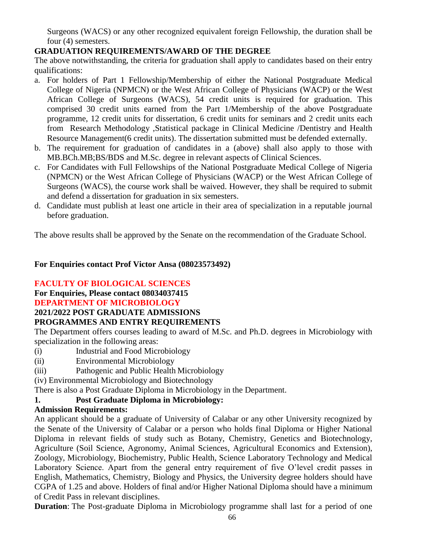Surgeons (WACS) or any other recognized equivalent foreign Fellowship, the duration shall be four (4) semesters.

# **GRADUATION REQUIREMENTS/AWARD OF THE DEGREE**

The above notwithstanding, the criteria for graduation shall apply to candidates based on their entry qualifications:

- a. For holders of Part 1 Fellowship/Membership of either the National Postgraduate Medical College of Nigeria (NPMCN) or the West African College of Physicians (WACP) or the West African College of Surgeons (WACS), 54 credit units is required for graduation. This comprised 30 credit units earned from the Part 1/Membership of the above Postgraduate programme, 12 credit units for dissertation, 6 credit units for seminars and 2 credit units each from Research Methodology ,Statistical package in Clinical Medicine /Dentistry and Health Resource Management(6 credit units). The dissertation submitted must be defended externally.
- b. The requirement for graduation of candidates in a (above) shall also apply to those with MB.BCh.MB;BS/BDS and M.Sc. degree in relevant aspects of Clinical Sciences.
- c. For Candidates with Full Fellowships of the National Postgraduate Medical College of Nigeria (NPMCN) or the West African College of Physicians (WACP) or the West African College of Surgeons (WACS), the course work shall be waived. However, they shall be required to submit and defend a dissertation for graduation in six semesters.
- d. Candidate must publish at least one article in their area of specialization in a reputable journal before graduation.

The above results shall be approved by the Senate on the recommendation of the Graduate School.

# **For Enquiries contact Prof Victor Ansa (08023573492)**

# **FACULTY OF BIOLOGICAL SCIENCES**

**For Enquiries, Please contact 08034037415** 

# **DEPARTMENT OF MICROBIOLOGY**

#### **2021/2022 POST GRADUATE ADMISSIONS PROGRAMMES AND ENTRY REQUIREMENTS**

The Department offers courses leading to award of M.Sc. and Ph.D. degrees in Microbiology with specialization in the following areas:

- (i) Industrial and Food Microbiology
- (ii) Environmental Microbiology
- (iii) Pathogenic and Public Health Microbiology

(iv) Environmental Microbiology and Biotechnology

There is also a Post Graduate Diploma in Microbiology in the Department.

# **1. Post Graduate Diploma in Microbiology:**

# **Admission Requirements:**

An applicant should be a graduate of University of Calabar or any other University recognized by the Senate of the University of Calabar or a person who holds final Diploma or Higher National Diploma in relevant fields of study such as Botany, Chemistry, Genetics and Biotechnology, Agriculture (Soil Science, Agronomy, Animal Sciences, Agricultural Economics and Extension), Zoology, Microbiology, Biochemistry, Public Health, Science Laboratory Technology and Medical Laboratory Science. Apart from the general entry requirement of five O'level credit passes in English, Mathematics, Chemistry, Biology and Physics, the University degree holders should have CGPA of 1.25 and above. Holders of final and/or Higher National Diploma should have a minimum of Credit Pass in relevant disciplines.

**Duration**: The Post-graduate Diploma in Microbiology programme shall last for a period of one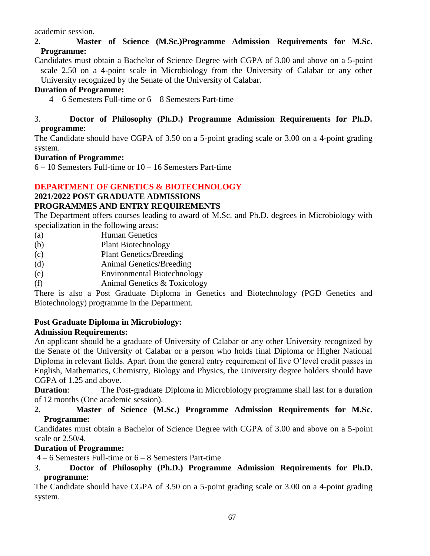academic session.

### **2. Master of Science (M.Sc.)Programme Admission Requirements for M.Sc. Programme:**

Candidates must obtain a Bachelor of Science Degree with CGPA of 3.00 and above on a 5-point scale 2.50 on a 4-point scale in Microbiology from the University of Calabar or any other University recognized by the Senate of the University of Calabar.

# **Duration of Programme:**

4 – 6 Semesters Full-time or 6 – 8 Semesters Part-time

### 3. **Doctor of Philosophy (Ph.D.) Programme Admission Requirements for Ph.D. programme**:

The Candidate should have CGPA of 3.50 on a 5-point grading scale or 3.00 on a 4-point grading system.

### **Duration of Programme:**

6 – 10 Semesters Full-time or 10 – 16 Semesters Part-time

# **DEPARTMENT OF GENETICS & BIOTECHNOLOGY**

# **2021/2022 POST GRADUATE ADMISSIONS**

# **PROGRAMMES AND ENTRY REQUIREMENTS**

The Department offers courses leading to award of M.Sc. and Ph.D. degrees in Microbiology with specialization in the following areas:

- (a) Human Genetics
- (b) Plant Biotechnology
- (c) Plant Genetics/Breeding
- (d) Animal Genetics/Breeding
- (e) Environmental Biotechnology
- (f) Animal Genetics & Toxicology

There is also a Post Graduate Diploma in Genetics and Biotechnology (PGD Genetics and Biotechnology) programme in the Department.

# **Post Graduate Diploma in Microbiology:**

# **Admission Requirements:**

An applicant should be a graduate of University of Calabar or any other University recognized by the Senate of the University of Calabar or a person who holds final Diploma or Higher National Diploma in relevant fields. Apart from the general entry requirement of five O'level credit passes in English, Mathematics, Chemistry, Biology and Physics, the University degree holders should have CGPA of 1.25 and above.

**Duration:** The Post-graduate Diploma in Microbiology programme shall last for a duration of 12 months (One academic session).

### **2. Master of Science (M.Sc.) Programme Admission Requirements for M.Sc. Programme:**

Candidates must obtain a Bachelor of Science Degree with CGPA of 3.00 and above on a 5-point scale or 2.50/4.

# **Duration of Programme:**

4 – 6 Semesters Full-time or 6 – 8 Semesters Part-time

# 3. **Doctor of Philosophy (Ph.D.) Programme Admission Requirements for Ph.D. programme**:

The Candidate should have CGPA of 3.50 on a 5-point grading scale or 3.00 on a 4-point grading system.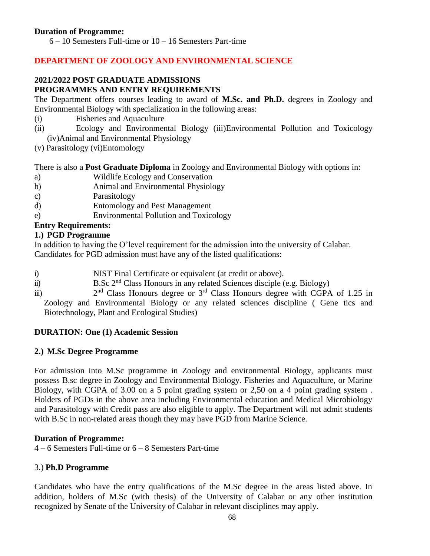### **Duration of Programme:**

6 – 10 Semesters Full-time or 10 – 16 Semesters Part-time

#### **DEPARTMENT OF ZOOLOGY AND ENVIRONMENTAL SCIENCE**

### **2021/2022 POST GRADUATE ADMISSIONS PROGRAMMES AND ENTRY REQUIREMENTS**

The Department offers courses leading to award of **M.Sc. and Ph.D.** degrees in Zoology and Environmental Biology with specialization in the following areas:

- (i) Fisheries and Aquaculture
- (ii) Ecology and Environmental Biology (iii)Environmental Pollution and Toxicology (iv)Animal and Environmental Physiology
- (v) Parasitology (vi)Entomology

There is also a **Post Graduate Diploma** in Zoology and Environmental Biology with options in:

- a) Wildlife Ecology and Conservation
- b) Animal and Environmental Physiology
- c) Parasitology
- d) Entomology and Pest Management
- e) Environmental Pollution and Toxicology

### **Entry Requirements:**

#### **1.) PGD Programme**

In addition to having the O'level requirement for the admission into the university of Calabar. Candidates for PGD admission must have any of the listed qualifications:

- i) NIST Final Certificate or equivalent (at credit or above).
- ii) B.Sc 2nd Class Honours in any related Sciences disciple (e.g. Biology)

iii) 2  $2<sup>nd</sup>$  Class Honours degree or  $3<sup>rd</sup>$  Class Honours degree with CGPA of 1.25 in Zoology and Environmental Biology or any related sciences discipline ( Gene tics and Biotechnology, Plant and Ecological Studies)

#### **DURATION: One (1) Academic Session**

#### **2.) M.Sc Degree Programme**

For admission into M.Sc programme in Zoology and environmental Biology, applicants must possess B.sc degree in Zoology and Environmental Biology. Fisheries and Aquaculture, or Marine Biology, with CGPA of 3.00 on a 5 point grading system or 2,50 on a 4 point grading system . Holders of PGDs in the above area including Environmental education and Medical Microbiology and Parasitology with Credit pass are also eligible to apply. The Department will not admit students with B.Sc in non-related areas though they may have PGD from Marine Science.

#### **Duration of Programme:**

4 – 6 Semesters Full-time or 6 – 8 Semesters Part-time

#### 3.) **Ph.D Programme**

Candidates who have the entry qualifications of the M.Sc degree in the areas listed above. In addition, holders of M.Sc (with thesis) of the University of Calabar or any other institution recognized by Senate of the University of Calabar in relevant disciplines may apply.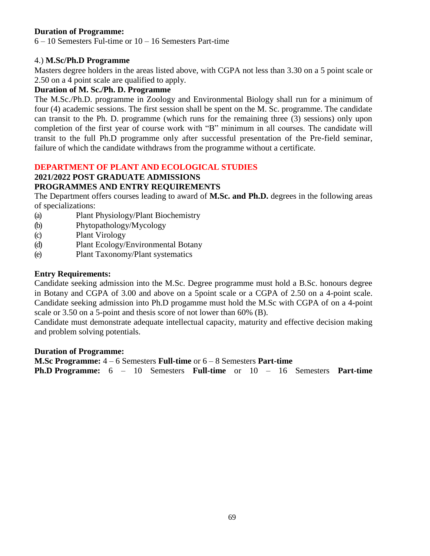### **Duration of Programme:**

6 – 10 Semesters Ful-time or 10 – 16 Semesters Part-time

#### 4.) **M.Sc/Ph.D Programme**

Masters degree holders in the areas listed above, with CGPA not less than 3.30 on a 5 point scale or 2.50 on a 4 point scale are qualified to apply.

### **Duration of M. Sc./Ph. D. Programme**

The M.Sc./Ph.D. programme in Zoology and Environmental Biology shall run for a minimum of four (4) academic sessions. The first session shall be spent on the M. Sc. programme. The candidate can transit to the Ph. D. programme (which runs for the remaining three (3) sessions) only upon completion of the first year of course work with "B" minimum in all courses. The candidate will transit to the full Ph.D programme only after successful presentation of the Pre-field seminar, failure of which the candidate withdraws from the programme without a certificate.

### **DEPARTMENT OF PLANT AND ECOLOGICAL STUDIES**

#### **2021/2022 POST GRADUATE ADMISSIONS PROGRAMMES AND ENTRY REQUIREMENTS**

The Department offers courses leading to award of **M.Sc. and Ph.D.** degrees in the following areas of specializations:

- (a) Plant Physiology/Plant Biochemistry
- (b) Phytopathology/Mycology
- (c) Plant Virology
- (d) Plant Ecology/Environmental Botany
- (e) Plant Taxonomy/Plant systematics

### **Entry Requirements:**

Candidate seeking admission into the M.Sc. Degree programme must hold a B.Sc. honours degree in Botany and CGPA of 3.00 and above on a 5point scale or a CGPA of 2.50 on a 4-point scale. Candidate seeking admission into Ph.D progamme must hold the M.Sc with CGPA of on a 4-point scale or 3.50 on a 5-point and thesis score of not lower than 60% (B).

Candidate must demonstrate adequate intellectual capacity, maturity and effective decision making and problem solving potentials.

#### **Duration of Programme:**

**M.Sc Programme:** 4 – 6 Semesters **Full-time** or 6 – 8 Semesters **Part-time Ph.D Programme:** 6 – 10 Semesters **Full-time** or 10 – 16 Semesters **Part-time**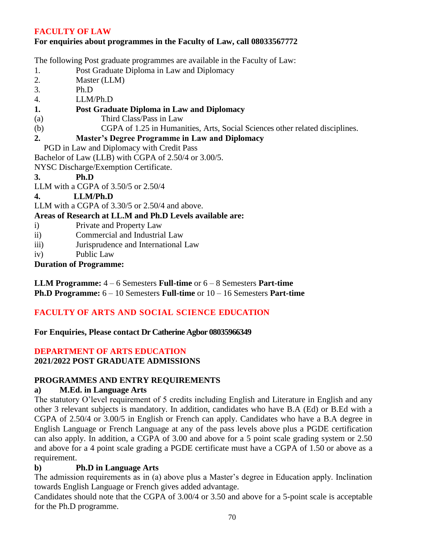# **FACULTY OF LAW**

# **For enquiries about programmes in the Faculty of Law, call 08033567772**

The following Post graduate programmes are available in the Faculty of Law:

- 1. Post Graduate Diploma in Law and Diplomacy
- 2. Master (LLM)
- 3. Ph.D
- 4. LLM/Ph.D
- **1. Post Graduate Diploma in Law and Diplomacy**
- (a) Third Class/Pass in Law
- (b) CGPA of 1.25 in Humanities, Arts, Social Sciences other related disciplines.

# **2. Master's Degree Programme in Law and Diplomacy**

PGD in Law and Diplomacy with Credit Pass

Bachelor of Law (LLB) with CGPA of 2.50/4 or 3.00/5.

NYSC Discharge/Exemption Certificate.

# **3. Ph.D**

- LLM with a CGPA of 3.50/5 or 2.50/4
- **4. LLM/Ph.D**

LLM with a CGPA of 3.30/5 or 2.50/4 and above.

# **Areas of Research at LL.M and Ph.D Levels available are:**

- i) Private and Property Law
- ii) Commercial and Industrial Law
- iii) Jurisprudence and International Law
- iv) Public Law

### **Duration of Programme:**

**LLM Programme:** 4 – 6 Semesters **Full-time** or 6 – 8 Semesters **Part-time Ph.D Programme:** 6 – 10 Semesters **Full-time** or 10 – 16 Semesters **Part-time**

# **FACULTY OF ARTS AND SOCIAL SCIENCE EDUCATION**

**For Enquiries, Please contact Dr Catherine Agbor 08035966349**

#### **DEPARTMENT OF ARTS EDUCATION 2021/2022 POST GRADUATE ADMISSIONS**

# **PROGRAMMES AND ENTRY REQUIREMENTS**

# **a) M.Ed. in Language Arts**

The statutory O'level requirement of 5 credits including English and Literature in English and any other 3 relevant subjects is mandatory. In addition, candidates who have B.A (Ed) or B.Ed with a CGPA of 2.50/4 or 3.00/5 in English or French can apply. Candidates who have a B.A degree in English Language or French Language at any of the pass levels above plus a PGDE certification can also apply. In addition, a CGPA of 3.00 and above for a 5 point scale grading system or 2.50 and above for a 4 point scale grading a PGDE certificate must have a CGPA of 1.50 or above as a requirement.

# **b) Ph.D in Language Arts**

The admission requirements as in (a) above plus a Master's degree in Education apply. Inclination towards English Language or French gives added advantage.

Candidates should note that the CGPA of 3.00/4 or 3.50 and above for a 5-point scale is acceptable for the Ph.D programme.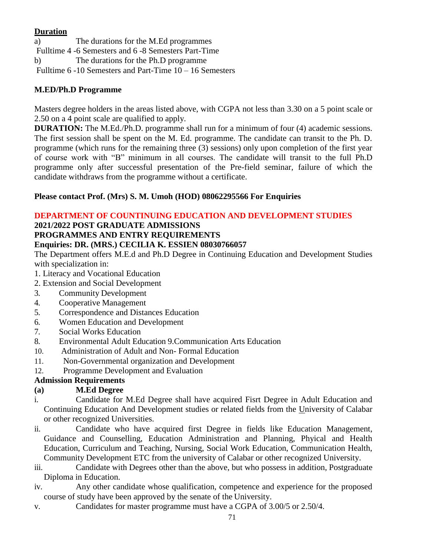# **Duration**

a) The durations for the M.Ed programmes Fulltime 4 -6 Semesters and 6 -8 Semesters Part-Time b) The durations for the Ph.D programme Fulltime 6 -10 Semesters and Part-Time 10 – 16 Semesters

### **M.ED/Ph.D Programme**

Masters degree holders in the areas listed above, with CGPA not less than 3.30 on a 5 point scale or 2.50 on a 4 point scale are qualified to apply.

**DURATION:** The M.Ed./Ph.D. programme shall run for a minimum of four (4) academic sessions. The first session shall be spent on the M. Ed. programme. The candidate can transit to the Ph. D. programme (which runs for the remaining three (3) sessions) only upon completion of the first year of course work with "B" minimum in all courses. The candidate will transit to the full Ph.D programme only after successful presentation of the Pre-field seminar, failure of which the candidate withdraws from the programme without a certificate.

### **Please contact Prof. (Mrs) S. M. Umoh (HOD) 08062295566 For Enquiries**

### **DEPARTMENT OF COUNTINUING EDUCATION AND DEVELOPMENT STUDIES**

### **2021/2022 POST GRADUATE ADMISSIONS**

### **PROGRAMMES AND ENTRY REQUIREMENTS**

### **Enquiries: DR. (MRS.) CECILIA K. ESSIEN 08030766057**

The Department offers M.E.d and Ph.D Degree in Continuing Education and Development Studies with specialization in:

- 1. Literacy and Vocational Education
- 2. Extension and Social Development
- 3. Community Development
- 4. Cooperative Management
- 5. Correspondence and Distances Education
- 6. Women Education and Development
- 7. Social Works Education
- 8. Environmental Adult Education 9.Communication Arts Education
- 10. Administration of Adult and Non- Formal Education
- 11. Non-Governmental organization and Development
- 12. Programme Development and Evaluation

# **Admission Requirements**

### **(a) M.Ed Degree**

i. Candidate for M.Ed Degree shall have acquired Fisrt Degree in Adult Education and Continuing Education And Development studies or related fields from the University of Calabar or other recognized Universities.

- ii. Candidate who have acquired first Degree in fields like Education Management, Guidance and Counselling, Education Administration and Planning, Phyical and Health Education, Curriculum and Teaching, Nursing, Social Work Education, Communication Health, Community Development ETC from the university of Calabar or other recognized University.
- iii. Candidate with Degrees other than the above, but who possess in addition, Postgraduate Diploma in Education.
- iv. Any other candidate whose qualification, competence and experience for the proposed course of study have been approved by the senate of the University.
- v. Candidates for master programme must have a CGPA of 3.00/5 or 2.50/4.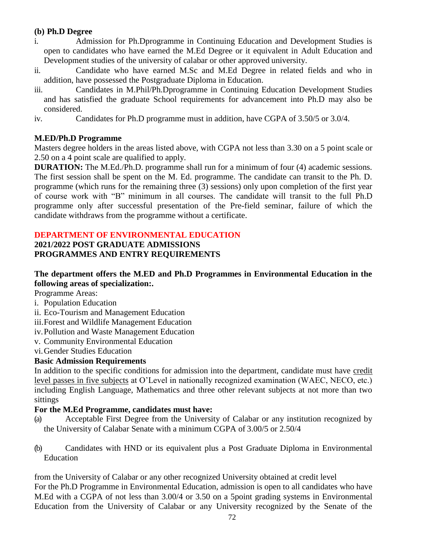### **(b) Ph.D Degree**

- i. Admission for Ph.Dprogramme in Continuing Education and Development Studies is open to candidates who have earned the M.Ed Degree or it equivalent in Adult Education and Development studies of the university of calabar or other approved university.
- ii. Candidate who have earned M.Sc and M.Ed Degree in related fields and who in addition, have possessed the Postgraduate Diploma in Education.
- iii. Candidates in M.Phil/Ph.Dprogramme in Continuing Education Development Studies and has satisfied the graduate School requirements for advancement into Ph.D may also be considered.
- iv. Candidates for Ph.D programme must in addition, have CGPA of 3.50/5 or 3.0/4.

### **M.ED/Ph.D Programme**

Masters degree holders in the areas listed above, with CGPA not less than 3.30 on a 5 point scale or 2.50 on a 4 point scale are qualified to apply.

**DURATION:** The M.Ed./Ph.D. programme shall run for a minimum of four (4) academic sessions. The first session shall be spent on the M. Ed. programme. The candidate can transit to the Ph. D. programme (which runs for the remaining three (3) sessions) only upon completion of the first year of course work with "B" minimum in all courses. The candidate will transit to the full Ph.D programme only after successful presentation of the Pre-field seminar, failure of which the candidate withdraws from the programme without a certificate.

# **DEPARTMENT OF ENVIRONMENTAL EDUCATION**

#### **2021/2022 POST GRADUATE ADMISSIONS PROGRAMMES AND ENTRY REQUIREMENTS**

# **The department offers the M.ED and Ph.D Programmes in Environmental Education in the following areas of specialization:.**

Programme Areas:

- i. Population Education
- ii. Eco-Tourism and Management Education
- iii.Forest and Wildlife Management Education
- iv.Pollution and Waste Management Education
- v. Community Environmental Education
- vi.Gender Studies Education

# **Basic Admission Requirements**

In addition to the specific conditions for admission into the department, candidate must have credit level passes in five subjects at O'Level in nationally recognized examination (WAEC, NECO, etc.) including English Language, Mathematics and three other relevant subjects at not more than two sittings

### **For the M.Ed Programme, candidates must have:**

- (a) Acceptable First Degree from the University of Calabar or any institution recognized by the University of Calabar Senate with a minimum CGPA of 3.00/5 or 2.50/4
- (b) Candidates with HND or its equivalent plus a Post Graduate Diploma in Environmental Education

from the University of Calabar or any other recognized University obtained at credit level For the Ph.D Programme in Environmental Education, admission is open to all candidates who have M.Ed with a CGPA of not less than 3.00/4 or 3.50 on a 5point grading systems in Environmental Education from the University of Calabar or any University recognized by the Senate of the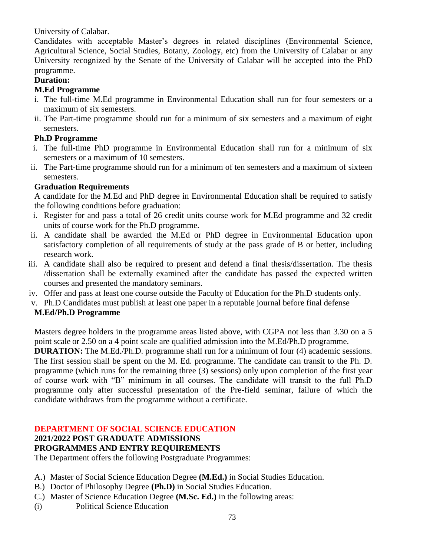University of Calabar.

Candidates with acceptable Master's degrees in related disciplines (Environmental Science, Agricultural Science, Social Studies, Botany, Zoology, etc) from the University of Calabar or any University recognized by the Senate of the University of Calabar will be accepted into the PhD programme.

#### **Duration:**

## **M.Ed Programme**

- i. The full-time M.Ed programme in Environmental Education shall run for four semesters or a maximum of six semesters.
- ii. The Part-time programme should run for a minimum of six semesters and a maximum of eight semesters.

## **Ph.D Programme**

- i. The full-time PhD programme in Environmental Education shall run for a minimum of six semesters or a maximum of 10 semesters.
- ii. The Part-time programme should run for a minimum of ten semesters and a maximum of sixteen semesters.

## **Graduation Requirements**

A candidate for the M.Ed and PhD degree in Environmental Education shall be required to satisfy the following conditions before graduation:

- i. Register for and pass a total of 26 credit units course work for M.Ed programme and 32 credit units of course work for the Ph.D programme.
- ii. A candidate shall be awarded the M.Ed or PhD degree in Environmental Education upon satisfactory completion of all requirements of study at the pass grade of B or better, including research work.
- iii. A candidate shall also be required to present and defend a final thesis/dissertation. The thesis /dissertation shall be externally examined after the candidate has passed the expected written courses and presented the mandatory seminars.
- iv. Offer and pass at least one course outside the Faculty of Education for the Ph.D students only.
- v. Ph.D Candidates must publish at least one paper in a reputable journal before final defense

## **M.Ed/Ph.D Programme**

Masters degree holders in the programme areas listed above, with CGPA not less than 3.30 on a 5 point scale or 2.50 on a 4 point scale are qualified admission into the M.Ed/Ph.D programme.

**DURATION:** The M.Ed./Ph.D. programme shall run for a minimum of four (4) academic sessions. The first session shall be spent on the M. Ed. programme. The candidate can transit to the Ph. D. programme (which runs for the remaining three (3) sessions) only upon completion of the first year of course work with "B" minimum in all courses. The candidate will transit to the full Ph.D programme only after successful presentation of the Pre-field seminar, failure of which the candidate withdraws from the programme without a certificate.

## **DEPARTMENT OF SOCIAL SCIENCE EDUCATION**

## **2021/2022 POST GRADUATE ADMISSIONS**

## **PROGRAMMES AND ENTRY REQUIREMENTS**

The Department offers the following Postgraduate Programmes:

- A.) Master of Social Science Education Degree **(M.Ed.)** in Social Studies Education.
- B.) Doctor of Philosophy Degree **(Ph.D)** in Social Studies Education.
- C.) Master of Science Education Degree **(M.Sc. Ed.)** in the following areas:
- (i) Political Science Education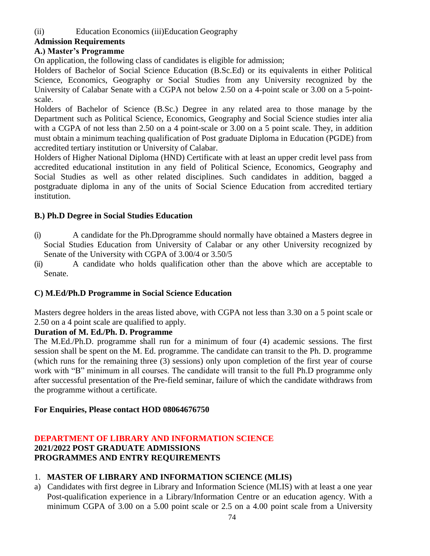## (ii) Education Economics (iii)Education Geography

#### **Admission Requirements**

#### **A.) Master's Programme**

On application, the following class of candidates is eligible for admission;

Holders of Bachelor of Social Science Education (B.Sc.Ed) or its equivalents in either Political Science, Economics, Geography or Social Studies from any University recognized by the University of Calabar Senate with a CGPA not below 2.50 on a 4-point scale or 3.00 on a 5-pointscale.

Holders of Bachelor of Science (B.Sc.) Degree in any related area to those manage by the Department such as Political Science, Economics, Geography and Social Science studies inter alia with a CGPA of not less than 2.50 on a 4 point-scale or 3.00 on a 5 point scale. They, in addition must obtain a minimum teaching qualification of Post graduate Diploma in Education (PGDE) from accredited tertiary institution or University of Calabar.

Holders of Higher National Diploma (HND) Certificate with at least an upper credit level pass from accredited educational institution in any field of Political Science, Economics, Geography and Social Studies as well as other related disciplines. Such candidates in addition, bagged a postgraduate diploma in any of the units of Social Science Education from accredited tertiary institution.

## **B.) Ph.D Degree in Social Studies Education**

- (i) A candidate for the Ph.Dprogramme should normally have obtained a Masters degree in Social Studies Education from University of Calabar or any other University recognized by Senate of the University with CGPA of 3.00/4 or 3.50/5
- (ii) A candidate who holds qualification other than the above which are acceptable to Senate.

#### **C) M.Ed/Ph.D Programme in Social Science Education**

Masters degree holders in the areas listed above, with CGPA not less than 3.30 on a 5 point scale or 2.50 on a 4 point scale are qualified to apply.

#### **Duration of M. Ed./Ph. D. Programme**

The M.Ed./Ph.D. programme shall run for a minimum of four (4) academic sessions. The first session shall be spent on the M. Ed. programme. The candidate can transit to the Ph. D. programme (which runs for the remaining three (3) sessions) only upon completion of the first year of course work with "B" minimum in all courses. The candidate will transit to the full Ph.D programme only after successful presentation of the Pre-field seminar, failure of which the candidate withdraws from the programme without a certificate.

#### **For Enquiries, Please contact HOD 08064676750**

## **DEPARTMENT OF LIBRARY AND INFORMATION SCIENCE 2021/2022 POST GRADUATE ADMISSIONS PROGRAMMES AND ENTRY REQUIREMENTS**

## 1. **MASTER OF LIBRARY AND INFORMATION SCIENCE (MLIS)**

a) Candidates with first degree in Library and Information Science (MLIS) with at least a one year Post-qualification experience in a Library/Information Centre or an education agency. With a minimum CGPA of 3.00 on a 5.00 point scale or 2.5 on a 4.00 point scale from a University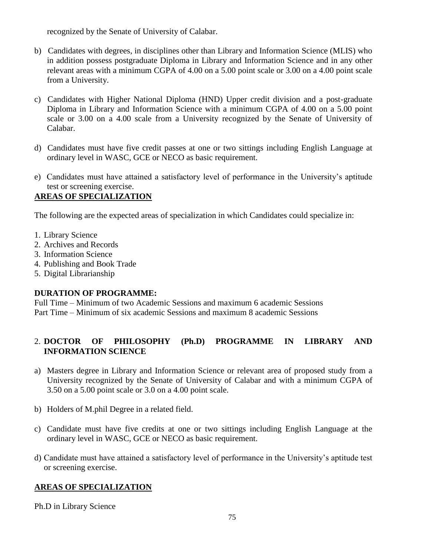recognized by the Senate of University of Calabar.

- b) Candidates with degrees, in disciplines other than Library and Information Science (MLIS) who in addition possess postgraduate Diploma in Library and Information Science and in any other relevant areas with a minimum CGPA of 4.00 on a 5.00 point scale or 3.00 on a 4.00 point scale from a University.
- c) Candidates with Higher National Diploma (HND) Upper credit division and a post-graduate Diploma in Library and Information Science with a minimum CGPA of 4.00 on a 5.00 point scale or 3.00 on a 4.00 scale from a University recognized by the Senate of University of Calabar.
- d) Candidates must have five credit passes at one or two sittings including English Language at ordinary level in WASC, GCE or NECO as basic requirement.
- e) Candidates must have attained a satisfactory level of performance in the University's aptitude test or screening exercise.

## **AREAS OF SPECIALIZATION**

The following are the expected areas of specialization in which Candidates could specialize in:

- 1. Library Science
- 2. Archives and Records
- 3. Information Science
- 4. Publishing and Book Trade
- 5. Digital Librarianship

#### **DURATION OF PROGRAMME:**

Full Time – Minimum of two Academic Sessions and maximum 6 academic Sessions Part Time – Minimum of six academic Sessions and maximum 8 academic Sessions

## 2. **DOCTOR OF PHILOSOPHY (Ph.D) PROGRAMME IN LIBRARY AND INFORMATION SCIENCE**

- a) Masters degree in Library and Information Science or relevant area of proposed study from a University recognized by the Senate of University of Calabar and with a minimum CGPA of 3.50 on a 5.00 point scale or 3.0 on a 4.00 point scale.
- b) Holders of M.phil Degree in a related field.
- c) Candidate must have five credits at one or two sittings including English Language at the ordinary level in WASC, GCE or NECO as basic requirement.
- d) Candidate must have attained a satisfactory level of performance in the University's aptitude test or screening exercise.

#### **AREAS OF SPECIALIZATION**

Ph.D in Library Science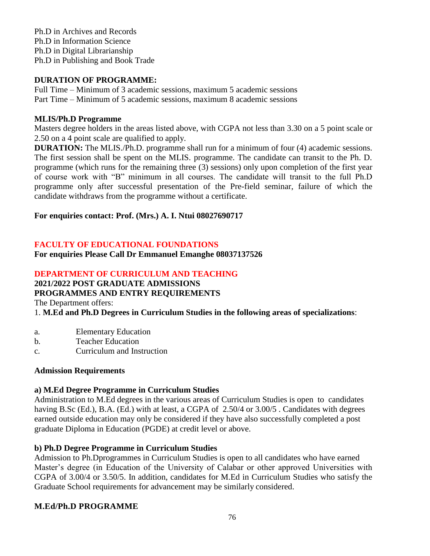Ph.D in Archives and Records Ph.D in Information Science Ph.D in Digital Librarianship Ph.D in Publishing and Book Trade

#### **DURATION OF PROGRAMME:**

Full Time – Minimum of 3 academic sessions, maximum 5 academic sessions Part Time – Minimum of 5 academic sessions, maximum 8 academic sessions

#### **MLIS/Ph.D Programme**

Masters degree holders in the areas listed above, with CGPA not less than 3.30 on a 5 point scale or 2.50 on a 4 point scale are qualified to apply.

**DURATION:** The MLIS./Ph.D. programme shall run for a minimum of four (4) academic sessions. The first session shall be spent on the MLIS. programme. The candidate can transit to the Ph. D. programme (which runs for the remaining three (3) sessions) only upon completion of the first year of course work with "B" minimum in all courses. The candidate will transit to the full Ph.D programme only after successful presentation of the Pre-field seminar, failure of which the candidate withdraws from the programme without a certificate.

## **For enquiries contact: Prof. (Mrs.) A. I. Ntui 08027690717**

## **FACULTY OF EDUCATIONAL FOUNDATIONS**

**For enquiries Please Call Dr Emmanuel Emanghe 08037137526**

#### **DEPARTMENT OF CURRICULUM AND TEACHING**

# **2021/2022 POST GRADUATE ADMISSIONS**

**PROGRAMMES AND ENTRY REQUIREMENTS**

The Department offers:

1. **M.Ed and Ph.D Degrees in Curriculum Studies in the following areas of specializations**:

- a. Elementary Education
- b. Teacher Education
- c. Curriculum and Instruction

#### **Admission Requirements**

## **a) M.Ed Degree Programme in Curriculum Studies**

Administration to M.Ed degrees in the various areas of Curriculum Studies is open to candidates having B.Sc (Ed.), B.A. (Ed.) with at least, a CGPA of 2.50/4 or 3.00/5. Candidates with degrees earned outside education may only be considered if they have also successfully completed a post graduate Diploma in Education (PGDE) at credit level or above.

## **b) Ph.D Degree Programme in Curriculum Studies**

Admission to Ph.Dprogrammes in Curriculum Studies is open to all candidates who have earned Master's degree (in Education of the University of Calabar or other approved Universities with CGPA of 3.00/4 or 3.50/5. In addition, candidates for M.Ed in Curriculum Studies who satisfy the Graduate School requirements for advancement may be similarly considered.

## **M.Ed/Ph.D PROGRAMME**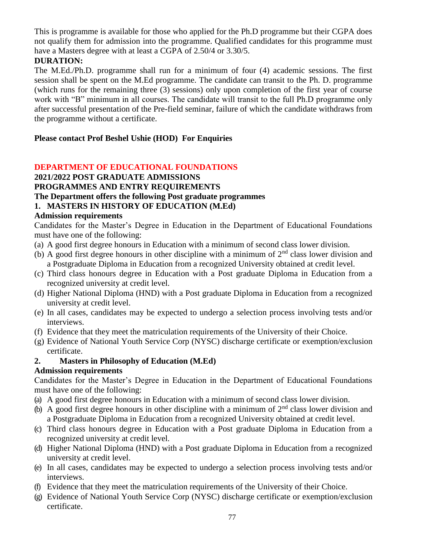This is programme is available for those who applied for the Ph.D programme but their CGPA does not qualify them for admission into the programme. Qualified candidates for this programme must have a Masters degree with at least a CGPA of 2.50/4 or 3.30/5.

## **DURATION:**

The M.Ed./Ph.D. programme shall run for a minimum of four (4) academic sessions. The first session shall be spent on the M.Ed programme. The candidate can transit to the Ph. D. programme (which runs for the remaining three (3) sessions) only upon completion of the first year of course work with "B" minimum in all courses. The candidate will transit to the full Ph.D programme only after successful presentation of the Pre-field seminar, failure of which the candidate withdraws from the programme without a certificate.

# **Please contact Prof Beshel Ushie (HOD) For Enquiries**

## **DEPARTMENT OF EDUCATIONAL FOUNDATIONS**

#### **2021/2022 POST GRADUATE ADMISSIONS PROGRAMMES AND ENTRY REQUIREMENTS The Department offers the following Post graduate programmes 1. MASTERS IN HISTORY OF EDUCATION (M.Ed)**

## **Admission requirements**

Candidates for the Master's Degree in Education in the Department of Educational Foundations must have one of the following:

- (a) A good first degree honours in Education with a minimum of second class lower division.
- (b) A good first degree honours in other discipline with a minimum of  $2<sup>nd</sup>$  class lower division and a Postgraduate Diploma in Education from a recognized University obtained at credit level.
- (c) Third class honours degree in Education with a Post graduate Diploma in Education from a recognized university at credit level.
- (d) Higher National Diploma (HND) with a Post graduate Diploma in Education from a recognized university at credit level.
- (e) In all cases, candidates may be expected to undergo a selection process involving tests and/or interviews.
- (f) Evidence that they meet the matriculation requirements of the University of their Choice.
- (g) Evidence of National Youth Service Corp (NYSC) discharge certificate or exemption/exclusion certificate.

# **2. Masters in Philosophy of Education (M.Ed)**

## **Admission requirements**

Candidates for the Master's Degree in Education in the Department of Educational Foundations must have one of the following:

- (a) A good first degree honours in Education with a minimum of second class lower division.
- (b) A good first degree honours in other discipline with a minimum of  $2<sup>nd</sup>$  class lower division and a Postgraduate Diploma in Education from a recognized University obtained at credit level.
- (c) Third class honours degree in Education with a Post graduate Diploma in Education from a recognized university at credit level.
- (d) Higher National Diploma (HND) with a Post graduate Diploma in Education from a recognized university at credit level.
- (e) In all cases, candidates may be expected to undergo a selection process involving tests and/or interviews.
- (f) Evidence that they meet the matriculation requirements of the University of their Choice.
- (g) Evidence of National Youth Service Corp (NYSC) discharge certificate or exemption/exclusion certificate.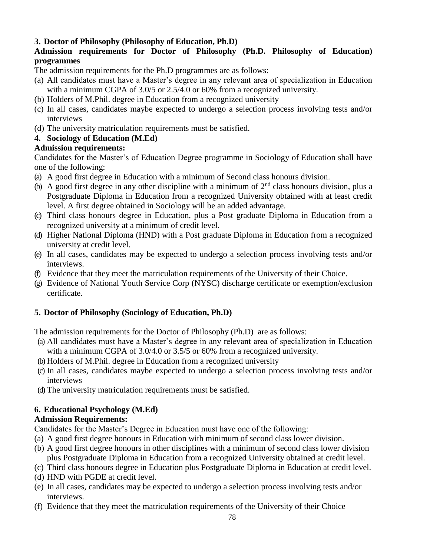## **3. Doctor of Philosophy (Philosophy of Education, Ph.D)**

## **Admission requirements for Doctor of Philosophy (Ph.D. Philosophy of Education) programmes**

The admission requirements for the Ph.D programmes are as follows:

- (a) All candidates must have a Master's degree in any relevant area of specialization in Education with a minimum CGPA of 3.0/5 or 2.5/4.0 or 60% from a recognized university.
- (b) Holders of M.Phil. degree in Education from a recognized university
- (c) In all cases, candidates maybe expected to undergo a selection process involving tests and/or interviews
- (d) The university matriculation requirements must be satisfied.

# **4. Sociology of Education (M.Ed)**

## **Admission requirements:**

Candidates for the Master's of Education Degree programme in Sociology of Education shall have one of the following:

- (a) A good first degree in Education with a minimum of Second class honours division.
- (b) A good first degree in any other discipline with a minimum of  $2<sup>nd</sup>$  class honours division, plus a Postgraduate Diploma in Education from a recognized University obtained with at least credit level. A first degree obtained in Sociology will be an added advantage.
- (c) Third class honours degree in Education, plus a Post graduate Diploma in Education from a recognized university at a minimum of credit level.
- (d) Higher National Diploma (HND) with a Post graduate Diploma in Education from a recognized university at credit level.
- (e) In all cases, candidates may be expected to undergo a selection process involving tests and/or interviews.
- (f) Evidence that they meet the matriculation requirements of the University of their Choice.
- (g) Evidence of National Youth Service Corp (NYSC) discharge certificate or exemption/exclusion certificate.

## **5. Doctor of Philosophy (Sociology of Education, Ph.D)**

The admission requirements for the Doctor of Philosophy (Ph.D) are as follows:

- (a) All candidates must have a Master's degree in any relevant area of specialization in Education with a minimum CGPA of 3.0/4.0 or 3.5/5 or 60% from a recognized university.
- (b) Holders of M.Phil. degree in Education from a recognized university
- (c) In all cases, candidates maybe expected to undergo a selection process involving tests and/or interviews
- (d) The university matriculation requirements must be satisfied.

## **6. Educational Psychology (M.Ed)**

## **Admission Requirements:**

Candidates for the Master's Degree in Education must have one of the following:

- (a) A good first degree honours in Education with minimum of second class lower division.
- (b) A good first degree honours in other disciplines with a minimum of second class lower division plus Postgraduate Diploma in Education from a recognized University obtained at credit level.
- (c) Third class honours degree in Education plus Postgraduate Diploma in Education at credit level.
- (d) HND with PGDE at credit level.
- (e) In all cases, candidates may be expected to undergo a selection process involving tests and/or interviews.
- (f) Evidence that they meet the matriculation requirements of the University of their Choice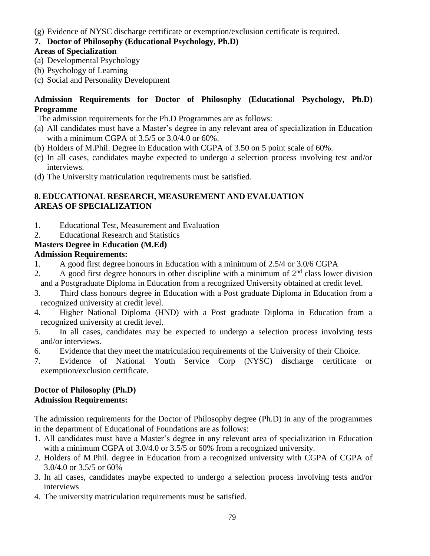(g) Evidence of NYSC discharge certificate or exemption/exclusion certificate is required.

## **7. Doctor of Philosophy (Educational Psychology, Ph.D)**

## **Areas of Specialization**

- (a) Developmental Psychology
- (b) Psychology of Learning
- (c) Social and Personality Development

## **Admission Requirements for Doctor of Philosophy (Educational Psychology, Ph.D) Programme**

The admission requirements for the Ph.D Programmes are as follows:

- (a) All candidates must have a Master's degree in any relevant area of specialization in Education with a minimum CGPA of 3.5/5 or 3.0/4.0 or 60%.
- (b) Holders of M.Phil. Degree in Education with CGPA of 3.50 on 5 point scale of 60%.
- (c) In all cases, candidates maybe expected to undergo a selection process involving test and/or interviews.
- (d) The University matriculation requirements must be satisfied.

## **8. EDUCATIONAL RESEARCH, MEASUREMENT AND EVALUATION AREAS OF SPECIALIZATION**

- 1. Educational Test, Measurement and Evaluation
- 2. Educational Research and Statistics

## **Masters Degree in Education (M.Ed)**

## **Admission Requirements:**

- 1. A good first degree honours in Education with a minimum of 2.5/4 or 3.0/6 CGPA
- 2. A good first degree honours in other discipline with a minimum of  $2<sup>nd</sup>$  class lower division and a Postgraduate Diploma in Education from a recognized University obtained at credit level.
- 3. Third class honours degree in Education with a Post graduate Diploma in Education from a recognized university at credit level.
- 4. Higher National Diploma (HND) with a Post graduate Diploma in Education from a recognized university at credit level.
- 5. In all cases, candidates may be expected to undergo a selection process involving tests and/or interviews.
- 6. Evidence that they meet the matriculation requirements of the University of their Choice.

7. Evidence of National Youth Service Corp (NYSC) discharge certificate or exemption/exclusion certificate.

#### **Doctor of Philosophy (Ph.D) Admission Requirements:**

The admission requirements for the Doctor of Philosophy degree (Ph.D) in any of the programmes in the department of Educational of Foundations are as follows:

- 1. All candidates must have a Master's degree in any relevant area of specialization in Education with a minimum CGPA of 3.0/4.0 or 3.5/5 or 60% from a recognized university.
- 2. Holders of M.Phil. degree in Education from a recognized university with CGPA of CGPA of 3.0/4.0 or 3.5/5 or 60%
- 3. In all cases, candidates maybe expected to undergo a selection process involving tests and/or interviews
- 4. The university matriculation requirements must be satisfied.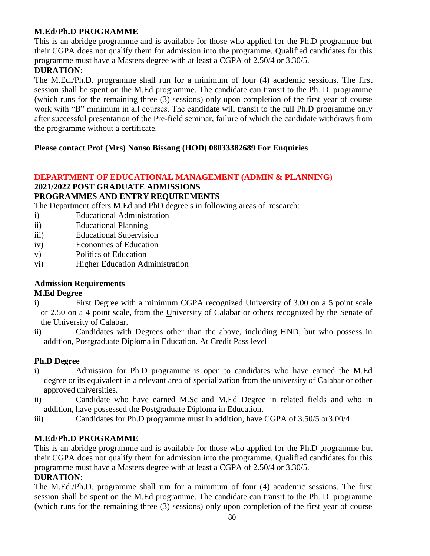## **M.Ed/Ph.D PROGRAMME**

This is an abridge programme and is available for those who applied for the Ph.D programme but their CGPA does not qualify them for admission into the programme. Qualified candidates for this programme must have a Masters degree with at least a CGPA of 2.50/4 or 3.30/5.

#### **DURATION:**

The M.Ed./Ph.D. programme shall run for a minimum of four (4) academic sessions. The first session shall be spent on the M.Ed programme. The candidate can transit to the Ph. D. programme (which runs for the remaining three (3) sessions) only upon completion of the first year of course work with "B" minimum in all courses. The candidate will transit to the full Ph.D programme only after successful presentation of the Pre-field seminar, failure of which the candidate withdraws from the programme without a certificate.

#### **Please contact Prof (Mrs) Nonso Bissong (HOD) 08033382689 For Enquiries**

# **DEPARTMENT OF EDUCATIONAL MANAGEMENT (ADMIN & PLANNING) 2021/2022 POST GRADUATE ADMISSIONS**

**PROGRAMMES AND ENTRY REQUIREMENTS** The Department offers M.Ed and PhD degree s in following areas of research:

- i) Educational Administration
- ii) Educational Planning
- iii) Educational Supervision
- iv) Economics of Education
- v) Politics of Education
- vi) Higher Education Administration

## **Admission Requirements**

#### **M.Ed Degree**

- i) First Degree with a minimum CGPA recognized University of 3.00 on a 5 point scale or 2.50 on a 4 point scale, from the University of Calabar or others recognized by the Senate of the University of Calabar.
- ii) Candidates with Degrees other than the above, including HND, but who possess in addition, Postgraduate Diploma in Education. At Credit Pass level

#### **Ph.D Degree**

- i) Admission for Ph.D programme is open to candidates who have earned the M.Ed degree or its equivalent in a relevant area of specialization from the university of Calabar or other approved universities.
- ii) Candidate who have earned M.Sc and M.Ed Degree in related fields and who in addition, have possessed the Postgraduate Diploma in Education.
- iii) Candidates for Ph.D programme must in addition, have CGPA of 3.50/5 or3.00/4

## **M.Ed/Ph.D PROGRAMME**

This is an abridge programme and is available for those who applied for the Ph.D programme but their CGPA does not qualify them for admission into the programme. Qualified candidates for this programme must have a Masters degree with at least a CGPA of 2.50/4 or 3.30/5.

#### **DURATION:**

The M.Ed./Ph.D. programme shall run for a minimum of four (4) academic sessions. The first session shall be spent on the M.Ed programme. The candidate can transit to the Ph. D. programme (which runs for the remaining three (3) sessions) only upon completion of the first year of course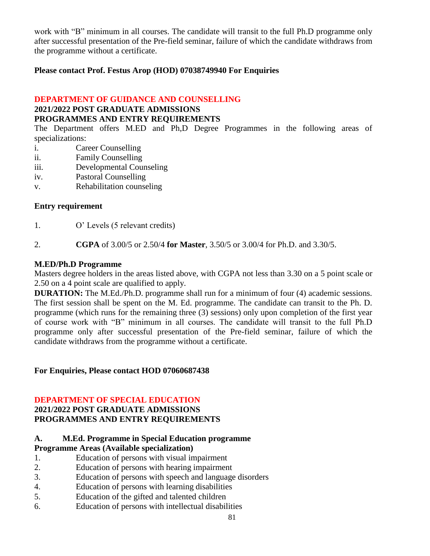work with "B" minimum in all courses. The candidate will transit to the full Ph.D programme only after successful presentation of the Pre-field seminar, failure of which the candidate withdraws from the programme without a certificate.

#### **Please contact Prof. Festus Arop (HOD) 07038749940 For Enquiries**

## **DEPARTMENT OF GUIDANCE AND COUNSELLING**

#### **2021/2022 POST GRADUATE ADMISSIONS PROGRAMMES AND ENTRY REQUIREMENTS**

The Department offers M.ED and Ph,D Degree Programmes in the following areas of specializations:

- i. Career Counselling
- ii. Family Counselling
- iii. Developmental Counseling
- iv. Pastoral Counselling
- v. Rehabilitation counseling

## **Entry requirement**

- 1. O' Levels (5 relevant credits)
- 2. **CGPA** of 3.00/5 or 2.50/4 **for Master**, 3.50/5 or 3.00/4 for Ph.D. and 3.30/5.

#### **M.ED/Ph.D Programme**

Masters degree holders in the areas listed above, with CGPA not less than 3.30 on a 5 point scale or 2.50 on a 4 point scale are qualified to apply.

**DURATION:** The M.Ed./Ph.D. programme shall run for a minimum of four (4) academic sessions. The first session shall be spent on the M. Ed. programme. The candidate can transit to the Ph. D. programme (which runs for the remaining three (3) sessions) only upon completion of the first year of course work with "B" minimum in all courses. The candidate will transit to the full Ph.D programme only after successful presentation of the Pre-field seminar, failure of which the candidate withdraws from the programme without a certificate.

## **For Enquiries, Please contact HOD 07060687438**

## **DEPARTMENT OF SPECIAL EDUCATION 2021/2022 POST GRADUATE ADMISSIONS PROGRAMMES AND ENTRY REQUIREMENTS**

# **A. M.Ed. Programme in Special Education programme**

# **Programme Areas (Available specialization)**

- 1. Education of persons with visual impairment
- 2. Education of persons with hearing impairment
- 3. Education of persons with speech and language disorders
- 4. Education of persons with learning disabilities
- 5. Education of the gifted and talented children
- 6. Education of persons with intellectual disabilities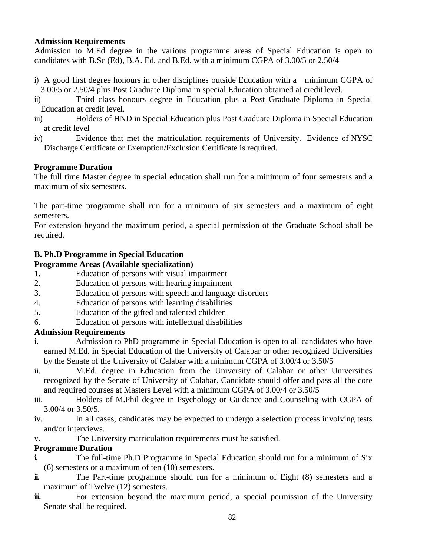#### **Admission Requirements**

Admission to M.Ed degree in the various programme areas of Special Education is open to candidates with B.Sc (Ed), B.A. Ed, and B.Ed. with a minimum CGPA of 3.00/5 or 2.50/4

- i) A good first degree honours in other disciplines outside Education with a minimum CGPA of 3.00/5 or 2.50/4 plus Post Graduate Diploma in special Education obtained at credit level.
- ii) Third class honours degree in Education plus a Post Graduate Diploma in Special Education at credit level.
- iii) Holders of HND in Special Education plus Post Graduate Diploma in Special Education at credit level
- iv) Evidence that met the matriculation requirements of University. Evidence of NYSC Discharge Certificate or Exemption/Exclusion Certificate is required.

#### **Programme Duration**

The full time Master degree in special education shall run for a minimum of four semesters and a maximum of six semesters.

The part-time programme shall run for a minimum of six semesters and a maximum of eight semesters.

For extension beyond the maximum period, a special permission of the Graduate School shall be required.

#### **B. Ph.D Programme in Special Education**

## **Programme Areas (Available specialization)**

- 1. Education of persons with visual impairment
- 2. Education of persons with hearing impairment
- 3. Education of persons with speech and language disorders
- 4. Education of persons with learning disabilities
- 5. Education of the gifted and talented children
- 6. Education of persons with intellectual disabilities

## **Admission Requirements**

- i. Admission to PhD programme in Special Education is open to all candidates who have earned M.Ed. in Special Education of the University of Calabar or other recognized Universities by the Senate of the University of Calabar with a minimum CGPA of 3.00/4 or 3.50/5
- ii. M.Ed. degree in Education from the University of Calabar or other Universities recognized by the Senate of University of Calabar. Candidate should offer and pass all the core and required courses at Masters Level with a minimum CGPA of 3.00/4 or 3.50/5
- iii. Holders of M.Phil degree in Psychology or Guidance and Counseling with CGPA of 3.00/4 or 3.50/5.
- iv. In all cases, candidates may be expected to undergo a selection process involving tests and/or interviews.
- v. The University matriculation requirements must be satisfied.

## **Programme Duration**

- **i.** The full-time Ph.D Programme in Special Education should run for a minimum of Six (6) semesters or a maximum of ten (10) semesters.
- **ii.** The Part-time programme should run for a minimum of Eight (8) semesters and a maximum of Twelve (12) semesters.
- **iii.** For extension beyond the maximum period, a special permission of the University Senate shall be required.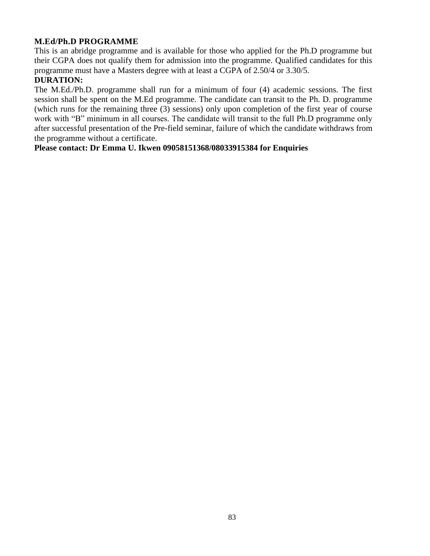#### **M.Ed/Ph.D PROGRAMME**

This is an abridge programme and is available for those who applied for the Ph.D programme but their CGPA does not qualify them for admission into the programme. Qualified candidates for this programme must have a Masters degree with at least a CGPA of 2.50/4 or 3.30/5.

#### **DURATION:**

The M.Ed./Ph.D. programme shall run for a minimum of four (4) academic sessions. The first session shall be spent on the M.Ed programme. The candidate can transit to the Ph. D. programme (which runs for the remaining three (3) sessions) only upon completion of the first year of course work with "B" minimum in all courses. The candidate will transit to the full Ph.D programme only after successful presentation of the Pre-field seminar, failure of which the candidate withdraws from the programme without a certificate.

#### **Please contact: Dr Emma U. Ikwen 09058151368/08033915384 for Enquiries**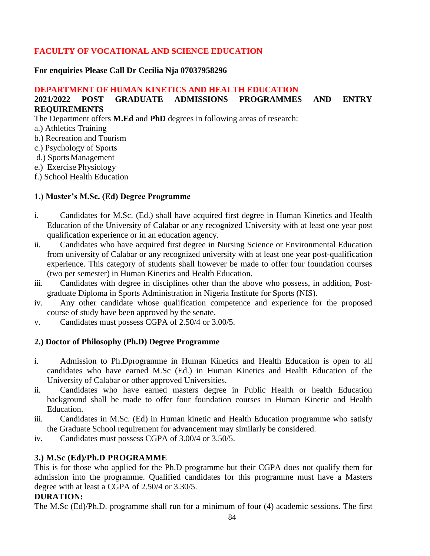# **FACULTY OF VOCATIONAL AND SCIENCE EDUCATION**

#### **For enquiries Please Call Dr Cecilia Nja 07037958296**

#### **DEPARTMENT OF HUMAN KINETICS AND HEALTH EDUCATION 2021/2022 POST GRADUATE ADMISSIONS PROGRAMMES AND ENTRY REQUIREMENTS**

The Department offers **M.Ed** and **PhD** degrees in following areas of research:

a.) Athletics Training

- b.) Recreation and Tourism
- c.) Psychology of Sports
- d.) Sports Management
- e.) Exercise Physiology
- f.) School Health Education

#### **1.) Master's M.Sc. (Ed) Degree Programme**

- i. Candidates for M.Sc. (Ed.) shall have acquired first degree in Human Kinetics and Health Education of the University of Calabar or any recognized University with at least one year post qualification experience or in an education agency.
- ii. Candidates who have acquired first degree in Nursing Science or Environmental Education from university of Calabar or any recognized university with at least one year post-qualification experience. This category of students shall however be made to offer four foundation courses (two per semester) in Human Kinetics and Health Education.
- iii. Candidates with degree in disciplines other than the above who possess, in addition, Postgraduate Diploma in Sports Administration in Nigeria Institute for Sports (NIS).
- iv. Any other candidate whose qualification competence and experience for the proposed course of study have been approved by the senate.
- v. Candidates must possess CGPA of 2.50/4 or 3.00/5.

#### **2.) Doctor of Philosophy (Ph.D) Degree Programme**

- i. Admission to Ph.Dprogramme in Human Kinetics and Health Education is open to all candidates who have earned M.Sc (Ed.) in Human Kinetics and Health Education of the University of Calabar or other approved Universities.
- ii. Candidates who have earned masters degree in Public Health or health Education background shall be made to offer four foundation courses in Human Kinetic and Health Education.
- iii. Candidates in M.Sc. (Ed) in Human kinetic and Health Education programme who satisfy the Graduate School requirement for advancement may similarly be considered.
- iv. Candidates must possess CGPA of 3.00/4 or 3.50/5.

#### **3.) M.Sc (Ed)/Ph.D PROGRAMME**

This is for those who applied for the Ph.D programme but their CGPA does not qualify them for admission into the programme. Qualified candidates for this programme must have a Masters degree with at least a CGPA of 2.50/4 or 3.30/5.

#### **DURATION:**

The M.Sc (Ed)/Ph.D. programme shall run for a minimum of four (4) academic sessions. The first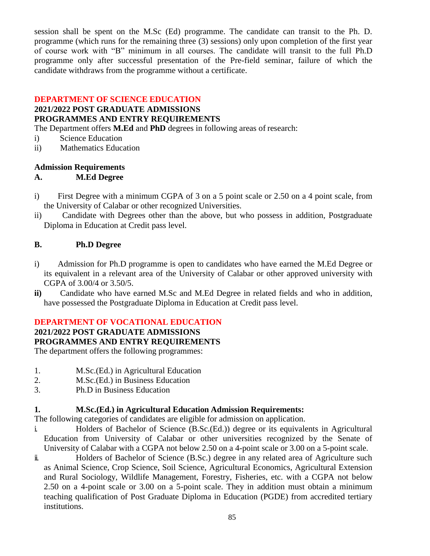session shall be spent on the M.Sc (Ed) programme. The candidate can transit to the Ph. D. programme (which runs for the remaining three (3) sessions) only upon completion of the first year of course work with "B" minimum in all courses. The candidate will transit to the full Ph.D programme only after successful presentation of the Pre-field seminar, failure of which the candidate withdraws from the programme without a certificate.

# **DEPARTMENT OF SCIENCE EDUCATION**

#### **2021/2022 POST GRADUATE ADMISSIONS PROGRAMMES AND ENTRY REQUIREMENTS**

The Department offers **M.Ed** and **PhD** degrees in following areas of research:

- i) Science Education
- ii) Mathematics Education

## **Admission Requirements**

## **A. M.Ed Degree**

- i) First Degree with a minimum CGPA of 3 on a 5 point scale or 2.50 on a 4 point scale, from the University of Calabar or other recognized Universities.
- ii) Candidate with Degrees other than the above, but who possess in addition, Postgraduate Diploma in Education at Credit pass level.

## **B. Ph.D Degree**

- i) Admission for Ph.D programme is open to candidates who have earned the M.Ed Degree or its equivalent in a relevant area of the University of Calabar or other approved university with CGPA of 3.00/4 or 3.50/5.
- **ii)** Candidate who have earned M.Sc and M.Ed Degree in related fields and who in addition, have possessed the Postgraduate Diploma in Education at Credit pass level.

#### **DEPARTMENT OF VOCATIONAL EDUCATION 2021/2022 POST GRADUATE ADMISSIONS**

# **PROGRAMMES AND ENTRY REQUIREMENTS**

The department offers the following programmes:

- 1. M.Sc.(Ed.) in Agricultural Education
- 2. M.Sc.(Ed.) in Business Education
- 3. Ph.D in Business Education

#### **1. M.Sc.(Ed.) in Agricultural Education Admission Requirements:**

The following categories of candidates are eligible for admission on application.

- i. Holders of Bachelor of Science (B.Sc.(Ed.)) degree or its equivalents in Agricultural Education from University of Calabar or other universities recognized by the Senate of University of Calabar with a CGPA not below 2.50 on a 4-point scale or 3.00 on a 5-point scale.
- ii. Holders of Bachelor of Science (B.Sc.) degree in any related area of Agriculture such as Animal Science, Crop Science, Soil Science, Agricultural Economics, Agricultural Extension and Rural Sociology, Wildlife Management, Forestry, Fisheries, etc. with a CGPA not below 2.50 on a 4-point scale or 3.00 on a 5-point scale. They in addition must obtain a minimum teaching qualification of Post Graduate Diploma in Education (PGDE) from accredited tertiary institutions.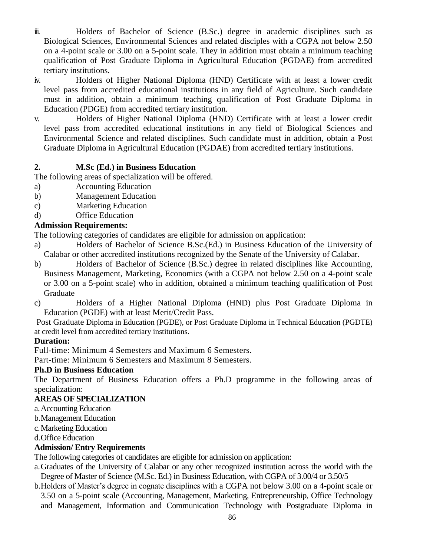- iii. Holders of Bachelor of Science (B.Sc.) degree in academic disciplines such as Biological Sciences, Environmental Sciences and related disciples with a CGPA not below 2.50 on a 4-point scale or 3.00 on a 5-point scale. They in addition must obtain a minimum teaching qualification of Post Graduate Diploma in Agricultural Education (PGDAE) from accredited tertiary institutions.
- iv. Holders of Higher National Diploma (HND) Certificate with at least a lower credit level pass from accredited educational institutions in any field of Agriculture. Such candidate must in addition, obtain a minimum teaching qualification of Post Graduate Diploma in Education (PDGE) from accredited tertiary institution.
- v. Holders of Higher National Diploma (HND) Certificate with at least a lower credit level pass from accredited educational institutions in any field of Biological Sciences and Environmental Science and related disciplines. Such candidate must in addition, obtain a Post Graduate Diploma in Agricultural Education (PGDAE) from accredited tertiary institutions.

## **2. M.Sc (Ed.) in Business Education**

The following areas of specialization will be offered.

- a) Accounting Education
- b) Management Education
- c) Marketing Education
- d) Office Education

#### **Admission Requirements:**

The following categories of candidates are eligible for admission on application:

- a) Holders of Bachelor of Science B.Sc.(Ed.) in Business Education of the University of Calabar or other accredited institutions recognized by the Senate of the University of Calabar.
- b) Holders of Bachelor of Science (B.Sc.) degree in related disciplines like Accounting, Business Management, Marketing, Economics (with a CGPA not below 2.50 on a 4-point scale or 3.00 on a 5-point scale) who in addition, obtained a minimum teaching qualification of Post Graduate
- c) Holders of a Higher National Diploma (HND) plus Post Graduate Diploma in Education (PGDE) with at least Merit/Credit Pass.

Post Graduate Diploma in Education (PGDE), or Post Graduate Diploma in Technical Education (PGDTE) at credit level from accredited tertiary institutions.

#### **Duration:**

Full-time: Minimum 4 Semesters and Maximum 6 Semesters.

Part-time: Minimum 6 Semesters and Maximum 8 Semesters.

#### **Ph.D in Business Education**

The Department of Business Education offers a Ph.D programme in the following areas of specialization:

## **AREAS OF SPECIALIZATION**

a.Accounting Education

- b.Management Education
- c.Marketing Education
- d.Office Education

#### **Admission/ Entry Requirements**

The following categories of candidates are eligible for admission on application:

a.Graduates of the University of Calabar or any other recognized institution across the world with the Degree of Master of Science (M.Sc. Ed.) in Business Education, with CGPA of 3.00/4 or 3.50/5

b.Holders of Master's degree in cognate disciplines with a CGPA not below 3.00 on a 4-point scale or 3.50 on a 5-point scale (Accounting, Management, Marketing, Entrepreneurship, Office Technology and Management, Information and Communication Technology with Postgraduate Diploma in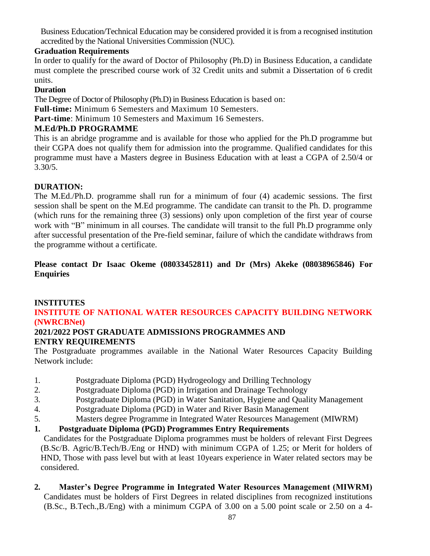Business Education/Technical Education may be considered provided it is from a recognised institution accredited by the National Universities Commission (NUC).

## **Graduation Requirements**

In order to qualify for the award of Doctor of Philosophy (Ph.D) in Business Education, a candidate must complete the prescribed course work of 32 Credit units and submit a Dissertation of 6 credit units.

#### **Duration**

The Degree of Doctor of Philosophy (Ph.D) in Business Education is based on:

**Full-time:** Minimum 6 Semesters and Maximum 10 Semesters.

Part-time: Minimum 10 Semesters and Maximum 16 Semesters.

## **M.Ed/Ph.D PROGRAMME**

This is an abridge programme and is available for those who applied for the Ph.D programme but their CGPA does not qualify them for admission into the programme. Qualified candidates for this programme must have a Masters degree in Business Education with at least a CGPA of 2.50/4 or 3.30/5.

## **DURATION:**

The M.Ed./Ph.D. programme shall run for a minimum of four (4) academic sessions. The first session shall be spent on the M.Ed programme. The candidate can transit to the Ph. D. programme (which runs for the remaining three (3) sessions) only upon completion of the first year of course work with "B" minimum in all courses. The candidate will transit to the full Ph.D programme only after successful presentation of the Pre-field seminar, failure of which the candidate withdraws from the programme without a certificate.

#### **Please contact Dr Isaac Okeme (08033452811) and Dr (Mrs) Akeke (08038965846) For Enquiries**

#### **INSTITUTES INSTITUTE OF NATIONAL WATER RESOURCES CAPACITY BUILDING NETWORK (NWRCBNet)**

#### **2021/2022 POST GRADUATE ADMISSIONS PROGRAMMES AND ENTRY REQUIREMENTS**

The Postgraduate programmes available in the National Water Resources Capacity Building Network include:

- 1. Postgraduate Diploma (PGD) Hydrogeology and Drilling Technology
- 2. Postgraduate Diploma (PGD) in Irrigation and Drainage Technology
- 3. Postgraduate Diploma (PGD) in Water Sanitation, Hygiene and Quality Management
- 4. Postgraduate Diploma (PGD) in Water and River Basin Management
- 5. Masters degree Programme in Integrated Water Resources Management (MIWRM)

**1. Postgraduate Diploma (PGD) Programmes Entry Requirements**

Candidates for the Postgraduate Diploma programmes must be holders of relevant First Degrees (B.Sc/B. Agric/B.Tech/B./Eng or HND) with minimum CGPA of 1.25; or Merit for holders of HND, Those with pass level but with at least 10years experience in Water related sectors may be considered.

**2. Master's Degree Programme in Integrated Water Resources Management (MIWRM)**  Candidates must be holders of First Degrees in related disciplines from recognized institutions (B.Sc., B.Tech.,B./Eng) with a minimum CGPA of 3.00 on a 5.00 point scale or 2.50 on a 4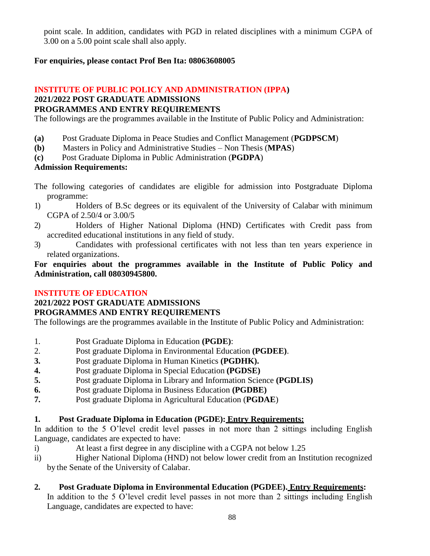point scale. In addition, candidates with PGD in related disciplines with a minimum CGPA of 3.00 on a 5.00 point scale shall also apply.

## **For enquiries, please contact Prof Ben Ita: 08063608005**

# **INSTITUTE OF PUBLIC POLICY AND ADMINISTRATION (IPPA)**

# **2021/2022 POST GRADUATE ADMISSIONS**

## **PROGRAMMES AND ENTRY REQUIREMENTS**

The followings are the programmes available in the Institute of Public Policy and Administration:

- **(a)** Post Graduate Diploma in Peace Studies and Conflict Management (**PGDPSCM**)
- **(b)** Masters in Policy and Administrative Studies Non Thesis (**MPAS**)
- **(c)** Post Graduate Diploma in Public Administration (**PGDPA**)

## **Admission Requirements:**

The following categories of candidates are eligible for admission into Postgraduate Diploma programme:

- 1) Holders of B.Sc degrees or its equivalent of the University of Calabar with minimum CGPA of 2.50/4 or 3.00/5
- 2) Holders of Higher National Diploma (HND) Certificates with Credit pass from accredited educational institutions in any field of study.
- 3) Candidates with professional certificates with not less than ten years experience in related organizations.

**For enquiries about the programmes available in the Institute of Public Policy and Administration, call 08030945800.**

## **INSTITUTE OF EDUCATION**

# **2021/2022 POST GRADUATE ADMISSIONS**

# **PROGRAMMES AND ENTRY REQUIREMENTS**

The followings are the programmes available in the Institute of Public Policy and Administration:

- 1. Post Graduate Diploma in Education **(PGDE)**:
- 2. Post graduate Diploma in Environmental Education **(PGDEE)**.
- **3.** Post graduate Diploma in Human Kinetics **(PGDHK).**
- **4.** Post graduate Diploma in Special Education **(PGDSE)**
- **5.** Post graduate Diploma in Library and Information Science **(PGDLIS)**
- **6.** Post graduate Diploma in Business Education **(PGDBE)**
- **7.** Post graduate Diploma in Agricultural Education (**PGDAE**)

## **1. Post Graduate Diploma in Education (PGDE): Entry Requirements:**

In addition to the 5 O'level credit level passes in not more than 2 sittings including English Language, candidates are expected to have:

- i) At least a first degree in any discipline with a CGPA not below 1.25
- ii) Higher National Diploma (HND) not below lower credit from an Institution recognized by the Senate of the University of Calabar.
- **2. Post Graduate Diploma in Environmental Education (PGDEE). Entry Requirements:**

In addition to the 5 O'level credit level passes in not more than 2 sittings including English Language, candidates are expected to have: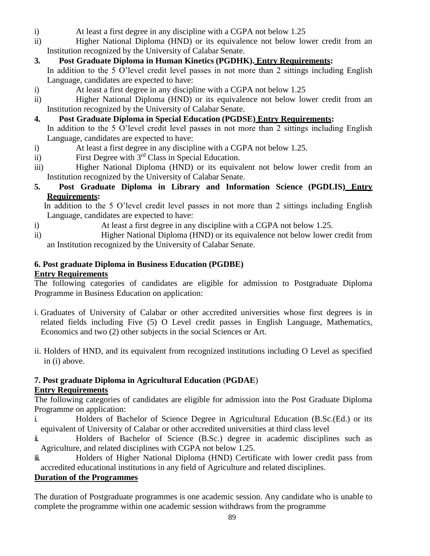- i) At least a first degree in any discipline with a CGPA not below 1.25
- ii) Higher National Diploma (HND) or its equivalence not below lower credit from an Institution recognized by the University of Calabar Senate.
- **3. Post Graduate Diploma in Human Kinetics (PGDHK). Entry Requirements:** In addition to the 5 O'level credit level passes in not more than 2 sittings including English Language, candidates are expected to have:
- i) At least a first degree in any discipline with a CGPA not below 1.25
- ii) Higher National Diploma (HND) or its equivalence not below lower credit from an Institution recognized by the University of Calabar Senate.

# **4. Post Graduate Diploma in Special Education (PGDSE) Entry Requirements:**

In addition to the 5 O'level credit level passes in not more than 2 sittings including English Language, candidates are expected to have:

- i) At least a first degree in any discipline with a CGPA not below 1.25.
- ii) First Degree with 3rd Class in Special Education.
- iii) Higher National Diploma (HND) or its equivalent not below lower credit from an Institution recognized by the University of Calabar Senate.
- **5. Post Graduate Diploma in Library and Information Science (PGDLIS) Entry Requirements:**

In addition to the 5 O'level credit level passes in not more than 2 sittings including English Language, candidates are expected to have:

- i) At least a first degree in any discipline with a CGPA not below 1.25.
- ii) Higher National Diploma (HND) or its equivalence not below lower credit from an Institution recognized by the University of Calabar Senate.

## **6. Post graduate Diploma in Business Education (PGDBE) Entry Requirements**

The following categories of candidates are eligible for admission to Postgraduate Diploma Programme in Business Education on application:

- i. Graduates of University of Calabar or other accredited universities whose first degrees is in related fields including Five (5) O Level credit passes in English Language, Mathematics, Economics and two (2) other subjects in the social Sciences or Art.
- ii. Holders of HND, and its equivalent from recognized institutions including O Level as specified in (i) above.

#### **7. Post graduate Diploma in Agricultural Education** (**PGDAE**) **Entry Requirements**

The following categories of candidates are eligible for admission into the Post Graduate Diploma Programme on application:

i. Holders of Bachelor of Science Degree in Agricultural Education (B.Sc.(Ed.) or its equivalent of University of Calabar or other accredited universities at third class level

ii. Holders of Bachelor of Science (B.Sc.) degree in academic disciplines such as Agriculture, and related disciplines with CGPA not below 1.25.

iii. Holders of Higher National Diploma (HND) Certificate with lower credit pass from accredited educational institutions in any field of Agriculture and related disciplines.

# **Duration of the Programmes**

The duration of Postgraduate programmes is one academic session. Any candidate who is unable to complete the programme within one academic session withdraws from the programme